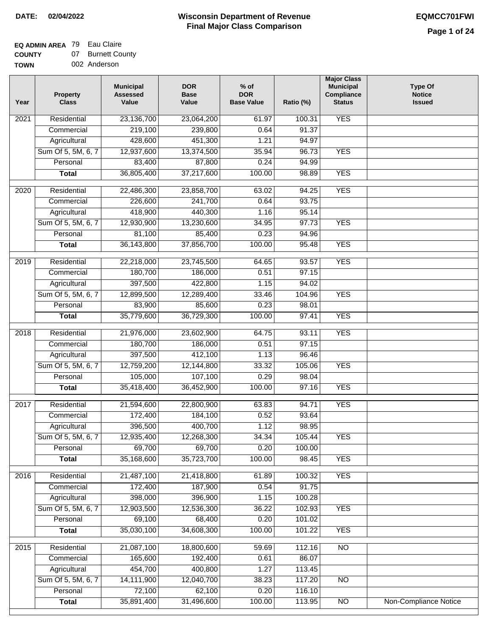## **EQ ADMIN AREA** 79 Eau Claire

**COUNTY TOWN** 07 Burnett County 002 Anderson

| Year | <b>Property</b><br><b>Class</b> | <b>Municipal</b><br><b>Assessed</b><br>Value | <b>DOR</b><br><b>Base</b><br>Value | $%$ of<br><b>DOR</b><br><b>Base Value</b> | Ratio (%) | <b>Major Class</b><br><b>Municipal</b><br>Compliance<br><b>Status</b> | <b>Type Of</b><br><b>Notice</b><br><b>Issued</b> |
|------|---------------------------------|----------------------------------------------|------------------------------------|-------------------------------------------|-----------|-----------------------------------------------------------------------|--------------------------------------------------|
| 2021 | Residential                     | 23,136,700                                   | 23,064,200                         | 61.97                                     | 100.31    | <b>YES</b>                                                            |                                                  |
|      | Commercial                      | 219,100                                      | 239,800                            | 0.64                                      | 91.37     |                                                                       |                                                  |
|      | Agricultural                    | 428,600                                      | 451,300                            | 1.21                                      | 94.97     |                                                                       |                                                  |
|      | Sum Of 5, 5M, 6, 7              | 12,937,600                                   | 13,374,500                         | 35.94                                     | 96.73     | <b>YES</b>                                                            |                                                  |
|      | Personal                        | 83,400                                       | 87,800                             | 0.24                                      | 94.99     |                                                                       |                                                  |
|      | <b>Total</b>                    | 36,805,400                                   | 37,217,600                         | 100.00                                    | 98.89     | <b>YES</b>                                                            |                                                  |
| 2020 | Residential                     | 22,486,300                                   | 23,858,700                         | 63.02                                     | 94.25     | <b>YES</b>                                                            |                                                  |
|      | Commercial                      | 226,600                                      | 241,700                            | 0.64                                      | 93.75     |                                                                       |                                                  |
|      | Agricultural                    | 418,900                                      | 440,300                            | 1.16                                      | 95.14     |                                                                       |                                                  |
|      | Sum Of 5, 5M, 6, 7              | 12,930,900                                   | 13,230,600                         | 34.95                                     | 97.73     | <b>YES</b>                                                            |                                                  |
|      | Personal                        | 81,100                                       | 85,400                             | 0.23                                      | 94.96     |                                                                       |                                                  |
|      | <b>Total</b>                    | 36,143,800                                   | 37,856,700                         | 100.00                                    | 95.48     | <b>YES</b>                                                            |                                                  |
| 2019 | Residential                     | 22,218,000                                   | 23,745,500                         | 64.65                                     | 93.57     | <b>YES</b>                                                            |                                                  |
|      | Commercial                      | 180,700                                      | 186,000                            | 0.51                                      | 97.15     |                                                                       |                                                  |
|      | Agricultural                    | 397,500                                      | 422,800                            | 1.15                                      | 94.02     |                                                                       |                                                  |
|      | Sum Of 5, 5M, 6, 7              | 12,899,500                                   | 12,289,400                         | 33.46                                     | 104.96    | <b>YES</b>                                                            |                                                  |
|      | Personal                        | 83,900                                       | 85,600                             | 0.23                                      | 98.01     |                                                                       |                                                  |
|      | <b>Total</b>                    | 35,779,600                                   | 36,729,300                         | 100.00                                    | 97.41     | <b>YES</b>                                                            |                                                  |
| 2018 | Residential                     | 21,976,000                                   | 23,602,900                         | 64.75                                     | 93.11     | <b>YES</b>                                                            |                                                  |
|      | Commercial                      | 180,700                                      | 186,000                            | 0.51                                      | 97.15     |                                                                       |                                                  |
|      | Agricultural                    | 397,500                                      | 412,100                            | 1.13                                      | 96.46     |                                                                       |                                                  |
|      | Sum Of 5, 5M, 6, 7              | 12,759,200                                   | 12,144,800                         | 33.32                                     | 105.06    | <b>YES</b>                                                            |                                                  |
|      | Personal                        | 105,000                                      | 107,100                            | 0.29                                      | 98.04     |                                                                       |                                                  |
|      | <b>Total</b>                    | 35,418,400                                   | 36,452,900                         | 100.00                                    | 97.16     | <b>YES</b>                                                            |                                                  |
| 2017 | Residential                     | 21,594,600                                   | 22,800,900                         | 63.83                                     | 94.71     | <b>YES</b>                                                            |                                                  |
|      | Commercial                      | 172,400                                      | 184,100                            | 0.52                                      | 93.64     |                                                                       |                                                  |
|      | Agricultural                    | 396,500                                      | 400,700                            | 1.12                                      | 98.95     |                                                                       |                                                  |
|      | Sum Of 5, 5M, 6, 7              | 12,935,400                                   | 12,268,300                         | 34.34                                     | 105.44    | <b>YES</b>                                                            |                                                  |
|      | Personal                        | 69,700                                       | 69,700                             | 0.20                                      | 100.00    |                                                                       |                                                  |
|      | <b>Total</b>                    | 35,168,600                                   | 35,723,700                         | 100.00                                    | 98.45     | <b>YES</b>                                                            |                                                  |
| 2016 | Residential                     | 21,487,100                                   | 21,418,800                         | 61.89                                     | 100.32    | <b>YES</b>                                                            |                                                  |
|      | Commercial                      | 172,400                                      | 187,900                            | 0.54                                      | 91.75     |                                                                       |                                                  |
|      | Agricultural                    | 398,000                                      | 396,900                            | 1.15                                      | 100.28    |                                                                       |                                                  |
|      | Sum Of 5, 5M, 6, 7              | 12,903,500                                   | 12,536,300                         | 36.22                                     | 102.93    | <b>YES</b>                                                            |                                                  |
|      | Personal                        | 69,100                                       | 68,400                             | 0.20                                      | 101.02    |                                                                       |                                                  |
|      | <b>Total</b>                    | 35,030,100                                   | 34,608,300                         | 100.00                                    | 101.22    | <b>YES</b>                                                            |                                                  |
|      |                                 |                                              |                                    |                                           |           |                                                                       |                                                  |
| 2015 | Residential                     | 21,087,100                                   | 18,800,600                         | 59.69                                     | 112.16    | $\overline{NO}$                                                       |                                                  |
|      | Commercial                      | 165,600                                      | 192,400                            | 0.61                                      | 86.07     |                                                                       |                                                  |
|      | Agricultural                    | 454,700                                      | 400,800                            | 1.27                                      | 113.45    |                                                                       |                                                  |
|      | Sum Of 5, 5M, 6, 7              | 14,111,900                                   | 12,040,700                         | 38.23                                     | 117.20    | N <sub>O</sub>                                                        |                                                  |
|      | Personal                        | 72,100                                       | 62,100                             | 0.20                                      | 116.10    |                                                                       |                                                  |
|      | <b>Total</b>                    | 35,891,400                                   | 31,496,600                         | 100.00                                    | 113.95    | $\overline{NO}$                                                       | Non-Compliance Notice                            |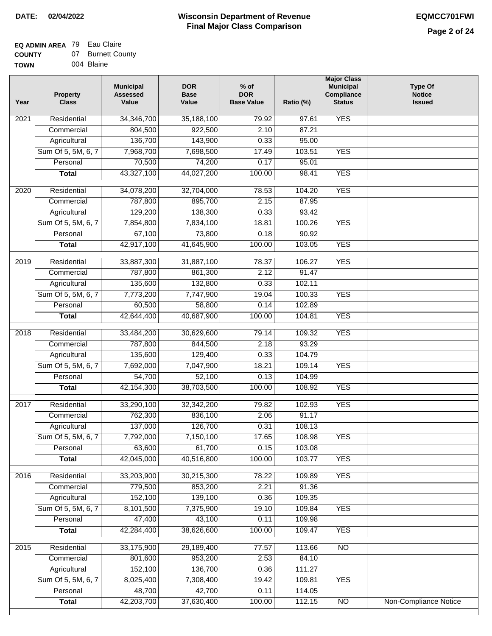$\Box$ 

#### **Wisconsin Department of Revenue Final Major Class Comparison DATE: 02/04/2022 EQMCC701FWI**

### **EQ ADMIN AREA** 79 Eau Claire **COUNTY**

| <b>COUNTY</b> | 07. | <b>Burnett County</b> |
|---------------|-----|-----------------------|
| <b>TOWN</b>   |     | 004 Blaine            |

| Year | Property<br><b>Class</b> | <b>Municipal</b><br><b>Assessed</b><br>Value | <b>DOR</b><br><b>Base</b><br>Value | $%$ of<br><b>DOR</b><br><b>Base Value</b> | Ratio (%) | <b>Major Class</b><br><b>Municipal</b><br>Compliance<br><b>Status</b> | <b>Type Of</b><br><b>Notice</b><br><b>Issued</b> |
|------|--------------------------|----------------------------------------------|------------------------------------|-------------------------------------------|-----------|-----------------------------------------------------------------------|--------------------------------------------------|
| 2021 | Residential              | 34,346,700                                   | 35,188,100                         | 79.92                                     | 97.61     | <b>YES</b>                                                            |                                                  |
|      | Commercial               | 804,500                                      | 922,500                            | 2.10                                      | 87.21     |                                                                       |                                                  |
|      | Agricultural             | 136,700                                      | 143,900                            | 0.33                                      | 95.00     |                                                                       |                                                  |
|      | Sum Of 5, 5M, 6, 7       | 7,968,700                                    | 7,698,500                          | 17.49                                     | 103.51    | <b>YES</b>                                                            |                                                  |
|      | Personal                 | 70,500                                       | 74,200                             | 0.17                                      | 95.01     |                                                                       |                                                  |
|      | <b>Total</b>             | 43,327,100                                   | 44,027,200                         | 100.00                                    | 98.41     | <b>YES</b>                                                            |                                                  |
| 2020 | Residential              | 34,078,200                                   | 32,704,000                         | 78.53                                     | 104.20    | <b>YES</b>                                                            |                                                  |
|      | Commercial               | 787,800                                      | 895,700                            | 2.15                                      | 87.95     |                                                                       |                                                  |
|      | Agricultural             | 129,200                                      | 138,300                            | 0.33                                      | 93.42     |                                                                       |                                                  |
|      | Sum Of 5, 5M, 6, 7       | 7,854,800                                    | 7,834,100                          | 18.81                                     | 100.26    | <b>YES</b>                                                            |                                                  |
|      | Personal                 | 67,100                                       | 73,800                             | 0.18                                      | 90.92     |                                                                       |                                                  |
|      | <b>Total</b>             | 42,917,100                                   | 41,645,900                         | 100.00                                    | 103.05    | <b>YES</b>                                                            |                                                  |
|      |                          |                                              |                                    |                                           |           |                                                                       |                                                  |
| 2019 | Residential              | 33,887,300                                   | 31,887,100                         | 78.37                                     | 106.27    | <b>YES</b>                                                            |                                                  |
|      | Commercial               | 787,800                                      | 861,300                            | 2.12                                      | 91.47     |                                                                       |                                                  |
|      | Agricultural             | 135,600                                      | 132,800                            | 0.33                                      | 102.11    |                                                                       |                                                  |
|      | Sum Of 5, 5M, 6, 7       | 7,773,200                                    | 7,747,900                          | 19.04                                     | 100.33    | <b>YES</b>                                                            |                                                  |
|      | Personal                 | 60,500                                       | 58,800                             | 0.14                                      | 102.89    |                                                                       |                                                  |
|      | <b>Total</b>             | 42,644,400                                   | 40,687,900                         | 100.00                                    | 104.81    | <b>YES</b>                                                            |                                                  |
| 2018 | Residential              | 33,484,200                                   | 30,629,600                         | 79.14                                     | 109.32    | <b>YES</b>                                                            |                                                  |
|      | Commercial               | 787,800                                      | 844,500                            | 2.18                                      | 93.29     |                                                                       |                                                  |
|      | Agricultural             | 135,600                                      | 129,400                            | 0.33                                      | 104.79    |                                                                       |                                                  |
|      | Sum Of 5, 5M, 6, 7       | 7,692,000                                    | 7,047,900                          | 18.21                                     | 109.14    | <b>YES</b>                                                            |                                                  |
|      | Personal                 | 54,700                                       | 52,100                             | 0.13                                      | 104.99    |                                                                       |                                                  |
|      | <b>Total</b>             | 42,154,300                                   | 38,703,500                         | 100.00                                    | 108.92    | <b>YES</b>                                                            |                                                  |
| 2017 | Residential              | 33,290,100                                   | 32,342,200                         | 79.82                                     | 102.93    | <b>YES</b>                                                            |                                                  |
|      | Commercial               | 762,300                                      | 836,100                            | 2.06                                      | 91.17     |                                                                       |                                                  |
|      | Agricultural             | 137,000                                      | 126,700                            | 0.31                                      | 108.13    |                                                                       |                                                  |
|      | Sum Of 5, 5M, 6, 7       | 7,792,000                                    | 7,150,100                          | 17.65                                     | 108.98    | <b>YES</b>                                                            |                                                  |
|      | Personal                 | 63,600                                       | 61,700                             | 0.15                                      | 103.08    |                                                                       |                                                  |
|      | <b>Total</b>             | 42,045,000                                   | 40,516,800                         | 100.00                                    | 103.77    | <b>YES</b>                                                            |                                                  |
| 2016 | Residential              | 33,203,900                                   | 30,215,300                         | 78.22                                     | 109.89    | <b>YES</b>                                                            |                                                  |
|      | Commercial               | 779,500                                      | 853,200                            | 2.21                                      | 91.36     |                                                                       |                                                  |
|      | Agricultural             | 152,100                                      | 139,100                            | 0.36                                      | 109.35    |                                                                       |                                                  |
|      | Sum Of 5, 5M, 6, 7       | 8,101,500                                    | 7,375,900                          | 19.10                                     | 109.84    | <b>YES</b>                                                            |                                                  |
|      | Personal                 | 47,400                                       | 43,100                             | 0.11                                      | 109.98    |                                                                       |                                                  |
|      | <b>Total</b>             | 42,284,400                                   | 38,626,600                         | 100.00                                    | 109.47    | <b>YES</b>                                                            |                                                  |
| 2015 | Residential              | 33,175,900                                   | 29,189,400                         | 77.57                                     | 113.66    | $\overline{NO}$                                                       |                                                  |
|      | Commercial               | 801,600                                      | 953,200                            | 2.53                                      | 84.10     |                                                                       |                                                  |
|      | Agricultural             | 152,100                                      | 136,700                            | 0.36                                      | 111.27    |                                                                       |                                                  |
|      | Sum Of 5, 5M, 6, 7       | 8,025,400                                    | 7,308,400                          | 19.42                                     | 109.81    | <b>YES</b>                                                            |                                                  |
|      | Personal                 | 48,700                                       | 42,700                             | 0.11                                      | 114.05    |                                                                       |                                                  |
|      | <b>Total</b>             | 42,203,700                                   | 37,630,400                         | 100.00                                    | 112.15    | $\overline{NO}$                                                       | Non-Compliance Notice                            |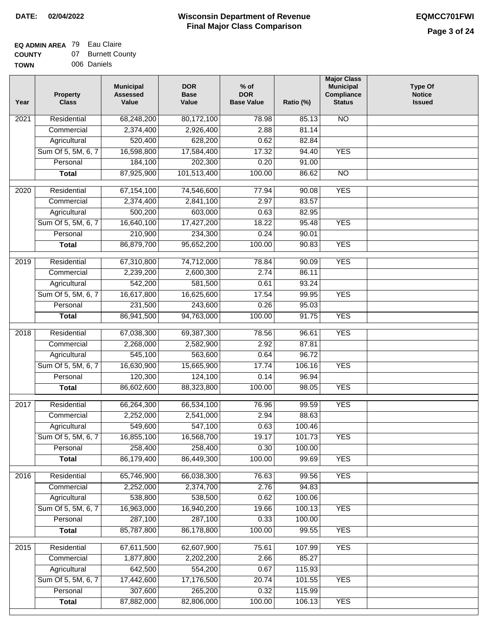# **EQ ADMIN AREA** 79 Eau Claire

| <b>COUNTY</b> | 07 Burnett County |
|---------------|-------------------|
|               |                   |

**TOWN** 006 Daniels

| 68,248,200<br><b>NO</b><br>2021<br>Residential<br>80,172,100<br>78.98<br>85.13<br>2,374,400<br>2,926,400<br>2.88<br>81.14<br>Commercial<br>520,400<br>Agricultural<br>628,200<br>0.62<br>82.84<br>Sum Of 5, 5M, 6, 7<br>16,598,800<br>17,584,400<br>17.32<br>94.40<br><b>YES</b><br>184,100<br>202,300<br>0.20<br>Personal<br>91.00<br>87,925,900<br>101,513,400<br>100.00<br>86.62<br>$\overline{NO}$<br><b>Total</b><br><b>YES</b><br>2020<br>Residential<br>67,154,100<br>74,546,600<br>77.94<br>90.08<br>2,374,400<br>2,841,100<br>2.97<br>83.57<br>Commercial<br>500,200<br>603,000<br>0.63<br>82.95<br>Agricultural<br>Sum Of 5, 5M, 6, 7<br>16,640,100<br>17,427,200<br>18.22<br>95.48<br><b>YES</b><br>210,900<br>234,300<br>0.24<br>90.01<br>Personal<br>86,879,700<br>95,652,200<br>100.00<br><b>YES</b><br>90.83<br><b>Total</b><br>74,712,000<br><b>YES</b><br>2019<br>Residential<br>67,310,800<br>78.84<br>90.09<br>2,239,200<br>2,600,300<br>2.74<br>86.11<br>Commercial<br>542,200<br>581,500<br>0.61<br>93.24<br>Agricultural<br>16,617,800<br><b>YES</b><br>Sum Of 5, 5M, 6, 7<br>16,625,600<br>17.54<br>99.95<br>231,500<br>0.26<br>Personal<br>243,600<br>95.03<br>86,941,500<br>94,763,000<br>100.00<br>91.75<br><b>YES</b><br><b>Total</b><br>Residential<br>67,038,300<br>96.61<br><b>YES</b><br>2018<br>69,387,300<br>78.56<br>2.92<br>Commercial<br>2,268,000<br>2,582,900<br>87.81<br>545,100<br>563,600<br>0.64<br>96.72<br>Agricultural<br>Sum Of 5, 5M, 6, 7<br>16,630,900<br>15,665,900<br>17.74<br>106.16<br><b>YES</b><br>Personal<br>120,300<br>124,100<br>0.14<br>96.94<br>86,602,600<br>88,323,800<br>100.00<br>98.05<br><b>YES</b><br><b>Total</b><br>2017<br>Residential<br>66,264,300<br>99.59<br><b>YES</b><br>66,534,100<br>76.96<br>2.94<br>2,252,000<br>2,541,000<br>88.63<br>Commercial<br>549,600<br>547,100<br>0.63<br>100.46<br>Agricultural<br>16,855,100<br>16,568,700<br>19.17<br>Sum Of 5, 5M, 6, 7<br>101.73<br><b>YES</b><br>258,400<br>258,400<br>0.30<br>100.00<br>Personal<br>86,179,400<br>86,449,300<br>100.00<br>99.69<br><b>YES</b><br><b>Total</b><br><b>YES</b><br>Residential<br>65,746,900<br>66,038,300<br>99.56<br>2016<br>76.63<br>2,252,000<br>2,374,700<br>2.76<br>94.83<br>Commercial<br>538,800<br>538,500<br>0.62<br>Agricultural<br>100.06<br>Sum Of 5, 5M, 6, 7<br>16,963,000<br>16,940,200<br><b>YES</b><br>19.66<br>100.13<br>287,100<br>287,100<br>0.33<br>Personal<br>100.00<br>85,787,800<br>100.00<br><b>YES</b><br>86,178,800<br>99.55<br><b>Total</b><br><b>YES</b><br>Residential<br>67,611,500<br>62,607,900<br>75.61<br>107.99<br>2015<br>1,877,800<br>2,202,200<br>2.66<br>85.27<br>Commercial<br>642,500<br>554,200<br>0.67<br>115.93<br>Agricultural<br>Sum Of 5, 5M, 6, 7<br>17,442,600<br>20.74<br>17,176,500<br><b>YES</b><br>101.55<br>307,600<br>265,200<br>0.32<br>Personal<br>115.99<br>87,882,000<br>82,806,000<br>100.00<br><b>YES</b><br><b>Total</b><br>106.13 | Year | <b>Property</b><br><b>Class</b> | <b>Municipal</b><br><b>Assessed</b><br>Value | <b>DOR</b><br><b>Base</b><br>Value | $%$ of<br><b>DOR</b><br><b>Base Value</b> | Ratio (%) | <b>Major Class</b><br><b>Municipal</b><br>Compliance<br><b>Status</b> | <b>Type Of</b><br><b>Notice</b><br><b>Issued</b> |
|------------------------------------------------------------------------------------------------------------------------------------------------------------------------------------------------------------------------------------------------------------------------------------------------------------------------------------------------------------------------------------------------------------------------------------------------------------------------------------------------------------------------------------------------------------------------------------------------------------------------------------------------------------------------------------------------------------------------------------------------------------------------------------------------------------------------------------------------------------------------------------------------------------------------------------------------------------------------------------------------------------------------------------------------------------------------------------------------------------------------------------------------------------------------------------------------------------------------------------------------------------------------------------------------------------------------------------------------------------------------------------------------------------------------------------------------------------------------------------------------------------------------------------------------------------------------------------------------------------------------------------------------------------------------------------------------------------------------------------------------------------------------------------------------------------------------------------------------------------------------------------------------------------------------------------------------------------------------------------------------------------------------------------------------------------------------------------------------------------------------------------------------------------------------------------------------------------------------------------------------------------------------------------------------------------------------------------------------------------------------------------------------------------------------------------------------------------------------------------------------------------------------------------------------------------------------------------------------------------------------------------------------------------------------------------------------------------------------------------------------------------------------------------------------------------------------------------------------------------------------------------------------------------------------------------------------------------------|------|---------------------------------|----------------------------------------------|------------------------------------|-------------------------------------------|-----------|-----------------------------------------------------------------------|--------------------------------------------------|
|                                                                                                                                                                                                                                                                                                                                                                                                                                                                                                                                                                                                                                                                                                                                                                                                                                                                                                                                                                                                                                                                                                                                                                                                                                                                                                                                                                                                                                                                                                                                                                                                                                                                                                                                                                                                                                                                                                                                                                                                                                                                                                                                                                                                                                                                                                                                                                                                                                                                                                                                                                                                                                                                                                                                                                                                                                                                                                                                                                  |      |                                 |                                              |                                    |                                           |           |                                                                       |                                                  |
|                                                                                                                                                                                                                                                                                                                                                                                                                                                                                                                                                                                                                                                                                                                                                                                                                                                                                                                                                                                                                                                                                                                                                                                                                                                                                                                                                                                                                                                                                                                                                                                                                                                                                                                                                                                                                                                                                                                                                                                                                                                                                                                                                                                                                                                                                                                                                                                                                                                                                                                                                                                                                                                                                                                                                                                                                                                                                                                                                                  |      |                                 |                                              |                                    |                                           |           |                                                                       |                                                  |
|                                                                                                                                                                                                                                                                                                                                                                                                                                                                                                                                                                                                                                                                                                                                                                                                                                                                                                                                                                                                                                                                                                                                                                                                                                                                                                                                                                                                                                                                                                                                                                                                                                                                                                                                                                                                                                                                                                                                                                                                                                                                                                                                                                                                                                                                                                                                                                                                                                                                                                                                                                                                                                                                                                                                                                                                                                                                                                                                                                  |      |                                 |                                              |                                    |                                           |           |                                                                       |                                                  |
|                                                                                                                                                                                                                                                                                                                                                                                                                                                                                                                                                                                                                                                                                                                                                                                                                                                                                                                                                                                                                                                                                                                                                                                                                                                                                                                                                                                                                                                                                                                                                                                                                                                                                                                                                                                                                                                                                                                                                                                                                                                                                                                                                                                                                                                                                                                                                                                                                                                                                                                                                                                                                                                                                                                                                                                                                                                                                                                                                                  |      |                                 |                                              |                                    |                                           |           |                                                                       |                                                  |
|                                                                                                                                                                                                                                                                                                                                                                                                                                                                                                                                                                                                                                                                                                                                                                                                                                                                                                                                                                                                                                                                                                                                                                                                                                                                                                                                                                                                                                                                                                                                                                                                                                                                                                                                                                                                                                                                                                                                                                                                                                                                                                                                                                                                                                                                                                                                                                                                                                                                                                                                                                                                                                                                                                                                                                                                                                                                                                                                                                  |      |                                 |                                              |                                    |                                           |           |                                                                       |                                                  |
|                                                                                                                                                                                                                                                                                                                                                                                                                                                                                                                                                                                                                                                                                                                                                                                                                                                                                                                                                                                                                                                                                                                                                                                                                                                                                                                                                                                                                                                                                                                                                                                                                                                                                                                                                                                                                                                                                                                                                                                                                                                                                                                                                                                                                                                                                                                                                                                                                                                                                                                                                                                                                                                                                                                                                                                                                                                                                                                                                                  |      |                                 |                                              |                                    |                                           |           |                                                                       |                                                  |
|                                                                                                                                                                                                                                                                                                                                                                                                                                                                                                                                                                                                                                                                                                                                                                                                                                                                                                                                                                                                                                                                                                                                                                                                                                                                                                                                                                                                                                                                                                                                                                                                                                                                                                                                                                                                                                                                                                                                                                                                                                                                                                                                                                                                                                                                                                                                                                                                                                                                                                                                                                                                                                                                                                                                                                                                                                                                                                                                                                  |      |                                 |                                              |                                    |                                           |           |                                                                       |                                                  |
|                                                                                                                                                                                                                                                                                                                                                                                                                                                                                                                                                                                                                                                                                                                                                                                                                                                                                                                                                                                                                                                                                                                                                                                                                                                                                                                                                                                                                                                                                                                                                                                                                                                                                                                                                                                                                                                                                                                                                                                                                                                                                                                                                                                                                                                                                                                                                                                                                                                                                                                                                                                                                                                                                                                                                                                                                                                                                                                                                                  |      |                                 |                                              |                                    |                                           |           |                                                                       |                                                  |
|                                                                                                                                                                                                                                                                                                                                                                                                                                                                                                                                                                                                                                                                                                                                                                                                                                                                                                                                                                                                                                                                                                                                                                                                                                                                                                                                                                                                                                                                                                                                                                                                                                                                                                                                                                                                                                                                                                                                                                                                                                                                                                                                                                                                                                                                                                                                                                                                                                                                                                                                                                                                                                                                                                                                                                                                                                                                                                                                                                  |      |                                 |                                              |                                    |                                           |           |                                                                       |                                                  |
|                                                                                                                                                                                                                                                                                                                                                                                                                                                                                                                                                                                                                                                                                                                                                                                                                                                                                                                                                                                                                                                                                                                                                                                                                                                                                                                                                                                                                                                                                                                                                                                                                                                                                                                                                                                                                                                                                                                                                                                                                                                                                                                                                                                                                                                                                                                                                                                                                                                                                                                                                                                                                                                                                                                                                                                                                                                                                                                                                                  |      |                                 |                                              |                                    |                                           |           |                                                                       |                                                  |
|                                                                                                                                                                                                                                                                                                                                                                                                                                                                                                                                                                                                                                                                                                                                                                                                                                                                                                                                                                                                                                                                                                                                                                                                                                                                                                                                                                                                                                                                                                                                                                                                                                                                                                                                                                                                                                                                                                                                                                                                                                                                                                                                                                                                                                                                                                                                                                                                                                                                                                                                                                                                                                                                                                                                                                                                                                                                                                                                                                  |      |                                 |                                              |                                    |                                           |           |                                                                       |                                                  |
|                                                                                                                                                                                                                                                                                                                                                                                                                                                                                                                                                                                                                                                                                                                                                                                                                                                                                                                                                                                                                                                                                                                                                                                                                                                                                                                                                                                                                                                                                                                                                                                                                                                                                                                                                                                                                                                                                                                                                                                                                                                                                                                                                                                                                                                                                                                                                                                                                                                                                                                                                                                                                                                                                                                                                                                                                                                                                                                                                                  |      |                                 |                                              |                                    |                                           |           |                                                                       |                                                  |
|                                                                                                                                                                                                                                                                                                                                                                                                                                                                                                                                                                                                                                                                                                                                                                                                                                                                                                                                                                                                                                                                                                                                                                                                                                                                                                                                                                                                                                                                                                                                                                                                                                                                                                                                                                                                                                                                                                                                                                                                                                                                                                                                                                                                                                                                                                                                                                                                                                                                                                                                                                                                                                                                                                                                                                                                                                                                                                                                                                  |      |                                 |                                              |                                    |                                           |           |                                                                       |                                                  |
|                                                                                                                                                                                                                                                                                                                                                                                                                                                                                                                                                                                                                                                                                                                                                                                                                                                                                                                                                                                                                                                                                                                                                                                                                                                                                                                                                                                                                                                                                                                                                                                                                                                                                                                                                                                                                                                                                                                                                                                                                                                                                                                                                                                                                                                                                                                                                                                                                                                                                                                                                                                                                                                                                                                                                                                                                                                                                                                                                                  |      |                                 |                                              |                                    |                                           |           |                                                                       |                                                  |
|                                                                                                                                                                                                                                                                                                                                                                                                                                                                                                                                                                                                                                                                                                                                                                                                                                                                                                                                                                                                                                                                                                                                                                                                                                                                                                                                                                                                                                                                                                                                                                                                                                                                                                                                                                                                                                                                                                                                                                                                                                                                                                                                                                                                                                                                                                                                                                                                                                                                                                                                                                                                                                                                                                                                                                                                                                                                                                                                                                  |      |                                 |                                              |                                    |                                           |           |                                                                       |                                                  |
|                                                                                                                                                                                                                                                                                                                                                                                                                                                                                                                                                                                                                                                                                                                                                                                                                                                                                                                                                                                                                                                                                                                                                                                                                                                                                                                                                                                                                                                                                                                                                                                                                                                                                                                                                                                                                                                                                                                                                                                                                                                                                                                                                                                                                                                                                                                                                                                                                                                                                                                                                                                                                                                                                                                                                                                                                                                                                                                                                                  |      |                                 |                                              |                                    |                                           |           |                                                                       |                                                  |
|                                                                                                                                                                                                                                                                                                                                                                                                                                                                                                                                                                                                                                                                                                                                                                                                                                                                                                                                                                                                                                                                                                                                                                                                                                                                                                                                                                                                                                                                                                                                                                                                                                                                                                                                                                                                                                                                                                                                                                                                                                                                                                                                                                                                                                                                                                                                                                                                                                                                                                                                                                                                                                                                                                                                                                                                                                                                                                                                                                  |      |                                 |                                              |                                    |                                           |           |                                                                       |                                                  |
|                                                                                                                                                                                                                                                                                                                                                                                                                                                                                                                                                                                                                                                                                                                                                                                                                                                                                                                                                                                                                                                                                                                                                                                                                                                                                                                                                                                                                                                                                                                                                                                                                                                                                                                                                                                                                                                                                                                                                                                                                                                                                                                                                                                                                                                                                                                                                                                                                                                                                                                                                                                                                                                                                                                                                                                                                                                                                                                                                                  |      |                                 |                                              |                                    |                                           |           |                                                                       |                                                  |
|                                                                                                                                                                                                                                                                                                                                                                                                                                                                                                                                                                                                                                                                                                                                                                                                                                                                                                                                                                                                                                                                                                                                                                                                                                                                                                                                                                                                                                                                                                                                                                                                                                                                                                                                                                                                                                                                                                                                                                                                                                                                                                                                                                                                                                                                                                                                                                                                                                                                                                                                                                                                                                                                                                                                                                                                                                                                                                                                                                  |      |                                 |                                              |                                    |                                           |           |                                                                       |                                                  |
|                                                                                                                                                                                                                                                                                                                                                                                                                                                                                                                                                                                                                                                                                                                                                                                                                                                                                                                                                                                                                                                                                                                                                                                                                                                                                                                                                                                                                                                                                                                                                                                                                                                                                                                                                                                                                                                                                                                                                                                                                                                                                                                                                                                                                                                                                                                                                                                                                                                                                                                                                                                                                                                                                                                                                                                                                                                                                                                                                                  |      |                                 |                                              |                                    |                                           |           |                                                                       |                                                  |
|                                                                                                                                                                                                                                                                                                                                                                                                                                                                                                                                                                                                                                                                                                                                                                                                                                                                                                                                                                                                                                                                                                                                                                                                                                                                                                                                                                                                                                                                                                                                                                                                                                                                                                                                                                                                                                                                                                                                                                                                                                                                                                                                                                                                                                                                                                                                                                                                                                                                                                                                                                                                                                                                                                                                                                                                                                                                                                                                                                  |      |                                 |                                              |                                    |                                           |           |                                                                       |                                                  |
|                                                                                                                                                                                                                                                                                                                                                                                                                                                                                                                                                                                                                                                                                                                                                                                                                                                                                                                                                                                                                                                                                                                                                                                                                                                                                                                                                                                                                                                                                                                                                                                                                                                                                                                                                                                                                                                                                                                                                                                                                                                                                                                                                                                                                                                                                                                                                                                                                                                                                                                                                                                                                                                                                                                                                                                                                                                                                                                                                                  |      |                                 |                                              |                                    |                                           |           |                                                                       |                                                  |
|                                                                                                                                                                                                                                                                                                                                                                                                                                                                                                                                                                                                                                                                                                                                                                                                                                                                                                                                                                                                                                                                                                                                                                                                                                                                                                                                                                                                                                                                                                                                                                                                                                                                                                                                                                                                                                                                                                                                                                                                                                                                                                                                                                                                                                                                                                                                                                                                                                                                                                                                                                                                                                                                                                                                                                                                                                                                                                                                                                  |      |                                 |                                              |                                    |                                           |           |                                                                       |                                                  |
|                                                                                                                                                                                                                                                                                                                                                                                                                                                                                                                                                                                                                                                                                                                                                                                                                                                                                                                                                                                                                                                                                                                                                                                                                                                                                                                                                                                                                                                                                                                                                                                                                                                                                                                                                                                                                                                                                                                                                                                                                                                                                                                                                                                                                                                                                                                                                                                                                                                                                                                                                                                                                                                                                                                                                                                                                                                                                                                                                                  |      |                                 |                                              |                                    |                                           |           |                                                                       |                                                  |
|                                                                                                                                                                                                                                                                                                                                                                                                                                                                                                                                                                                                                                                                                                                                                                                                                                                                                                                                                                                                                                                                                                                                                                                                                                                                                                                                                                                                                                                                                                                                                                                                                                                                                                                                                                                                                                                                                                                                                                                                                                                                                                                                                                                                                                                                                                                                                                                                                                                                                                                                                                                                                                                                                                                                                                                                                                                                                                                                                                  |      |                                 |                                              |                                    |                                           |           |                                                                       |                                                  |
|                                                                                                                                                                                                                                                                                                                                                                                                                                                                                                                                                                                                                                                                                                                                                                                                                                                                                                                                                                                                                                                                                                                                                                                                                                                                                                                                                                                                                                                                                                                                                                                                                                                                                                                                                                                                                                                                                                                                                                                                                                                                                                                                                                                                                                                                                                                                                                                                                                                                                                                                                                                                                                                                                                                                                                                                                                                                                                                                                                  |      |                                 |                                              |                                    |                                           |           |                                                                       |                                                  |
|                                                                                                                                                                                                                                                                                                                                                                                                                                                                                                                                                                                                                                                                                                                                                                                                                                                                                                                                                                                                                                                                                                                                                                                                                                                                                                                                                                                                                                                                                                                                                                                                                                                                                                                                                                                                                                                                                                                                                                                                                                                                                                                                                                                                                                                                                                                                                                                                                                                                                                                                                                                                                                                                                                                                                                                                                                                                                                                                                                  |      |                                 |                                              |                                    |                                           |           |                                                                       |                                                  |
|                                                                                                                                                                                                                                                                                                                                                                                                                                                                                                                                                                                                                                                                                                                                                                                                                                                                                                                                                                                                                                                                                                                                                                                                                                                                                                                                                                                                                                                                                                                                                                                                                                                                                                                                                                                                                                                                                                                                                                                                                                                                                                                                                                                                                                                                                                                                                                                                                                                                                                                                                                                                                                                                                                                                                                                                                                                                                                                                                                  |      |                                 |                                              |                                    |                                           |           |                                                                       |                                                  |
|                                                                                                                                                                                                                                                                                                                                                                                                                                                                                                                                                                                                                                                                                                                                                                                                                                                                                                                                                                                                                                                                                                                                                                                                                                                                                                                                                                                                                                                                                                                                                                                                                                                                                                                                                                                                                                                                                                                                                                                                                                                                                                                                                                                                                                                                                                                                                                                                                                                                                                                                                                                                                                                                                                                                                                                                                                                                                                                                                                  |      |                                 |                                              |                                    |                                           |           |                                                                       |                                                  |
|                                                                                                                                                                                                                                                                                                                                                                                                                                                                                                                                                                                                                                                                                                                                                                                                                                                                                                                                                                                                                                                                                                                                                                                                                                                                                                                                                                                                                                                                                                                                                                                                                                                                                                                                                                                                                                                                                                                                                                                                                                                                                                                                                                                                                                                                                                                                                                                                                                                                                                                                                                                                                                                                                                                                                                                                                                                                                                                                                                  |      |                                 |                                              |                                    |                                           |           |                                                                       |                                                  |
|                                                                                                                                                                                                                                                                                                                                                                                                                                                                                                                                                                                                                                                                                                                                                                                                                                                                                                                                                                                                                                                                                                                                                                                                                                                                                                                                                                                                                                                                                                                                                                                                                                                                                                                                                                                                                                                                                                                                                                                                                                                                                                                                                                                                                                                                                                                                                                                                                                                                                                                                                                                                                                                                                                                                                                                                                                                                                                                                                                  |      |                                 |                                              |                                    |                                           |           |                                                                       |                                                  |
|                                                                                                                                                                                                                                                                                                                                                                                                                                                                                                                                                                                                                                                                                                                                                                                                                                                                                                                                                                                                                                                                                                                                                                                                                                                                                                                                                                                                                                                                                                                                                                                                                                                                                                                                                                                                                                                                                                                                                                                                                                                                                                                                                                                                                                                                                                                                                                                                                                                                                                                                                                                                                                                                                                                                                                                                                                                                                                                                                                  |      |                                 |                                              |                                    |                                           |           |                                                                       |                                                  |
|                                                                                                                                                                                                                                                                                                                                                                                                                                                                                                                                                                                                                                                                                                                                                                                                                                                                                                                                                                                                                                                                                                                                                                                                                                                                                                                                                                                                                                                                                                                                                                                                                                                                                                                                                                                                                                                                                                                                                                                                                                                                                                                                                                                                                                                                                                                                                                                                                                                                                                                                                                                                                                                                                                                                                                                                                                                                                                                                                                  |      |                                 |                                              |                                    |                                           |           |                                                                       |                                                  |
|                                                                                                                                                                                                                                                                                                                                                                                                                                                                                                                                                                                                                                                                                                                                                                                                                                                                                                                                                                                                                                                                                                                                                                                                                                                                                                                                                                                                                                                                                                                                                                                                                                                                                                                                                                                                                                                                                                                                                                                                                                                                                                                                                                                                                                                                                                                                                                                                                                                                                                                                                                                                                                                                                                                                                                                                                                                                                                                                                                  |      |                                 |                                              |                                    |                                           |           |                                                                       |                                                  |
|                                                                                                                                                                                                                                                                                                                                                                                                                                                                                                                                                                                                                                                                                                                                                                                                                                                                                                                                                                                                                                                                                                                                                                                                                                                                                                                                                                                                                                                                                                                                                                                                                                                                                                                                                                                                                                                                                                                                                                                                                                                                                                                                                                                                                                                                                                                                                                                                                                                                                                                                                                                                                                                                                                                                                                                                                                                                                                                                                                  |      |                                 |                                              |                                    |                                           |           |                                                                       |                                                  |
|                                                                                                                                                                                                                                                                                                                                                                                                                                                                                                                                                                                                                                                                                                                                                                                                                                                                                                                                                                                                                                                                                                                                                                                                                                                                                                                                                                                                                                                                                                                                                                                                                                                                                                                                                                                                                                                                                                                                                                                                                                                                                                                                                                                                                                                                                                                                                                                                                                                                                                                                                                                                                                                                                                                                                                                                                                                                                                                                                                  |      |                                 |                                              |                                    |                                           |           |                                                                       |                                                  |
|                                                                                                                                                                                                                                                                                                                                                                                                                                                                                                                                                                                                                                                                                                                                                                                                                                                                                                                                                                                                                                                                                                                                                                                                                                                                                                                                                                                                                                                                                                                                                                                                                                                                                                                                                                                                                                                                                                                                                                                                                                                                                                                                                                                                                                                                                                                                                                                                                                                                                                                                                                                                                                                                                                                                                                                                                                                                                                                                                                  |      |                                 |                                              |                                    |                                           |           |                                                                       |                                                  |
|                                                                                                                                                                                                                                                                                                                                                                                                                                                                                                                                                                                                                                                                                                                                                                                                                                                                                                                                                                                                                                                                                                                                                                                                                                                                                                                                                                                                                                                                                                                                                                                                                                                                                                                                                                                                                                                                                                                                                                                                                                                                                                                                                                                                                                                                                                                                                                                                                                                                                                                                                                                                                                                                                                                                                                                                                                                                                                                                                                  |      |                                 |                                              |                                    |                                           |           |                                                                       |                                                  |
|                                                                                                                                                                                                                                                                                                                                                                                                                                                                                                                                                                                                                                                                                                                                                                                                                                                                                                                                                                                                                                                                                                                                                                                                                                                                                                                                                                                                                                                                                                                                                                                                                                                                                                                                                                                                                                                                                                                                                                                                                                                                                                                                                                                                                                                                                                                                                                                                                                                                                                                                                                                                                                                                                                                                                                                                                                                                                                                                                                  |      |                                 |                                              |                                    |                                           |           |                                                                       |                                                  |
|                                                                                                                                                                                                                                                                                                                                                                                                                                                                                                                                                                                                                                                                                                                                                                                                                                                                                                                                                                                                                                                                                                                                                                                                                                                                                                                                                                                                                                                                                                                                                                                                                                                                                                                                                                                                                                                                                                                                                                                                                                                                                                                                                                                                                                                                                                                                                                                                                                                                                                                                                                                                                                                                                                                                                                                                                                                                                                                                                                  |      |                                 |                                              |                                    |                                           |           |                                                                       |                                                  |
|                                                                                                                                                                                                                                                                                                                                                                                                                                                                                                                                                                                                                                                                                                                                                                                                                                                                                                                                                                                                                                                                                                                                                                                                                                                                                                                                                                                                                                                                                                                                                                                                                                                                                                                                                                                                                                                                                                                                                                                                                                                                                                                                                                                                                                                                                                                                                                                                                                                                                                                                                                                                                                                                                                                                                                                                                                                                                                                                                                  |      |                                 |                                              |                                    |                                           |           |                                                                       |                                                  |
|                                                                                                                                                                                                                                                                                                                                                                                                                                                                                                                                                                                                                                                                                                                                                                                                                                                                                                                                                                                                                                                                                                                                                                                                                                                                                                                                                                                                                                                                                                                                                                                                                                                                                                                                                                                                                                                                                                                                                                                                                                                                                                                                                                                                                                                                                                                                                                                                                                                                                                                                                                                                                                                                                                                                                                                                                                                                                                                                                                  |      |                                 |                                              |                                    |                                           |           |                                                                       |                                                  |
|                                                                                                                                                                                                                                                                                                                                                                                                                                                                                                                                                                                                                                                                                                                                                                                                                                                                                                                                                                                                                                                                                                                                                                                                                                                                                                                                                                                                                                                                                                                                                                                                                                                                                                                                                                                                                                                                                                                                                                                                                                                                                                                                                                                                                                                                                                                                                                                                                                                                                                                                                                                                                                                                                                                                                                                                                                                                                                                                                                  |      |                                 |                                              |                                    |                                           |           |                                                                       |                                                  |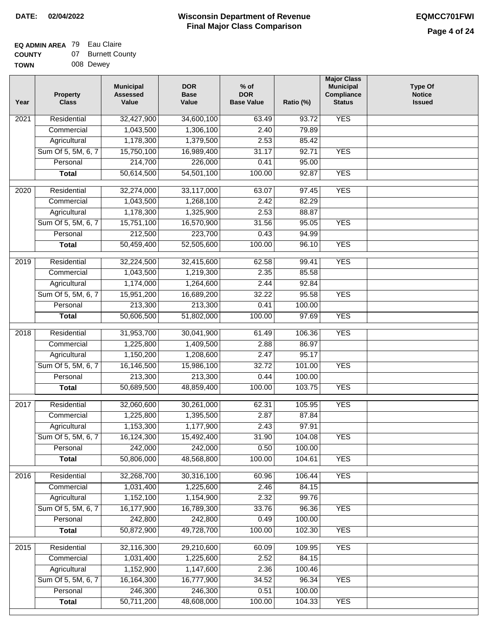#### **EQ ADMIN AREA** 79 Eau Claire **COUNTY**

| <b>COUNTY</b> | 07 | <b>Burnett County</b> |
|---------------|----|-----------------------|
| TOWN          |    | 008 Dewey             |

| Year | <b>Property</b><br><b>Class</b> | <b>Municipal</b><br><b>Assessed</b><br>Value | <b>DOR</b><br><b>Base</b><br>Value | $%$ of<br><b>DOR</b><br><b>Base Value</b> | Ratio (%) | <b>Major Class</b><br><b>Municipal</b><br>Compliance<br><b>Status</b> | <b>Type Of</b><br><b>Notice</b><br><b>Issued</b> |
|------|---------------------------------|----------------------------------------------|------------------------------------|-------------------------------------------|-----------|-----------------------------------------------------------------------|--------------------------------------------------|
| 2021 | Residential                     | 32,427,900                                   | 34,600,100                         | 63.49                                     | 93.72     | <b>YES</b>                                                            |                                                  |
|      | Commercial                      | 1,043,500                                    | 1,306,100                          | 2.40                                      | 79.89     |                                                                       |                                                  |
|      | Agricultural                    | 1,178,300                                    | 1,379,500                          | 2.53                                      | 85.42     |                                                                       |                                                  |
|      | Sum Of 5, 5M, 6, 7              | 15,750,100                                   | 16,989,400                         | 31.17                                     | 92.71     | <b>YES</b>                                                            |                                                  |
|      | Personal                        | 214,700                                      | 226,000                            | 0.41                                      | 95.00     |                                                                       |                                                  |
|      | <b>Total</b>                    | 50,614,500                                   | 54,501,100                         | 100.00                                    | 92.87     | <b>YES</b>                                                            |                                                  |
| 2020 | Residential                     | 32,274,000                                   | 33,117,000                         | 63.07                                     | 97.45     | <b>YES</b>                                                            |                                                  |
|      | Commercial                      | 1,043,500                                    | 1,268,100                          | 2.42                                      | 82.29     |                                                                       |                                                  |
|      | Agricultural                    | 1,178,300                                    | 1,325,900                          | 2.53                                      | 88.87     |                                                                       |                                                  |
|      | Sum Of 5, 5M, 6, 7              | 15,751,100                                   | 16,570,900                         | 31.56                                     | 95.05     | <b>YES</b>                                                            |                                                  |
|      | Personal                        | 212,500                                      | 223,700                            | 0.43                                      | 94.99     |                                                                       |                                                  |
|      | <b>Total</b>                    | 50,459,400                                   | 52,505,600                         | 100.00                                    | 96.10     | <b>YES</b>                                                            |                                                  |
|      |                                 |                                              |                                    |                                           |           |                                                                       |                                                  |
| 2019 | Residential                     | 32,224,500                                   | 32,415,600                         | 62.58                                     | 99.41     | <b>YES</b>                                                            |                                                  |
|      | Commercial                      | 1,043,500                                    | 1,219,300                          | 2.35                                      | 85.58     |                                                                       |                                                  |
|      | Agricultural                    | 1,174,000                                    | 1,264,600                          | 2.44                                      | 92.84     |                                                                       |                                                  |
|      | Sum Of 5, 5M, 6, 7              | 15,951,200                                   | 16,689,200                         | 32.22                                     | 95.58     | <b>YES</b>                                                            |                                                  |
|      | Personal                        | 213,300                                      | 213,300                            | 0.41                                      | 100.00    |                                                                       |                                                  |
|      | <b>Total</b>                    | 50,606,500                                   | 51,802,000                         | 100.00                                    | 97.69     | <b>YES</b>                                                            |                                                  |
| 2018 | Residential                     | 31,953,700                                   | 30,041,900                         | 61.49                                     | 106.36    | <b>YES</b>                                                            |                                                  |
|      | Commercial                      | 1,225,800                                    | 1,409,500                          | 2.88                                      | 86.97     |                                                                       |                                                  |
|      | Agricultural                    | 1,150,200                                    | 1,208,600                          | 2.47                                      | 95.17     |                                                                       |                                                  |
|      | Sum Of 5, 5M, 6, 7              | 16,146,500                                   | 15,986,100                         | 32.72                                     | 101.00    | <b>YES</b>                                                            |                                                  |
|      | Personal                        | 213,300                                      | 213,300                            | 0.44                                      | 100.00    |                                                                       |                                                  |
|      | <b>Total</b>                    | 50,689,500                                   | 48,859,400                         | 100.00                                    | 103.75    | <b>YES</b>                                                            |                                                  |
| 2017 | Residential                     | 32,060,600                                   | 30,261,000                         | 62.31                                     | 105.95    | <b>YES</b>                                                            |                                                  |
|      | Commercial                      | 1,225,800                                    | 1,395,500                          | 2.87                                      | 87.84     |                                                                       |                                                  |
|      | Agricultural                    | 1,153,300                                    | 1,177,900                          | 2.43                                      | 97.91     |                                                                       |                                                  |
|      | Sum Of 5, 5M, 6, 7              | 16,124,300                                   | 15,492,400                         | 31.90                                     | 104.08    | <b>YES</b>                                                            |                                                  |
|      | Personal                        | 242,000                                      | 242,000                            | 0.50                                      | 100.00    |                                                                       |                                                  |
|      | <b>Total</b>                    | 50,806,000                                   | 48,568,800                         | 100.00                                    | 104.61    | <b>YES</b>                                                            |                                                  |
| 2016 | Residential                     | 32,268,700                                   | 30,316,100                         | 60.96                                     | 106.44    | <b>YES</b>                                                            |                                                  |
|      | Commercial                      | 1,031,400                                    | 1,225,600                          | 2.46                                      | 84.15     |                                                                       |                                                  |
|      | Agricultural                    | 1,152,100                                    | 1,154,900                          | 2.32                                      | 99.76     |                                                                       |                                                  |
|      | Sum Of 5, 5M, 6, 7              | 16,177,900                                   | 16,789,300                         | 33.76                                     | 96.36     | <b>YES</b>                                                            |                                                  |
|      | Personal                        | 242,800                                      | 242,800                            | 0.49                                      | 100.00    |                                                                       |                                                  |
|      | <b>Total</b>                    | 50,872,900                                   | 49,728,700                         | 100.00                                    | 102.30    | <b>YES</b>                                                            |                                                  |
| 2015 | Residential                     | 32,116,300                                   | 29,210,600                         | 60.09                                     | 109.95    | <b>YES</b>                                                            |                                                  |
|      | Commercial                      | 1,031,400                                    | 1,225,600                          | 2.52                                      | 84.15     |                                                                       |                                                  |
|      | Agricultural                    | 1,152,900                                    | 1,147,600                          | 2.36                                      | 100.46    |                                                                       |                                                  |
|      | Sum Of 5, 5M, 6, 7              | 16, 164, 300                                 | 16,777,900                         | 34.52                                     | 96.34     | <b>YES</b>                                                            |                                                  |
|      | Personal                        | 246,300                                      | 246,300                            | 0.51                                      | 100.00    |                                                                       |                                                  |
|      | <b>Total</b>                    | 50,711,200                                   | 48,608,000                         | 100.00                                    | 104.33    | <b>YES</b>                                                            |                                                  |
|      |                                 |                                              |                                    |                                           |           |                                                                       |                                                  |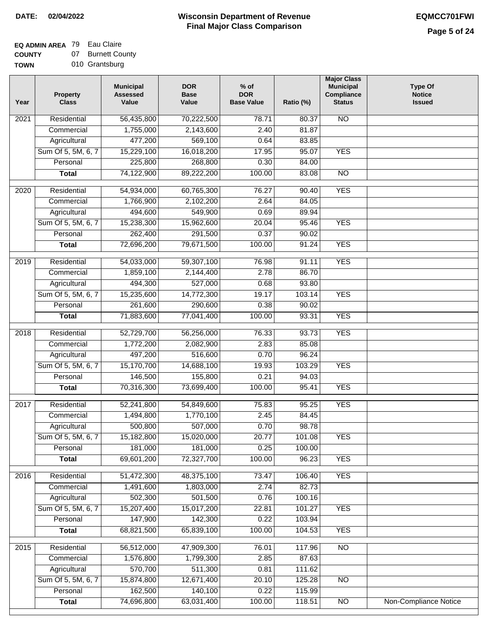## **EQ ADMIN AREA** 79 Eau Claire

**COUNTY TOW** 07 Burnett County

| N | 010 Grantsburg |
|---|----------------|
|   |                |

| N <sub>O</sub><br>Residential<br>56,435,800<br>2021<br>70,222,500<br>78.71<br>80.37<br>1,755,000<br>2,143,600<br>2.40<br>81.87<br>Commercial<br>Agricultural<br>477,200<br>569,100<br>0.64<br>83.85<br>Sum Of 5, 5M, 6, 7<br>15,229,100<br>16,018,200<br>17.95<br>95.07<br><b>YES</b><br>Personal<br>225,800<br>268,800<br>0.30<br>84.00<br>74,122,900<br>89,222,200<br>100.00<br>83.08<br>$\overline{NO}$<br><b>Total</b><br><b>YES</b><br>$\overline{2020}$<br>Residential<br>54,934,000<br>60,765,300<br>76.27<br>90.40<br>Commercial<br>1,766,900<br>2,102,200<br>2.64<br>84.05<br>Agricultural<br>494,600<br>549,900<br>0.69<br>89.94<br>Sum Of 5, 5M, 6, 7<br>15,962,600<br>95.46<br><b>YES</b><br>15,238,300<br>20.04<br>Personal<br>262,400<br>291,500<br>0.37<br>90.02<br><b>YES</b><br><b>Total</b><br>72,696,200<br>79,671,500<br>100.00<br>91.24<br><b>YES</b><br>Residential<br>$\frac{1}{2019}$<br>54,033,000<br>59,307,100<br>76.98<br>91.11<br>2.78<br>86.70<br>Commercial<br>1,859,100<br>2,144,400<br>Agricultural<br>494,300<br>527,000<br>0.68<br>93.80<br>Sum Of 5, 5M, 6, 7<br><b>YES</b><br>15,235,600<br>14,772,300<br>19.17<br>103.14<br>261,600<br>Personal<br>290,600<br>0.38<br>90.02<br><b>YES</b><br>71,883,600<br>77,041,400<br>100.00<br>93.31<br><b>Total</b><br><b>YES</b><br>2018<br>Residential<br>52,729,700<br>56,256,000<br>76.33<br>93.73<br>2.83<br>85.08<br>1,772,200<br>2,082,900<br>Commercial<br>497,200<br>0.70<br>516,600<br>96.24<br>Agricultural<br>Sum Of 5, 5M, 6, 7<br>15,170,700<br>14,688,100<br>19.93<br>103.29<br><b>YES</b><br>146,500<br>155,800<br>0.21<br>Personal<br>94.03<br><b>YES</b><br>70,316,300<br>73,699,400<br>100.00<br>95.41<br><b>Total</b><br>2017<br>Residential<br>54,849,600<br>75.83<br>95.25<br><b>YES</b><br>52,241,800<br>2.45<br>84.45<br>Commercial<br>1,494,800<br>1,770,100<br>500,800<br>507,000<br>0.70<br>98.78<br>Agricultural<br>Sum Of 5, 5M, 6, 7<br>15,182,800<br>15,020,000<br>20.77<br>101.08<br>YES<br>Personal<br>181,000<br>181,000<br>0.25<br>100.00<br>69,601,200<br>72,327,700<br>100.00<br>96.23<br><b>YES</b><br><b>Total</b><br><b>YES</b><br>Residential<br>51,472,300<br>48,375,100<br>73.47<br>106.40<br>2016<br>2.74<br>Commercial<br>1,491,600<br>1,803,000<br>82.73<br>502,300<br>501,500<br>100.16<br>Agricultural<br>0.76<br>Sum Of 5, 5M, 6, 7<br>15,207,400<br>15,017,200<br>101.27<br><b>YES</b><br>22.81<br>147,900<br>142,300<br>Personal<br>0.22<br>103.94<br><b>Total</b><br>68,821,500<br>65,839,100<br>100.00<br>104.53<br><b>YES</b><br>N <sub>O</sub><br>Residential<br>56,512,000<br>47,909,300<br>2015<br>76.01<br>117.96<br>2.85<br>1,576,800<br>1,799,300<br>87.63<br>Commercial<br>570,700<br>511,300<br>111.62<br>Agricultural<br>0.81<br>Sum Of 5, 5M, 6, 7<br>15,874,800<br>12,671,400<br>20.10<br>$\overline{NO}$<br>125.28<br>162,500<br>140,100<br>Personal<br>0.22<br>115.99<br>74,696,800<br><b>Non-Compliance Notice</b><br>63,031,400<br>100.00<br>118.51<br>$\overline{NO}$<br><b>Total</b> | Year | <b>Property</b><br><b>Class</b> | <b>Municipal</b><br><b>Assessed</b><br>Value | <b>DOR</b><br><b>Base</b><br>Value | $%$ of<br><b>DOR</b><br><b>Base Value</b> | Ratio (%) | <b>Major Class</b><br><b>Municipal</b><br>Compliance<br><b>Status</b> | <b>Type Of</b><br><b>Notice</b><br><b>Issued</b> |
|----------------------------------------------------------------------------------------------------------------------------------------------------------------------------------------------------------------------------------------------------------------------------------------------------------------------------------------------------------------------------------------------------------------------------------------------------------------------------------------------------------------------------------------------------------------------------------------------------------------------------------------------------------------------------------------------------------------------------------------------------------------------------------------------------------------------------------------------------------------------------------------------------------------------------------------------------------------------------------------------------------------------------------------------------------------------------------------------------------------------------------------------------------------------------------------------------------------------------------------------------------------------------------------------------------------------------------------------------------------------------------------------------------------------------------------------------------------------------------------------------------------------------------------------------------------------------------------------------------------------------------------------------------------------------------------------------------------------------------------------------------------------------------------------------------------------------------------------------------------------------------------------------------------------------------------------------------------------------------------------------------------------------------------------------------------------------------------------------------------------------------------------------------------------------------------------------------------------------------------------------------------------------------------------------------------------------------------------------------------------------------------------------------------------------------------------------------------------------------------------------------------------------------------------------------------------------------------------------------------------------------------------------------------------------------------------------------------------------------------------------------------------------------------------------------------------------------------------------------------------------------------------------------------------------------------------------------------------------------------------------------------------------------------|------|---------------------------------|----------------------------------------------|------------------------------------|-------------------------------------------|-----------|-----------------------------------------------------------------------|--------------------------------------------------|
|                                                                                                                                                                                                                                                                                                                                                                                                                                                                                                                                                                                                                                                                                                                                                                                                                                                                                                                                                                                                                                                                                                                                                                                                                                                                                                                                                                                                                                                                                                                                                                                                                                                                                                                                                                                                                                                                                                                                                                                                                                                                                                                                                                                                                                                                                                                                                                                                                                                                                                                                                                                                                                                                                                                                                                                                                                                                                                                                                                                                                                        |      |                                 |                                              |                                    |                                           |           |                                                                       |                                                  |
|                                                                                                                                                                                                                                                                                                                                                                                                                                                                                                                                                                                                                                                                                                                                                                                                                                                                                                                                                                                                                                                                                                                                                                                                                                                                                                                                                                                                                                                                                                                                                                                                                                                                                                                                                                                                                                                                                                                                                                                                                                                                                                                                                                                                                                                                                                                                                                                                                                                                                                                                                                                                                                                                                                                                                                                                                                                                                                                                                                                                                                        |      |                                 |                                              |                                    |                                           |           |                                                                       |                                                  |
|                                                                                                                                                                                                                                                                                                                                                                                                                                                                                                                                                                                                                                                                                                                                                                                                                                                                                                                                                                                                                                                                                                                                                                                                                                                                                                                                                                                                                                                                                                                                                                                                                                                                                                                                                                                                                                                                                                                                                                                                                                                                                                                                                                                                                                                                                                                                                                                                                                                                                                                                                                                                                                                                                                                                                                                                                                                                                                                                                                                                                                        |      |                                 |                                              |                                    |                                           |           |                                                                       |                                                  |
|                                                                                                                                                                                                                                                                                                                                                                                                                                                                                                                                                                                                                                                                                                                                                                                                                                                                                                                                                                                                                                                                                                                                                                                                                                                                                                                                                                                                                                                                                                                                                                                                                                                                                                                                                                                                                                                                                                                                                                                                                                                                                                                                                                                                                                                                                                                                                                                                                                                                                                                                                                                                                                                                                                                                                                                                                                                                                                                                                                                                                                        |      |                                 |                                              |                                    |                                           |           |                                                                       |                                                  |
|                                                                                                                                                                                                                                                                                                                                                                                                                                                                                                                                                                                                                                                                                                                                                                                                                                                                                                                                                                                                                                                                                                                                                                                                                                                                                                                                                                                                                                                                                                                                                                                                                                                                                                                                                                                                                                                                                                                                                                                                                                                                                                                                                                                                                                                                                                                                                                                                                                                                                                                                                                                                                                                                                                                                                                                                                                                                                                                                                                                                                                        |      |                                 |                                              |                                    |                                           |           |                                                                       |                                                  |
|                                                                                                                                                                                                                                                                                                                                                                                                                                                                                                                                                                                                                                                                                                                                                                                                                                                                                                                                                                                                                                                                                                                                                                                                                                                                                                                                                                                                                                                                                                                                                                                                                                                                                                                                                                                                                                                                                                                                                                                                                                                                                                                                                                                                                                                                                                                                                                                                                                                                                                                                                                                                                                                                                                                                                                                                                                                                                                                                                                                                                                        |      |                                 |                                              |                                    |                                           |           |                                                                       |                                                  |
|                                                                                                                                                                                                                                                                                                                                                                                                                                                                                                                                                                                                                                                                                                                                                                                                                                                                                                                                                                                                                                                                                                                                                                                                                                                                                                                                                                                                                                                                                                                                                                                                                                                                                                                                                                                                                                                                                                                                                                                                                                                                                                                                                                                                                                                                                                                                                                                                                                                                                                                                                                                                                                                                                                                                                                                                                                                                                                                                                                                                                                        |      |                                 |                                              |                                    |                                           |           |                                                                       |                                                  |
|                                                                                                                                                                                                                                                                                                                                                                                                                                                                                                                                                                                                                                                                                                                                                                                                                                                                                                                                                                                                                                                                                                                                                                                                                                                                                                                                                                                                                                                                                                                                                                                                                                                                                                                                                                                                                                                                                                                                                                                                                                                                                                                                                                                                                                                                                                                                                                                                                                                                                                                                                                                                                                                                                                                                                                                                                                                                                                                                                                                                                                        |      |                                 |                                              |                                    |                                           |           |                                                                       |                                                  |
|                                                                                                                                                                                                                                                                                                                                                                                                                                                                                                                                                                                                                                                                                                                                                                                                                                                                                                                                                                                                                                                                                                                                                                                                                                                                                                                                                                                                                                                                                                                                                                                                                                                                                                                                                                                                                                                                                                                                                                                                                                                                                                                                                                                                                                                                                                                                                                                                                                                                                                                                                                                                                                                                                                                                                                                                                                                                                                                                                                                                                                        |      |                                 |                                              |                                    |                                           |           |                                                                       |                                                  |
|                                                                                                                                                                                                                                                                                                                                                                                                                                                                                                                                                                                                                                                                                                                                                                                                                                                                                                                                                                                                                                                                                                                                                                                                                                                                                                                                                                                                                                                                                                                                                                                                                                                                                                                                                                                                                                                                                                                                                                                                                                                                                                                                                                                                                                                                                                                                                                                                                                                                                                                                                                                                                                                                                                                                                                                                                                                                                                                                                                                                                                        |      |                                 |                                              |                                    |                                           |           |                                                                       |                                                  |
|                                                                                                                                                                                                                                                                                                                                                                                                                                                                                                                                                                                                                                                                                                                                                                                                                                                                                                                                                                                                                                                                                                                                                                                                                                                                                                                                                                                                                                                                                                                                                                                                                                                                                                                                                                                                                                                                                                                                                                                                                                                                                                                                                                                                                                                                                                                                                                                                                                                                                                                                                                                                                                                                                                                                                                                                                                                                                                                                                                                                                                        |      |                                 |                                              |                                    |                                           |           |                                                                       |                                                  |
|                                                                                                                                                                                                                                                                                                                                                                                                                                                                                                                                                                                                                                                                                                                                                                                                                                                                                                                                                                                                                                                                                                                                                                                                                                                                                                                                                                                                                                                                                                                                                                                                                                                                                                                                                                                                                                                                                                                                                                                                                                                                                                                                                                                                                                                                                                                                                                                                                                                                                                                                                                                                                                                                                                                                                                                                                                                                                                                                                                                                                                        |      |                                 |                                              |                                    |                                           |           |                                                                       |                                                  |
|                                                                                                                                                                                                                                                                                                                                                                                                                                                                                                                                                                                                                                                                                                                                                                                                                                                                                                                                                                                                                                                                                                                                                                                                                                                                                                                                                                                                                                                                                                                                                                                                                                                                                                                                                                                                                                                                                                                                                                                                                                                                                                                                                                                                                                                                                                                                                                                                                                                                                                                                                                                                                                                                                                                                                                                                                                                                                                                                                                                                                                        |      |                                 |                                              |                                    |                                           |           |                                                                       |                                                  |
|                                                                                                                                                                                                                                                                                                                                                                                                                                                                                                                                                                                                                                                                                                                                                                                                                                                                                                                                                                                                                                                                                                                                                                                                                                                                                                                                                                                                                                                                                                                                                                                                                                                                                                                                                                                                                                                                                                                                                                                                                                                                                                                                                                                                                                                                                                                                                                                                                                                                                                                                                                                                                                                                                                                                                                                                                                                                                                                                                                                                                                        |      |                                 |                                              |                                    |                                           |           |                                                                       |                                                  |
|                                                                                                                                                                                                                                                                                                                                                                                                                                                                                                                                                                                                                                                                                                                                                                                                                                                                                                                                                                                                                                                                                                                                                                                                                                                                                                                                                                                                                                                                                                                                                                                                                                                                                                                                                                                                                                                                                                                                                                                                                                                                                                                                                                                                                                                                                                                                                                                                                                                                                                                                                                                                                                                                                                                                                                                                                                                                                                                                                                                                                                        |      |                                 |                                              |                                    |                                           |           |                                                                       |                                                  |
|                                                                                                                                                                                                                                                                                                                                                                                                                                                                                                                                                                                                                                                                                                                                                                                                                                                                                                                                                                                                                                                                                                                                                                                                                                                                                                                                                                                                                                                                                                                                                                                                                                                                                                                                                                                                                                                                                                                                                                                                                                                                                                                                                                                                                                                                                                                                                                                                                                                                                                                                                                                                                                                                                                                                                                                                                                                                                                                                                                                                                                        |      |                                 |                                              |                                    |                                           |           |                                                                       |                                                  |
|                                                                                                                                                                                                                                                                                                                                                                                                                                                                                                                                                                                                                                                                                                                                                                                                                                                                                                                                                                                                                                                                                                                                                                                                                                                                                                                                                                                                                                                                                                                                                                                                                                                                                                                                                                                                                                                                                                                                                                                                                                                                                                                                                                                                                                                                                                                                                                                                                                                                                                                                                                                                                                                                                                                                                                                                                                                                                                                                                                                                                                        |      |                                 |                                              |                                    |                                           |           |                                                                       |                                                  |
|                                                                                                                                                                                                                                                                                                                                                                                                                                                                                                                                                                                                                                                                                                                                                                                                                                                                                                                                                                                                                                                                                                                                                                                                                                                                                                                                                                                                                                                                                                                                                                                                                                                                                                                                                                                                                                                                                                                                                                                                                                                                                                                                                                                                                                                                                                                                                                                                                                                                                                                                                                                                                                                                                                                                                                                                                                                                                                                                                                                                                                        |      |                                 |                                              |                                    |                                           |           |                                                                       |                                                  |
|                                                                                                                                                                                                                                                                                                                                                                                                                                                                                                                                                                                                                                                                                                                                                                                                                                                                                                                                                                                                                                                                                                                                                                                                                                                                                                                                                                                                                                                                                                                                                                                                                                                                                                                                                                                                                                                                                                                                                                                                                                                                                                                                                                                                                                                                                                                                                                                                                                                                                                                                                                                                                                                                                                                                                                                                                                                                                                                                                                                                                                        |      |                                 |                                              |                                    |                                           |           |                                                                       |                                                  |
|                                                                                                                                                                                                                                                                                                                                                                                                                                                                                                                                                                                                                                                                                                                                                                                                                                                                                                                                                                                                                                                                                                                                                                                                                                                                                                                                                                                                                                                                                                                                                                                                                                                                                                                                                                                                                                                                                                                                                                                                                                                                                                                                                                                                                                                                                                                                                                                                                                                                                                                                                                                                                                                                                                                                                                                                                                                                                                                                                                                                                                        |      |                                 |                                              |                                    |                                           |           |                                                                       |                                                  |
|                                                                                                                                                                                                                                                                                                                                                                                                                                                                                                                                                                                                                                                                                                                                                                                                                                                                                                                                                                                                                                                                                                                                                                                                                                                                                                                                                                                                                                                                                                                                                                                                                                                                                                                                                                                                                                                                                                                                                                                                                                                                                                                                                                                                                                                                                                                                                                                                                                                                                                                                                                                                                                                                                                                                                                                                                                                                                                                                                                                                                                        |      |                                 |                                              |                                    |                                           |           |                                                                       |                                                  |
|                                                                                                                                                                                                                                                                                                                                                                                                                                                                                                                                                                                                                                                                                                                                                                                                                                                                                                                                                                                                                                                                                                                                                                                                                                                                                                                                                                                                                                                                                                                                                                                                                                                                                                                                                                                                                                                                                                                                                                                                                                                                                                                                                                                                                                                                                                                                                                                                                                                                                                                                                                                                                                                                                                                                                                                                                                                                                                                                                                                                                                        |      |                                 |                                              |                                    |                                           |           |                                                                       |                                                  |
|                                                                                                                                                                                                                                                                                                                                                                                                                                                                                                                                                                                                                                                                                                                                                                                                                                                                                                                                                                                                                                                                                                                                                                                                                                                                                                                                                                                                                                                                                                                                                                                                                                                                                                                                                                                                                                                                                                                                                                                                                                                                                                                                                                                                                                                                                                                                                                                                                                                                                                                                                                                                                                                                                                                                                                                                                                                                                                                                                                                                                                        |      |                                 |                                              |                                    |                                           |           |                                                                       |                                                  |
|                                                                                                                                                                                                                                                                                                                                                                                                                                                                                                                                                                                                                                                                                                                                                                                                                                                                                                                                                                                                                                                                                                                                                                                                                                                                                                                                                                                                                                                                                                                                                                                                                                                                                                                                                                                                                                                                                                                                                                                                                                                                                                                                                                                                                                                                                                                                                                                                                                                                                                                                                                                                                                                                                                                                                                                                                                                                                                                                                                                                                                        |      |                                 |                                              |                                    |                                           |           |                                                                       |                                                  |
|                                                                                                                                                                                                                                                                                                                                                                                                                                                                                                                                                                                                                                                                                                                                                                                                                                                                                                                                                                                                                                                                                                                                                                                                                                                                                                                                                                                                                                                                                                                                                                                                                                                                                                                                                                                                                                                                                                                                                                                                                                                                                                                                                                                                                                                                                                                                                                                                                                                                                                                                                                                                                                                                                                                                                                                                                                                                                                                                                                                                                                        |      |                                 |                                              |                                    |                                           |           |                                                                       |                                                  |
|                                                                                                                                                                                                                                                                                                                                                                                                                                                                                                                                                                                                                                                                                                                                                                                                                                                                                                                                                                                                                                                                                                                                                                                                                                                                                                                                                                                                                                                                                                                                                                                                                                                                                                                                                                                                                                                                                                                                                                                                                                                                                                                                                                                                                                                                                                                                                                                                                                                                                                                                                                                                                                                                                                                                                                                                                                                                                                                                                                                                                                        |      |                                 |                                              |                                    |                                           |           |                                                                       |                                                  |
|                                                                                                                                                                                                                                                                                                                                                                                                                                                                                                                                                                                                                                                                                                                                                                                                                                                                                                                                                                                                                                                                                                                                                                                                                                                                                                                                                                                                                                                                                                                                                                                                                                                                                                                                                                                                                                                                                                                                                                                                                                                                                                                                                                                                                                                                                                                                                                                                                                                                                                                                                                                                                                                                                                                                                                                                                                                                                                                                                                                                                                        |      |                                 |                                              |                                    |                                           |           |                                                                       |                                                  |
|                                                                                                                                                                                                                                                                                                                                                                                                                                                                                                                                                                                                                                                                                                                                                                                                                                                                                                                                                                                                                                                                                                                                                                                                                                                                                                                                                                                                                                                                                                                                                                                                                                                                                                                                                                                                                                                                                                                                                                                                                                                                                                                                                                                                                                                                                                                                                                                                                                                                                                                                                                                                                                                                                                                                                                                                                                                                                                                                                                                                                                        |      |                                 |                                              |                                    |                                           |           |                                                                       |                                                  |
|                                                                                                                                                                                                                                                                                                                                                                                                                                                                                                                                                                                                                                                                                                                                                                                                                                                                                                                                                                                                                                                                                                                                                                                                                                                                                                                                                                                                                                                                                                                                                                                                                                                                                                                                                                                                                                                                                                                                                                                                                                                                                                                                                                                                                                                                                                                                                                                                                                                                                                                                                                                                                                                                                                                                                                                                                                                                                                                                                                                                                                        |      |                                 |                                              |                                    |                                           |           |                                                                       |                                                  |
|                                                                                                                                                                                                                                                                                                                                                                                                                                                                                                                                                                                                                                                                                                                                                                                                                                                                                                                                                                                                                                                                                                                                                                                                                                                                                                                                                                                                                                                                                                                                                                                                                                                                                                                                                                                                                                                                                                                                                                                                                                                                                                                                                                                                                                                                                                                                                                                                                                                                                                                                                                                                                                                                                                                                                                                                                                                                                                                                                                                                                                        |      |                                 |                                              |                                    |                                           |           |                                                                       |                                                  |
|                                                                                                                                                                                                                                                                                                                                                                                                                                                                                                                                                                                                                                                                                                                                                                                                                                                                                                                                                                                                                                                                                                                                                                                                                                                                                                                                                                                                                                                                                                                                                                                                                                                                                                                                                                                                                                                                                                                                                                                                                                                                                                                                                                                                                                                                                                                                                                                                                                                                                                                                                                                                                                                                                                                                                                                                                                                                                                                                                                                                                                        |      |                                 |                                              |                                    |                                           |           |                                                                       |                                                  |
|                                                                                                                                                                                                                                                                                                                                                                                                                                                                                                                                                                                                                                                                                                                                                                                                                                                                                                                                                                                                                                                                                                                                                                                                                                                                                                                                                                                                                                                                                                                                                                                                                                                                                                                                                                                                                                                                                                                                                                                                                                                                                                                                                                                                                                                                                                                                                                                                                                                                                                                                                                                                                                                                                                                                                                                                                                                                                                                                                                                                                                        |      |                                 |                                              |                                    |                                           |           |                                                                       |                                                  |
|                                                                                                                                                                                                                                                                                                                                                                                                                                                                                                                                                                                                                                                                                                                                                                                                                                                                                                                                                                                                                                                                                                                                                                                                                                                                                                                                                                                                                                                                                                                                                                                                                                                                                                                                                                                                                                                                                                                                                                                                                                                                                                                                                                                                                                                                                                                                                                                                                                                                                                                                                                                                                                                                                                                                                                                                                                                                                                                                                                                                                                        |      |                                 |                                              |                                    |                                           |           |                                                                       |                                                  |
|                                                                                                                                                                                                                                                                                                                                                                                                                                                                                                                                                                                                                                                                                                                                                                                                                                                                                                                                                                                                                                                                                                                                                                                                                                                                                                                                                                                                                                                                                                                                                                                                                                                                                                                                                                                                                                                                                                                                                                                                                                                                                                                                                                                                                                                                                                                                                                                                                                                                                                                                                                                                                                                                                                                                                                                                                                                                                                                                                                                                                                        |      |                                 |                                              |                                    |                                           |           |                                                                       |                                                  |
|                                                                                                                                                                                                                                                                                                                                                                                                                                                                                                                                                                                                                                                                                                                                                                                                                                                                                                                                                                                                                                                                                                                                                                                                                                                                                                                                                                                                                                                                                                                                                                                                                                                                                                                                                                                                                                                                                                                                                                                                                                                                                                                                                                                                                                                                                                                                                                                                                                                                                                                                                                                                                                                                                                                                                                                                                                                                                                                                                                                                                                        |      |                                 |                                              |                                    |                                           |           |                                                                       |                                                  |
|                                                                                                                                                                                                                                                                                                                                                                                                                                                                                                                                                                                                                                                                                                                                                                                                                                                                                                                                                                                                                                                                                                                                                                                                                                                                                                                                                                                                                                                                                                                                                                                                                                                                                                                                                                                                                                                                                                                                                                                                                                                                                                                                                                                                                                                                                                                                                                                                                                                                                                                                                                                                                                                                                                                                                                                                                                                                                                                                                                                                                                        |      |                                 |                                              |                                    |                                           |           |                                                                       |                                                  |
|                                                                                                                                                                                                                                                                                                                                                                                                                                                                                                                                                                                                                                                                                                                                                                                                                                                                                                                                                                                                                                                                                                                                                                                                                                                                                                                                                                                                                                                                                                                                                                                                                                                                                                                                                                                                                                                                                                                                                                                                                                                                                                                                                                                                                                                                                                                                                                                                                                                                                                                                                                                                                                                                                                                                                                                                                                                                                                                                                                                                                                        |      |                                 |                                              |                                    |                                           |           |                                                                       |                                                  |
|                                                                                                                                                                                                                                                                                                                                                                                                                                                                                                                                                                                                                                                                                                                                                                                                                                                                                                                                                                                                                                                                                                                                                                                                                                                                                                                                                                                                                                                                                                                                                                                                                                                                                                                                                                                                                                                                                                                                                                                                                                                                                                                                                                                                                                                                                                                                                                                                                                                                                                                                                                                                                                                                                                                                                                                                                                                                                                                                                                                                                                        |      |                                 |                                              |                                    |                                           |           |                                                                       |                                                  |
|                                                                                                                                                                                                                                                                                                                                                                                                                                                                                                                                                                                                                                                                                                                                                                                                                                                                                                                                                                                                                                                                                                                                                                                                                                                                                                                                                                                                                                                                                                                                                                                                                                                                                                                                                                                                                                                                                                                                                                                                                                                                                                                                                                                                                                                                                                                                                                                                                                                                                                                                                                                                                                                                                                                                                                                                                                                                                                                                                                                                                                        |      |                                 |                                              |                                    |                                           |           |                                                                       |                                                  |
|                                                                                                                                                                                                                                                                                                                                                                                                                                                                                                                                                                                                                                                                                                                                                                                                                                                                                                                                                                                                                                                                                                                                                                                                                                                                                                                                                                                                                                                                                                                                                                                                                                                                                                                                                                                                                                                                                                                                                                                                                                                                                                                                                                                                                                                                                                                                                                                                                                                                                                                                                                                                                                                                                                                                                                                                                                                                                                                                                                                                                                        |      |                                 |                                              |                                    |                                           |           |                                                                       |                                                  |
|                                                                                                                                                                                                                                                                                                                                                                                                                                                                                                                                                                                                                                                                                                                                                                                                                                                                                                                                                                                                                                                                                                                                                                                                                                                                                                                                                                                                                                                                                                                                                                                                                                                                                                                                                                                                                                                                                                                                                                                                                                                                                                                                                                                                                                                                                                                                                                                                                                                                                                                                                                                                                                                                                                                                                                                                                                                                                                                                                                                                                                        |      |                                 |                                              |                                    |                                           |           |                                                                       |                                                  |
|                                                                                                                                                                                                                                                                                                                                                                                                                                                                                                                                                                                                                                                                                                                                                                                                                                                                                                                                                                                                                                                                                                                                                                                                                                                                                                                                                                                                                                                                                                                                                                                                                                                                                                                                                                                                                                                                                                                                                                                                                                                                                                                                                                                                                                                                                                                                                                                                                                                                                                                                                                                                                                                                                                                                                                                                                                                                                                                                                                                                                                        |      |                                 |                                              |                                    |                                           |           |                                                                       |                                                  |
|                                                                                                                                                                                                                                                                                                                                                                                                                                                                                                                                                                                                                                                                                                                                                                                                                                                                                                                                                                                                                                                                                                                                                                                                                                                                                                                                                                                                                                                                                                                                                                                                                                                                                                                                                                                                                                                                                                                                                                                                                                                                                                                                                                                                                                                                                                                                                                                                                                                                                                                                                                                                                                                                                                                                                                                                                                                                                                                                                                                                                                        |      |                                 |                                              |                                    |                                           |           |                                                                       |                                                  |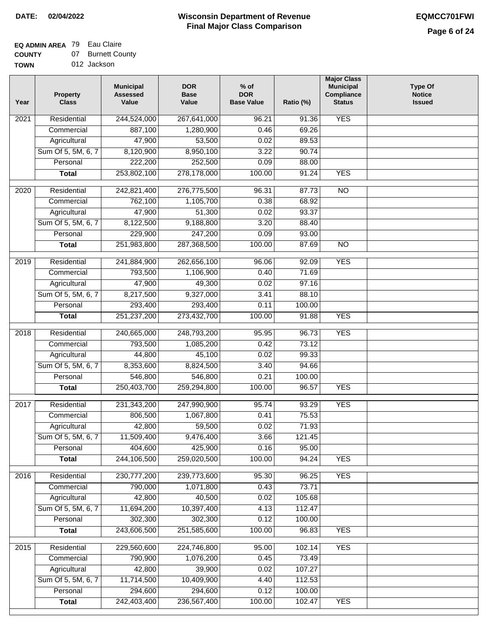# **EQ ADMIN AREA** 79 Eau Claire

**COUNTY TOWN** 07 Burnett County

| Year              | <b>Property</b><br><b>Class</b> | <b>Municipal</b><br><b>Assessed</b><br>Value | <b>DOR</b><br><b>Base</b><br>Value | $%$ of<br><b>DOR</b><br><b>Base Value</b> | Ratio (%) | <b>Major Class</b><br><b>Municipal</b><br>Compliance<br><b>Status</b> | <b>Type Of</b><br><b>Notice</b><br><b>Issued</b> |
|-------------------|---------------------------------|----------------------------------------------|------------------------------------|-------------------------------------------|-----------|-----------------------------------------------------------------------|--------------------------------------------------|
| $\overline{202}1$ | Residential                     | 244,524,000                                  | 267,641,000                        | 96.21                                     | 91.36     | <b>YES</b>                                                            |                                                  |
|                   | Commercial                      | 887,100                                      | 1,280,900                          | 0.46                                      | 69.26     |                                                                       |                                                  |
|                   | Agricultural                    | 47,900                                       | 53,500                             | 0.02                                      | 89.53     |                                                                       |                                                  |
|                   | Sum Of 5, 5M, 6, 7              | 8,120,900                                    | 8,950,100                          | 3.22                                      | 90.74     |                                                                       |                                                  |
|                   | Personal                        | 222,200                                      | 252,500                            | 0.09                                      | 88.00     |                                                                       |                                                  |
|                   | <b>Total</b>                    | 253,802,100                                  | 278,178,000                        | 100.00                                    | 91.24     | <b>YES</b>                                                            |                                                  |
| $\overline{2020}$ | Residential                     | 242,821,400                                  | 276,775,500                        | 96.31                                     | 87.73     | $\overline{10}$                                                       |                                                  |
|                   | Commercial                      | 762,100                                      | 1,105,700                          | 0.38                                      | 68.92     |                                                                       |                                                  |
|                   | Agricultural                    | 47,900                                       | 51,300                             | 0.02                                      | 93.37     |                                                                       |                                                  |
|                   | Sum Of 5, 5M, 6, 7              | 8,122,500                                    | 9,188,800                          | 3.20                                      | 88.40     |                                                                       |                                                  |
|                   | Personal                        | 229,900                                      | 247,200                            | 0.09                                      | 93.00     |                                                                       |                                                  |
|                   | <b>Total</b>                    | 251,983,800                                  | 287,368,500                        | 100.00                                    | 87.69     | $\overline{NO}$                                                       |                                                  |
| 2019              | Residential                     | 241,884,900                                  | 262,656,100                        | 96.06                                     | 92.09     | <b>YES</b>                                                            |                                                  |
|                   | Commercial                      | 793,500                                      | 1,106,900                          | 0.40                                      | 71.69     |                                                                       |                                                  |
|                   | Agricultural                    | 47,900                                       | 49,300                             | 0.02                                      | 97.16     |                                                                       |                                                  |
|                   | Sum Of 5, 5M, 6, 7              | 8,217,500                                    | 9,327,000                          | 3.41                                      | 88.10     |                                                                       |                                                  |
|                   | Personal                        | 293,400                                      | 293,400                            | 0.11                                      | 100.00    |                                                                       |                                                  |
|                   | <b>Total</b>                    | 251,237,200                                  | 273,432,700                        | 100.00                                    | 91.88     | <b>YES</b>                                                            |                                                  |
| 2018              | Residential                     | 240,665,000                                  | 248,793,200                        | 95.95                                     | 96.73     | <b>YES</b>                                                            |                                                  |
|                   | Commercial                      | 793,500                                      | 1,085,200                          | 0.42                                      | 73.12     |                                                                       |                                                  |
|                   | Agricultural                    | 44,800                                       | 45,100                             | 0.02                                      | 99.33     |                                                                       |                                                  |
|                   | Sum Of 5, 5M, 6, 7              | 8,353,600                                    | 8,824,500                          | 3.40                                      | 94.66     |                                                                       |                                                  |
|                   | Personal                        | 546,800                                      | 546,800                            | 0.21                                      | 100.00    |                                                                       |                                                  |
|                   | <b>Total</b>                    | 250,403,700                                  | 259,294,800                        | 100.00                                    | 96.57     | <b>YES</b>                                                            |                                                  |
| $\overline{2017}$ | Residential                     |                                              |                                    | 95.74                                     | 93.29     | <b>YES</b>                                                            |                                                  |
|                   | Commercial                      | 231,343,200<br>806,500                       | 247,990,900<br>1,067,800           |                                           | 75.53     |                                                                       |                                                  |
|                   | Agricultural                    | 42,800                                       | 59,500                             | 0.41<br>0.02                              | 71.93     |                                                                       |                                                  |
|                   | Sum Of 5, 5M, 6, 7              | 11,509,400                                   | 9,476,400                          | 3.66                                      | 121.45    |                                                                       |                                                  |
|                   | Personal                        | 404,600                                      | 425,900                            | 0.16                                      | 95.00     |                                                                       |                                                  |
|                   | <b>Total</b>                    | 244,106,500                                  | 259,020,500                        | 100.00                                    | 94.24     | <b>YES</b>                                                            |                                                  |
|                   |                                 |                                              |                                    |                                           |           |                                                                       |                                                  |
| 2016              | Residential                     | 230,777,200                                  | 239,773,600                        | 95.30                                     | 96.25     | <b>YES</b>                                                            |                                                  |
|                   | Commercial                      | 790,000                                      | 1,071,800                          | 0.43                                      | 73.71     |                                                                       |                                                  |
|                   | Agricultural                    | 42,800                                       | 40,500                             | 0.02                                      | 105.68    |                                                                       |                                                  |
|                   | Sum Of 5, 5M, 6, 7              | 11,694,200                                   | 10,397,400                         | 4.13                                      | 112.47    |                                                                       |                                                  |
|                   | Personal                        | 302,300                                      | 302,300                            | 0.12                                      | 100.00    |                                                                       |                                                  |
|                   | <b>Total</b>                    | 243,606,500                                  | 251,585,600                        | 100.00                                    | 96.83     | <b>YES</b>                                                            |                                                  |
| 2015              | Residential                     | 229,560,600                                  | 224,746,800                        | 95.00                                     | 102.14    | <b>YES</b>                                                            |                                                  |
|                   | Commercial                      | 790,900                                      | 1,076,200                          | 0.45                                      | 73.49     |                                                                       |                                                  |
|                   | Agricultural                    | 42,800                                       | 39,900                             | 0.02                                      | 107.27    |                                                                       |                                                  |
|                   | Sum Of 5, 5M, 6, 7              | 11,714,500                                   | 10,409,900                         | 4.40                                      | 112.53    |                                                                       |                                                  |
|                   | Personal                        | 294,600                                      | 294,600                            | 0.12                                      | 100.00    |                                                                       |                                                  |
|                   | <b>Total</b>                    | 242,403,400                                  | 236,567,400                        | 100.00                                    | 102.47    | <b>YES</b>                                                            |                                                  |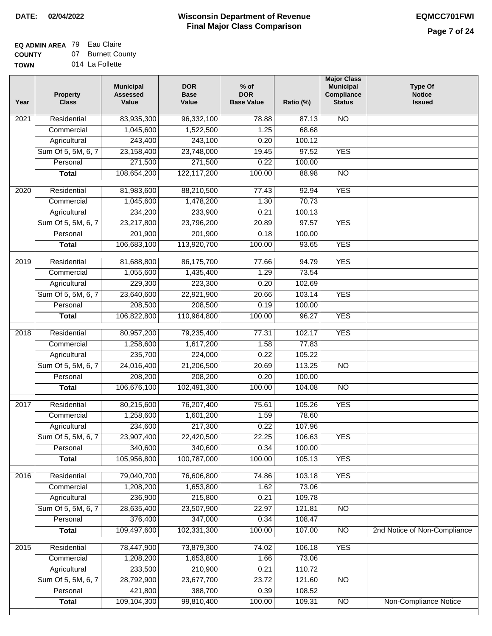#### **Wisconsin Department of Revenue Final Major Class Comparison DATE: 02/04/2022 EQMCC701FWI**

# **EQ ADMIN AREA** 79 Eau Claire

**COUNTY** 07 Burnett County **TOWN**

| U I Y | ,,, | <b>DUITER COUR</b> |
|-------|-----|--------------------|
| V     |     | 014 La Follette    |

| Year              | <b>Property</b><br><b>Class</b> | <b>Municipal</b><br><b>Assessed</b><br>Value | <b>DOR</b><br><b>Base</b><br>Value | $%$ of<br><b>DOR</b><br><b>Base Value</b> | Ratio (%) | <b>Major Class</b><br><b>Municipal</b><br>Compliance<br><b>Status</b> | <b>Type Of</b><br><b>Notice</b><br><b>Issued</b> |
|-------------------|---------------------------------|----------------------------------------------|------------------------------------|-------------------------------------------|-----------|-----------------------------------------------------------------------|--------------------------------------------------|
| 2021              | Residential                     | 83,935,300                                   | 96,332,100                         | 78.88                                     | 87.13     | <b>NO</b>                                                             |                                                  |
|                   | Commercial                      | 1,045,600                                    | 1,522,500                          | 1.25                                      | 68.68     |                                                                       |                                                  |
|                   | Agricultural                    | 243,400                                      | 243,100                            | 0.20                                      | 100.12    |                                                                       |                                                  |
|                   | Sum Of 5, 5M, 6, 7              | 23,158,400                                   | 23,748,000                         | 19.45                                     | 97.52     | <b>YES</b>                                                            |                                                  |
|                   | Personal                        | 271,500                                      | 271,500                            | 0.22                                      | 100.00    |                                                                       |                                                  |
|                   | <b>Total</b>                    | 108,654,200                                  | 122,117,200                        | 100.00                                    | 88.98     | $\overline{NO}$                                                       |                                                  |
| $\overline{2020}$ | Residential                     | 81,983,600                                   | 88,210,500                         | 77.43                                     | 92.94     | <b>YES</b>                                                            |                                                  |
|                   | Commercial                      | 1,045,600                                    | 1,478,200                          | 1.30                                      | 70.73     |                                                                       |                                                  |
|                   | Agricultural                    | 234,200                                      | 233,900                            | 0.21                                      | 100.13    |                                                                       |                                                  |
|                   | Sum Of 5, 5M, 6, 7              | 23,217,800                                   | 23,796,200                         | 20.89                                     | 97.57     | <b>YES</b>                                                            |                                                  |
|                   | Personal                        | 201,900                                      | 201,900                            | 0.18                                      | 100.00    |                                                                       |                                                  |
|                   | <b>Total</b>                    | 106,683,100                                  | 113,920,700                        | 100.00                                    | 93.65     | <b>YES</b>                                                            |                                                  |
| $\frac{1}{2019}$  | Residential                     | 81,688,800                                   | 86,175,700                         | 77.66                                     | 94.79     | <b>YES</b>                                                            |                                                  |
|                   | Commercial                      | 1,055,600                                    | 1,435,400                          | 1.29                                      | 73.54     |                                                                       |                                                  |
|                   | Agricultural                    | 229,300                                      | 223,300                            | 0.20                                      | 102.69    |                                                                       |                                                  |
|                   | Sum Of 5, 5M, 6, 7              | 23,640,600                                   | 22,921,900                         | 20.66                                     | 103.14    | <b>YES</b>                                                            |                                                  |
|                   | Personal                        | 208,500                                      | 208,500                            | 0.19                                      | 100.00    |                                                                       |                                                  |
|                   | <b>Total</b>                    | 106,822,800                                  | 110,964,800                        | 100.00                                    | 96.27     | <b>YES</b>                                                            |                                                  |
| 2018              | Residential                     | 80,957,200                                   | 79,235,400                         | 77.31                                     | 102.17    | <b>YES</b>                                                            |                                                  |
|                   | Commercial                      | 1,258,600                                    | 1,617,200                          | 1.58                                      | 77.83     |                                                                       |                                                  |
|                   | Agricultural                    | 235,700                                      | 224,000                            | 0.22                                      | 105.22    |                                                                       |                                                  |
|                   | Sum Of 5, 5M, 6, 7              | 24,016,400                                   | 21,206,500                         | 20.69                                     | 113.25    | <b>NO</b>                                                             |                                                  |
|                   | Personal                        | 208,200                                      | 208,200                            | 0.20                                      | 100.00    |                                                                       |                                                  |
|                   | <b>Total</b>                    | 106,676,100                                  | 102,491,300                        | 100.00                                    | 104.08    | $\overline{10}$                                                       |                                                  |
|                   |                                 |                                              |                                    |                                           |           |                                                                       |                                                  |
| 2017              | Residential                     | 80,215,600                                   | 76,207,400                         | 75.61                                     | 105.26    | <b>YES</b>                                                            |                                                  |
|                   | Commercial                      | 1,258,600                                    | 1,601,200                          | 1.59                                      | 78.60     |                                                                       |                                                  |
|                   | Agricultural                    | 234,600                                      | 217,300                            | 0.22                                      | 107.96    |                                                                       |                                                  |
|                   | Sum Of 5, 5M, 6, 7              | 23,907,400                                   | 22,420,500                         | 22.25                                     | 106.63    | <b>YES</b>                                                            |                                                  |
|                   | Personal                        | 340,600                                      | 340,600                            | 0.34                                      | 100.00    |                                                                       |                                                  |
|                   | <b>Total</b>                    | 105,956,800                                  | 100,787,000                        | 100.00                                    | 105.13    | <b>YES</b>                                                            |                                                  |
| 2016              | Residential                     | 79,040,700                                   | 76,606,800                         | 74.86                                     | 103.18    | <b>YES</b>                                                            |                                                  |
|                   | Commercial                      | 1,208,200                                    | 1,653,800                          | 1.62                                      | 73.06     |                                                                       |                                                  |
|                   | Agricultural                    | 236,900                                      | 215,800                            | 0.21                                      | 109.78    |                                                                       |                                                  |
|                   | Sum Of 5, 5M, 6, 7              | 28,635,400                                   | 23,507,900                         | 22.97                                     | 121.81    | <b>NO</b>                                                             |                                                  |
|                   | Personal                        | 376,400                                      | 347,000                            | 0.34                                      | 108.47    |                                                                       |                                                  |
|                   | <b>Total</b>                    | 109,497,600                                  | 102,331,300                        | 100.00                                    | 107.00    | N <sub>O</sub>                                                        | 2nd Notice of Non-Compliance                     |
| 2015              | Residential                     | 78,447,900                                   | 73,879,300                         | 74.02                                     | 106.18    | <b>YES</b>                                                            |                                                  |
|                   | Commercial                      | 1,208,200                                    | 1,653,800                          | 1.66                                      | 73.06     |                                                                       |                                                  |
|                   | Agricultural                    | 233,500                                      | 210,900                            | 0.21                                      | 110.72    |                                                                       |                                                  |
|                   | Sum Of 5, 5M, 6, 7              | 28,792,900                                   | 23,677,700                         | 23.72                                     | 121.60    | N <sub>O</sub>                                                        |                                                  |
|                   | Personal                        | 421,800                                      | 388,700                            | 0.39                                      | 108.52    |                                                                       |                                                  |
|                   | <b>Total</b>                    | 109,104,300                                  | 99,810,400                         | 100.00                                    | 109.31    | $\overline{NO}$                                                       | Non-Compliance Notice                            |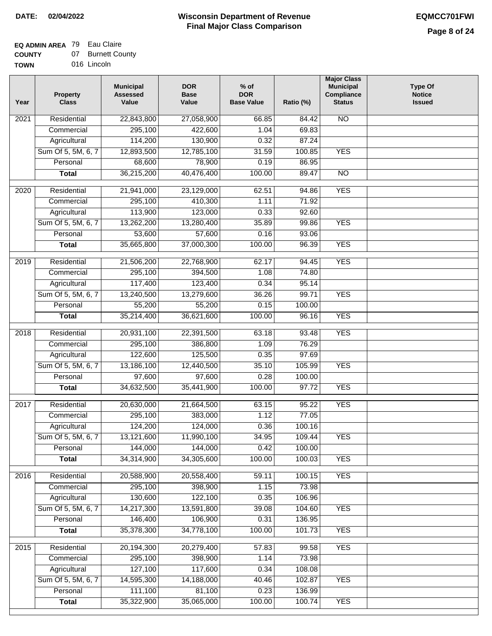## **EQ ADMIN AREA** 79 Eau Claire

| <b>COUNTY</b> | 07 Burnett County |
|---------------|-------------------|
| <b>TOWN</b>   | 016 Lincoln       |

| 016 Lincoln |
|-------------|
|             |

| Residential<br><b>NO</b><br>$\overline{202}1$<br>22,843,800<br>27,058,900<br>66.85<br>84.42<br>295,100<br>422,600<br>1.04<br>69.83<br>Commercial<br>Agricultural<br>114,200<br>130,900<br>0.32<br>87.24<br>Sum Of 5, 5M, 6, 7<br>12,893,500<br>12,785,100<br>31.59<br>100.85<br><b>YES</b><br>78,900<br>Personal<br>68,600<br>0.19<br>86.95<br>36,215,200<br>40,476,400<br>100.00<br>$\overline{NO}$<br><b>Total</b><br>89.47<br><b>YES</b><br>$\overline{2020}$<br>Residential<br>21,941,000<br>23,129,000<br>62.51<br>94.86<br>295,100<br>410,300<br>1.11<br>71.92<br>Commercial<br>113,900<br>123,000<br>0.33<br>92.60<br>Agricultural<br>Sum Of 5, 5M, 6, 7<br>13,262,200<br>13,280,400<br>35.89<br>99.86<br><b>YES</b><br>57,600<br>Personal<br>53,600<br>0.16<br>93.06<br><b>YES</b><br>35,665,800<br>37,000,300<br>100.00<br>96.39<br><b>Total</b><br><b>YES</b><br>2019<br>Residential<br>21,506,200<br>22,768,900<br>62.17<br>94.45<br>394,500<br>74.80<br>Commercial<br>295,100<br>1.08<br>117,400<br>123,400<br>0.34<br>95.14<br>Agricultural<br><b>YES</b><br>Sum Of 5, 5M, 6, 7<br>13,240,500<br>13,279,600<br>36.26<br>99.71<br>Personal<br>55,200<br>55,200<br>0.15<br>100.00<br>100.00<br><b>YES</b><br><b>Total</b><br>35,214,400<br>36,621,600<br>96.16<br>Residential<br>63.18<br><b>YES</b><br>2018<br>20,931,100<br>22,391,500<br>93.48<br>Commercial<br>295,100<br>386,800<br>1.09<br>76.29<br>122,600<br>125,500<br>97.69<br>Agricultural<br>0.35<br>Sum Of 5, 5M, 6, 7<br>13,186,100<br>12,440,500<br>35.10<br>105.99<br><b>YES</b><br>Personal<br>97,600<br>97,600<br>0.28<br>100.00<br>34,632,500<br>35,441,900<br>100.00<br>97.72<br><b>YES</b><br><b>Total</b><br>$\overline{2017}$<br>Residential<br>20,630,000<br>21,664,500<br>95.22<br><b>YES</b><br>63.15<br>Commercial<br>295,100<br>383,000<br>1.12<br>77.05<br>100.16<br>124,200<br>124,000<br>0.36<br>Agricultural<br>34.95<br>Sum Of 5, 5M, 6, 7<br>13,121,600<br>11,990,100<br>109.44<br><b>YES</b><br>144,000<br>144,000<br>Personal<br>0.42<br>100.00<br>34,314,900<br>34,305,600<br>100.00<br>100.03<br><b>YES</b><br><b>Total</b><br><b>YES</b><br>Residential<br>20,588,900<br>20,558,400<br>2016<br>59.11<br>100.15<br>295,100<br>398,900<br>73.98<br>Commercial<br>1.15<br>130,600<br>122,100<br>Agricultural<br>0.35<br>106.96<br>Sum Of 5, 5M, 6, 7<br>14,217,300<br>13,591,800<br><b>YES</b><br>39.08<br>104.60<br>Personal<br>146,400<br>106,900<br>0.31<br>136.95<br>35,378,300<br>34,778,100<br>100.00<br>101.73<br><b>YES</b><br><b>Total</b><br><b>YES</b><br>Residential<br>20,194,300<br>20,279,400<br>57.83<br>99.58<br>2015<br>295,100<br>398,900<br>1.14<br>73.98<br>Commercial<br>127,100<br>117,600<br>0.34<br>108.08<br>Agricultural<br>Sum Of 5, 5M, 6, 7<br>14,595,300<br>14,188,000<br>102.87<br><b>YES</b><br>40.46<br>111,100<br>81,100<br>0.23<br>Personal<br>136.99<br>35,322,900<br>35,065,000<br>100.00<br><b>YES</b><br><b>Total</b><br>100.74 | Year | <b>Property</b><br><b>Class</b> | <b>Municipal</b><br><b>Assessed</b><br>Value | <b>DOR</b><br><b>Base</b><br>Value | $%$ of<br><b>DOR</b><br><b>Base Value</b> | Ratio (%) | <b>Major Class</b><br><b>Municipal</b><br>Compliance<br><b>Status</b> | <b>Type Of</b><br><b>Notice</b><br><b>Issued</b> |
|------------------------------------------------------------------------------------------------------------------------------------------------------------------------------------------------------------------------------------------------------------------------------------------------------------------------------------------------------------------------------------------------------------------------------------------------------------------------------------------------------------------------------------------------------------------------------------------------------------------------------------------------------------------------------------------------------------------------------------------------------------------------------------------------------------------------------------------------------------------------------------------------------------------------------------------------------------------------------------------------------------------------------------------------------------------------------------------------------------------------------------------------------------------------------------------------------------------------------------------------------------------------------------------------------------------------------------------------------------------------------------------------------------------------------------------------------------------------------------------------------------------------------------------------------------------------------------------------------------------------------------------------------------------------------------------------------------------------------------------------------------------------------------------------------------------------------------------------------------------------------------------------------------------------------------------------------------------------------------------------------------------------------------------------------------------------------------------------------------------------------------------------------------------------------------------------------------------------------------------------------------------------------------------------------------------------------------------------------------------------------------------------------------------------------------------------------------------------------------------------------------------------------------------------------------------------------------------------------------------------------------------------------------------------------------------------------------------------------------------------------------------------------------------------------------------------------------------------------------------------------------------------------------------------------------------------------------------------|------|---------------------------------|----------------------------------------------|------------------------------------|-------------------------------------------|-----------|-----------------------------------------------------------------------|--------------------------------------------------|
|                                                                                                                                                                                                                                                                                                                                                                                                                                                                                                                                                                                                                                                                                                                                                                                                                                                                                                                                                                                                                                                                                                                                                                                                                                                                                                                                                                                                                                                                                                                                                                                                                                                                                                                                                                                                                                                                                                                                                                                                                                                                                                                                                                                                                                                                                                                                                                                                                                                                                                                                                                                                                                                                                                                                                                                                                                                                                                                                                                        |      |                                 |                                              |                                    |                                           |           |                                                                       |                                                  |
|                                                                                                                                                                                                                                                                                                                                                                                                                                                                                                                                                                                                                                                                                                                                                                                                                                                                                                                                                                                                                                                                                                                                                                                                                                                                                                                                                                                                                                                                                                                                                                                                                                                                                                                                                                                                                                                                                                                                                                                                                                                                                                                                                                                                                                                                                                                                                                                                                                                                                                                                                                                                                                                                                                                                                                                                                                                                                                                                                                        |      |                                 |                                              |                                    |                                           |           |                                                                       |                                                  |
|                                                                                                                                                                                                                                                                                                                                                                                                                                                                                                                                                                                                                                                                                                                                                                                                                                                                                                                                                                                                                                                                                                                                                                                                                                                                                                                                                                                                                                                                                                                                                                                                                                                                                                                                                                                                                                                                                                                                                                                                                                                                                                                                                                                                                                                                                                                                                                                                                                                                                                                                                                                                                                                                                                                                                                                                                                                                                                                                                                        |      |                                 |                                              |                                    |                                           |           |                                                                       |                                                  |
|                                                                                                                                                                                                                                                                                                                                                                                                                                                                                                                                                                                                                                                                                                                                                                                                                                                                                                                                                                                                                                                                                                                                                                                                                                                                                                                                                                                                                                                                                                                                                                                                                                                                                                                                                                                                                                                                                                                                                                                                                                                                                                                                                                                                                                                                                                                                                                                                                                                                                                                                                                                                                                                                                                                                                                                                                                                                                                                                                                        |      |                                 |                                              |                                    |                                           |           |                                                                       |                                                  |
|                                                                                                                                                                                                                                                                                                                                                                                                                                                                                                                                                                                                                                                                                                                                                                                                                                                                                                                                                                                                                                                                                                                                                                                                                                                                                                                                                                                                                                                                                                                                                                                                                                                                                                                                                                                                                                                                                                                                                                                                                                                                                                                                                                                                                                                                                                                                                                                                                                                                                                                                                                                                                                                                                                                                                                                                                                                                                                                                                                        |      |                                 |                                              |                                    |                                           |           |                                                                       |                                                  |
|                                                                                                                                                                                                                                                                                                                                                                                                                                                                                                                                                                                                                                                                                                                                                                                                                                                                                                                                                                                                                                                                                                                                                                                                                                                                                                                                                                                                                                                                                                                                                                                                                                                                                                                                                                                                                                                                                                                                                                                                                                                                                                                                                                                                                                                                                                                                                                                                                                                                                                                                                                                                                                                                                                                                                                                                                                                                                                                                                                        |      |                                 |                                              |                                    |                                           |           |                                                                       |                                                  |
|                                                                                                                                                                                                                                                                                                                                                                                                                                                                                                                                                                                                                                                                                                                                                                                                                                                                                                                                                                                                                                                                                                                                                                                                                                                                                                                                                                                                                                                                                                                                                                                                                                                                                                                                                                                                                                                                                                                                                                                                                                                                                                                                                                                                                                                                                                                                                                                                                                                                                                                                                                                                                                                                                                                                                                                                                                                                                                                                                                        |      |                                 |                                              |                                    |                                           |           |                                                                       |                                                  |
|                                                                                                                                                                                                                                                                                                                                                                                                                                                                                                                                                                                                                                                                                                                                                                                                                                                                                                                                                                                                                                                                                                                                                                                                                                                                                                                                                                                                                                                                                                                                                                                                                                                                                                                                                                                                                                                                                                                                                                                                                                                                                                                                                                                                                                                                                                                                                                                                                                                                                                                                                                                                                                                                                                                                                                                                                                                                                                                                                                        |      |                                 |                                              |                                    |                                           |           |                                                                       |                                                  |
|                                                                                                                                                                                                                                                                                                                                                                                                                                                                                                                                                                                                                                                                                                                                                                                                                                                                                                                                                                                                                                                                                                                                                                                                                                                                                                                                                                                                                                                                                                                                                                                                                                                                                                                                                                                                                                                                                                                                                                                                                                                                                                                                                                                                                                                                                                                                                                                                                                                                                                                                                                                                                                                                                                                                                                                                                                                                                                                                                                        |      |                                 |                                              |                                    |                                           |           |                                                                       |                                                  |
|                                                                                                                                                                                                                                                                                                                                                                                                                                                                                                                                                                                                                                                                                                                                                                                                                                                                                                                                                                                                                                                                                                                                                                                                                                                                                                                                                                                                                                                                                                                                                                                                                                                                                                                                                                                                                                                                                                                                                                                                                                                                                                                                                                                                                                                                                                                                                                                                                                                                                                                                                                                                                                                                                                                                                                                                                                                                                                                                                                        |      |                                 |                                              |                                    |                                           |           |                                                                       |                                                  |
|                                                                                                                                                                                                                                                                                                                                                                                                                                                                                                                                                                                                                                                                                                                                                                                                                                                                                                                                                                                                                                                                                                                                                                                                                                                                                                                                                                                                                                                                                                                                                                                                                                                                                                                                                                                                                                                                                                                                                                                                                                                                                                                                                                                                                                                                                                                                                                                                                                                                                                                                                                                                                                                                                                                                                                                                                                                                                                                                                                        |      |                                 |                                              |                                    |                                           |           |                                                                       |                                                  |
|                                                                                                                                                                                                                                                                                                                                                                                                                                                                                                                                                                                                                                                                                                                                                                                                                                                                                                                                                                                                                                                                                                                                                                                                                                                                                                                                                                                                                                                                                                                                                                                                                                                                                                                                                                                                                                                                                                                                                                                                                                                                                                                                                                                                                                                                                                                                                                                                                                                                                                                                                                                                                                                                                                                                                                                                                                                                                                                                                                        |      |                                 |                                              |                                    |                                           |           |                                                                       |                                                  |
|                                                                                                                                                                                                                                                                                                                                                                                                                                                                                                                                                                                                                                                                                                                                                                                                                                                                                                                                                                                                                                                                                                                                                                                                                                                                                                                                                                                                                                                                                                                                                                                                                                                                                                                                                                                                                                                                                                                                                                                                                                                                                                                                                                                                                                                                                                                                                                                                                                                                                                                                                                                                                                                                                                                                                                                                                                                                                                                                                                        |      |                                 |                                              |                                    |                                           |           |                                                                       |                                                  |
|                                                                                                                                                                                                                                                                                                                                                                                                                                                                                                                                                                                                                                                                                                                                                                                                                                                                                                                                                                                                                                                                                                                                                                                                                                                                                                                                                                                                                                                                                                                                                                                                                                                                                                                                                                                                                                                                                                                                                                                                                                                                                                                                                                                                                                                                                                                                                                                                                                                                                                                                                                                                                                                                                                                                                                                                                                                                                                                                                                        |      |                                 |                                              |                                    |                                           |           |                                                                       |                                                  |
|                                                                                                                                                                                                                                                                                                                                                                                                                                                                                                                                                                                                                                                                                                                                                                                                                                                                                                                                                                                                                                                                                                                                                                                                                                                                                                                                                                                                                                                                                                                                                                                                                                                                                                                                                                                                                                                                                                                                                                                                                                                                                                                                                                                                                                                                                                                                                                                                                                                                                                                                                                                                                                                                                                                                                                                                                                                                                                                                                                        |      |                                 |                                              |                                    |                                           |           |                                                                       |                                                  |
|                                                                                                                                                                                                                                                                                                                                                                                                                                                                                                                                                                                                                                                                                                                                                                                                                                                                                                                                                                                                                                                                                                                                                                                                                                                                                                                                                                                                                                                                                                                                                                                                                                                                                                                                                                                                                                                                                                                                                                                                                                                                                                                                                                                                                                                                                                                                                                                                                                                                                                                                                                                                                                                                                                                                                                                                                                                                                                                                                                        |      |                                 |                                              |                                    |                                           |           |                                                                       |                                                  |
|                                                                                                                                                                                                                                                                                                                                                                                                                                                                                                                                                                                                                                                                                                                                                                                                                                                                                                                                                                                                                                                                                                                                                                                                                                                                                                                                                                                                                                                                                                                                                                                                                                                                                                                                                                                                                                                                                                                                                                                                                                                                                                                                                                                                                                                                                                                                                                                                                                                                                                                                                                                                                                                                                                                                                                                                                                                                                                                                                                        |      |                                 |                                              |                                    |                                           |           |                                                                       |                                                  |
|                                                                                                                                                                                                                                                                                                                                                                                                                                                                                                                                                                                                                                                                                                                                                                                                                                                                                                                                                                                                                                                                                                                                                                                                                                                                                                                                                                                                                                                                                                                                                                                                                                                                                                                                                                                                                                                                                                                                                                                                                                                                                                                                                                                                                                                                                                                                                                                                                                                                                                                                                                                                                                                                                                                                                                                                                                                                                                                                                                        |      |                                 |                                              |                                    |                                           |           |                                                                       |                                                  |
|                                                                                                                                                                                                                                                                                                                                                                                                                                                                                                                                                                                                                                                                                                                                                                                                                                                                                                                                                                                                                                                                                                                                                                                                                                                                                                                                                                                                                                                                                                                                                                                                                                                                                                                                                                                                                                                                                                                                                                                                                                                                                                                                                                                                                                                                                                                                                                                                                                                                                                                                                                                                                                                                                                                                                                                                                                                                                                                                                                        |      |                                 |                                              |                                    |                                           |           |                                                                       |                                                  |
|                                                                                                                                                                                                                                                                                                                                                                                                                                                                                                                                                                                                                                                                                                                                                                                                                                                                                                                                                                                                                                                                                                                                                                                                                                                                                                                                                                                                                                                                                                                                                                                                                                                                                                                                                                                                                                                                                                                                                                                                                                                                                                                                                                                                                                                                                                                                                                                                                                                                                                                                                                                                                                                                                                                                                                                                                                                                                                                                                                        |      |                                 |                                              |                                    |                                           |           |                                                                       |                                                  |
|                                                                                                                                                                                                                                                                                                                                                                                                                                                                                                                                                                                                                                                                                                                                                                                                                                                                                                                                                                                                                                                                                                                                                                                                                                                                                                                                                                                                                                                                                                                                                                                                                                                                                                                                                                                                                                                                                                                                                                                                                                                                                                                                                                                                                                                                                                                                                                                                                                                                                                                                                                                                                                                                                                                                                                                                                                                                                                                                                                        |      |                                 |                                              |                                    |                                           |           |                                                                       |                                                  |
|                                                                                                                                                                                                                                                                                                                                                                                                                                                                                                                                                                                                                                                                                                                                                                                                                                                                                                                                                                                                                                                                                                                                                                                                                                                                                                                                                                                                                                                                                                                                                                                                                                                                                                                                                                                                                                                                                                                                                                                                                                                                                                                                                                                                                                                                                                                                                                                                                                                                                                                                                                                                                                                                                                                                                                                                                                                                                                                                                                        |      |                                 |                                              |                                    |                                           |           |                                                                       |                                                  |
|                                                                                                                                                                                                                                                                                                                                                                                                                                                                                                                                                                                                                                                                                                                                                                                                                                                                                                                                                                                                                                                                                                                                                                                                                                                                                                                                                                                                                                                                                                                                                                                                                                                                                                                                                                                                                                                                                                                                                                                                                                                                                                                                                                                                                                                                                                                                                                                                                                                                                                                                                                                                                                                                                                                                                                                                                                                                                                                                                                        |      |                                 |                                              |                                    |                                           |           |                                                                       |                                                  |
|                                                                                                                                                                                                                                                                                                                                                                                                                                                                                                                                                                                                                                                                                                                                                                                                                                                                                                                                                                                                                                                                                                                                                                                                                                                                                                                                                                                                                                                                                                                                                                                                                                                                                                                                                                                                                                                                                                                                                                                                                                                                                                                                                                                                                                                                                                                                                                                                                                                                                                                                                                                                                                                                                                                                                                                                                                                                                                                                                                        |      |                                 |                                              |                                    |                                           |           |                                                                       |                                                  |
|                                                                                                                                                                                                                                                                                                                                                                                                                                                                                                                                                                                                                                                                                                                                                                                                                                                                                                                                                                                                                                                                                                                                                                                                                                                                                                                                                                                                                                                                                                                                                                                                                                                                                                                                                                                                                                                                                                                                                                                                                                                                                                                                                                                                                                                                                                                                                                                                                                                                                                                                                                                                                                                                                                                                                                                                                                                                                                                                                                        |      |                                 |                                              |                                    |                                           |           |                                                                       |                                                  |
|                                                                                                                                                                                                                                                                                                                                                                                                                                                                                                                                                                                                                                                                                                                                                                                                                                                                                                                                                                                                                                                                                                                                                                                                                                                                                                                                                                                                                                                                                                                                                                                                                                                                                                                                                                                                                                                                                                                                                                                                                                                                                                                                                                                                                                                                                                                                                                                                                                                                                                                                                                                                                                                                                                                                                                                                                                                                                                                                                                        |      |                                 |                                              |                                    |                                           |           |                                                                       |                                                  |
|                                                                                                                                                                                                                                                                                                                                                                                                                                                                                                                                                                                                                                                                                                                                                                                                                                                                                                                                                                                                                                                                                                                                                                                                                                                                                                                                                                                                                                                                                                                                                                                                                                                                                                                                                                                                                                                                                                                                                                                                                                                                                                                                                                                                                                                                                                                                                                                                                                                                                                                                                                                                                                                                                                                                                                                                                                                                                                                                                                        |      |                                 |                                              |                                    |                                           |           |                                                                       |                                                  |
|                                                                                                                                                                                                                                                                                                                                                                                                                                                                                                                                                                                                                                                                                                                                                                                                                                                                                                                                                                                                                                                                                                                                                                                                                                                                                                                                                                                                                                                                                                                                                                                                                                                                                                                                                                                                                                                                                                                                                                                                                                                                                                                                                                                                                                                                                                                                                                                                                                                                                                                                                                                                                                                                                                                                                                                                                                                                                                                                                                        |      |                                 |                                              |                                    |                                           |           |                                                                       |                                                  |
|                                                                                                                                                                                                                                                                                                                                                                                                                                                                                                                                                                                                                                                                                                                                                                                                                                                                                                                                                                                                                                                                                                                                                                                                                                                                                                                                                                                                                                                                                                                                                                                                                                                                                                                                                                                                                                                                                                                                                                                                                                                                                                                                                                                                                                                                                                                                                                                                                                                                                                                                                                                                                                                                                                                                                                                                                                                                                                                                                                        |      |                                 |                                              |                                    |                                           |           |                                                                       |                                                  |
|                                                                                                                                                                                                                                                                                                                                                                                                                                                                                                                                                                                                                                                                                                                                                                                                                                                                                                                                                                                                                                                                                                                                                                                                                                                                                                                                                                                                                                                                                                                                                                                                                                                                                                                                                                                                                                                                                                                                                                                                                                                                                                                                                                                                                                                                                                                                                                                                                                                                                                                                                                                                                                                                                                                                                                                                                                                                                                                                                                        |      |                                 |                                              |                                    |                                           |           |                                                                       |                                                  |
|                                                                                                                                                                                                                                                                                                                                                                                                                                                                                                                                                                                                                                                                                                                                                                                                                                                                                                                                                                                                                                                                                                                                                                                                                                                                                                                                                                                                                                                                                                                                                                                                                                                                                                                                                                                                                                                                                                                                                                                                                                                                                                                                                                                                                                                                                                                                                                                                                                                                                                                                                                                                                                                                                                                                                                                                                                                                                                                                                                        |      |                                 |                                              |                                    |                                           |           |                                                                       |                                                  |
|                                                                                                                                                                                                                                                                                                                                                                                                                                                                                                                                                                                                                                                                                                                                                                                                                                                                                                                                                                                                                                                                                                                                                                                                                                                                                                                                                                                                                                                                                                                                                                                                                                                                                                                                                                                                                                                                                                                                                                                                                                                                                                                                                                                                                                                                                                                                                                                                                                                                                                                                                                                                                                                                                                                                                                                                                                                                                                                                                                        |      |                                 |                                              |                                    |                                           |           |                                                                       |                                                  |
|                                                                                                                                                                                                                                                                                                                                                                                                                                                                                                                                                                                                                                                                                                                                                                                                                                                                                                                                                                                                                                                                                                                                                                                                                                                                                                                                                                                                                                                                                                                                                                                                                                                                                                                                                                                                                                                                                                                                                                                                                                                                                                                                                                                                                                                                                                                                                                                                                                                                                                                                                                                                                                                                                                                                                                                                                                                                                                                                                                        |      |                                 |                                              |                                    |                                           |           |                                                                       |                                                  |
|                                                                                                                                                                                                                                                                                                                                                                                                                                                                                                                                                                                                                                                                                                                                                                                                                                                                                                                                                                                                                                                                                                                                                                                                                                                                                                                                                                                                                                                                                                                                                                                                                                                                                                                                                                                                                                                                                                                                                                                                                                                                                                                                                                                                                                                                                                                                                                                                                                                                                                                                                                                                                                                                                                                                                                                                                                                                                                                                                                        |      |                                 |                                              |                                    |                                           |           |                                                                       |                                                  |
|                                                                                                                                                                                                                                                                                                                                                                                                                                                                                                                                                                                                                                                                                                                                                                                                                                                                                                                                                                                                                                                                                                                                                                                                                                                                                                                                                                                                                                                                                                                                                                                                                                                                                                                                                                                                                                                                                                                                                                                                                                                                                                                                                                                                                                                                                                                                                                                                                                                                                                                                                                                                                                                                                                                                                                                                                                                                                                                                                                        |      |                                 |                                              |                                    |                                           |           |                                                                       |                                                  |
|                                                                                                                                                                                                                                                                                                                                                                                                                                                                                                                                                                                                                                                                                                                                                                                                                                                                                                                                                                                                                                                                                                                                                                                                                                                                                                                                                                                                                                                                                                                                                                                                                                                                                                                                                                                                                                                                                                                                                                                                                                                                                                                                                                                                                                                                                                                                                                                                                                                                                                                                                                                                                                                                                                                                                                                                                                                                                                                                                                        |      |                                 |                                              |                                    |                                           |           |                                                                       |                                                  |
|                                                                                                                                                                                                                                                                                                                                                                                                                                                                                                                                                                                                                                                                                                                                                                                                                                                                                                                                                                                                                                                                                                                                                                                                                                                                                                                                                                                                                                                                                                                                                                                                                                                                                                                                                                                                                                                                                                                                                                                                                                                                                                                                                                                                                                                                                                                                                                                                                                                                                                                                                                                                                                                                                                                                                                                                                                                                                                                                                                        |      |                                 |                                              |                                    |                                           |           |                                                                       |                                                  |
|                                                                                                                                                                                                                                                                                                                                                                                                                                                                                                                                                                                                                                                                                                                                                                                                                                                                                                                                                                                                                                                                                                                                                                                                                                                                                                                                                                                                                                                                                                                                                                                                                                                                                                                                                                                                                                                                                                                                                                                                                                                                                                                                                                                                                                                                                                                                                                                                                                                                                                                                                                                                                                                                                                                                                                                                                                                                                                                                                                        |      |                                 |                                              |                                    |                                           |           |                                                                       |                                                  |
|                                                                                                                                                                                                                                                                                                                                                                                                                                                                                                                                                                                                                                                                                                                                                                                                                                                                                                                                                                                                                                                                                                                                                                                                                                                                                                                                                                                                                                                                                                                                                                                                                                                                                                                                                                                                                                                                                                                                                                                                                                                                                                                                                                                                                                                                                                                                                                                                                                                                                                                                                                                                                                                                                                                                                                                                                                                                                                                                                                        |      |                                 |                                              |                                    |                                           |           |                                                                       |                                                  |
|                                                                                                                                                                                                                                                                                                                                                                                                                                                                                                                                                                                                                                                                                                                                                                                                                                                                                                                                                                                                                                                                                                                                                                                                                                                                                                                                                                                                                                                                                                                                                                                                                                                                                                                                                                                                                                                                                                                                                                                                                                                                                                                                                                                                                                                                                                                                                                                                                                                                                                                                                                                                                                                                                                                                                                                                                                                                                                                                                                        |      |                                 |                                              |                                    |                                           |           |                                                                       |                                                  |
|                                                                                                                                                                                                                                                                                                                                                                                                                                                                                                                                                                                                                                                                                                                                                                                                                                                                                                                                                                                                                                                                                                                                                                                                                                                                                                                                                                                                                                                                                                                                                                                                                                                                                                                                                                                                                                                                                                                                                                                                                                                                                                                                                                                                                                                                                                                                                                                                                                                                                                                                                                                                                                                                                                                                                                                                                                                                                                                                                                        |      |                                 |                                              |                                    |                                           |           |                                                                       |                                                  |
|                                                                                                                                                                                                                                                                                                                                                                                                                                                                                                                                                                                                                                                                                                                                                                                                                                                                                                                                                                                                                                                                                                                                                                                                                                                                                                                                                                                                                                                                                                                                                                                                                                                                                                                                                                                                                                                                                                                                                                                                                                                                                                                                                                                                                                                                                                                                                                                                                                                                                                                                                                                                                                                                                                                                                                                                                                                                                                                                                                        |      |                                 |                                              |                                    |                                           |           |                                                                       |                                                  |
|                                                                                                                                                                                                                                                                                                                                                                                                                                                                                                                                                                                                                                                                                                                                                                                                                                                                                                                                                                                                                                                                                                                                                                                                                                                                                                                                                                                                                                                                                                                                                                                                                                                                                                                                                                                                                                                                                                                                                                                                                                                                                                                                                                                                                                                                                                                                                                                                                                                                                                                                                                                                                                                                                                                                                                                                                                                                                                                                                                        |      |                                 |                                              |                                    |                                           |           |                                                                       |                                                  |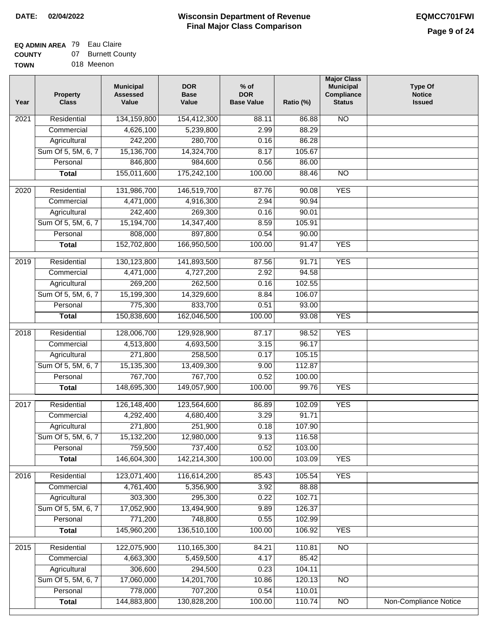## **EQ ADMIN AREA** 79 Eau Claire

**COUNTY** 07 Burnett County

**TOWN** 018 Meenon

| Year              | <b>Property</b><br><b>Class</b> | <b>Municipal</b><br><b>Assessed</b><br>Value | <b>DOR</b><br><b>Base</b><br>Value | % of<br><b>DOR</b><br><b>Base Value</b> | Ratio (%) | <b>Major Class</b><br><b>Municipal</b><br>Compliance<br><b>Status</b> | <b>Type Of</b><br><b>Notice</b><br><b>Issued</b> |
|-------------------|---------------------------------|----------------------------------------------|------------------------------------|-----------------------------------------|-----------|-----------------------------------------------------------------------|--------------------------------------------------|
| $\overline{202}1$ | Residential                     | 134,159,800                                  | 154,412,300                        | 88.11                                   | 86.88     | <b>NO</b>                                                             |                                                  |
|                   | Commercial                      | 4,626,100                                    | 5,239,800                          | 2.99                                    | 88.29     |                                                                       |                                                  |
|                   | Agricultural                    | 242,200                                      | 280,700                            | 0.16                                    | 86.28     |                                                                       |                                                  |
|                   | Sum Of 5, 5M, 6, 7              | 15,136,700                                   | 14,324,700                         | 8.17                                    | 105.67    |                                                                       |                                                  |
|                   | Personal                        | 846,800                                      | 984,600                            | 0.56                                    | 86.00     |                                                                       |                                                  |
|                   | <b>Total</b>                    | 155,011,600                                  | 175,242,100                        | 100.00                                  | 88.46     | $\overline{NO}$                                                       |                                                  |
| $\overline{2020}$ | Residential                     | 131,986,700                                  | 146,519,700                        | 87.76                                   | 90.08     | <b>YES</b>                                                            |                                                  |
|                   | Commercial                      | 4,471,000                                    | 4,916,300                          | 2.94                                    | 90.94     |                                                                       |                                                  |
|                   | Agricultural                    | 242,400                                      | 269,300                            | 0.16                                    | 90.01     |                                                                       |                                                  |
|                   | Sum Of 5, 5M, 6, 7              | 15,194,700                                   | 14,347,400                         | 8.59                                    | 105.91    |                                                                       |                                                  |
|                   | Personal                        | 808,000                                      | 897,800                            | 0.54                                    | 90.00     |                                                                       |                                                  |
|                   | <b>Total</b>                    | 152,702,800                                  | 166,950,500                        | 100.00                                  | 91.47     | <b>YES</b>                                                            |                                                  |
|                   |                                 |                                              |                                    |                                         |           |                                                                       |                                                  |
| 2019              | Residential                     | 130,123,800                                  | 141,893,500                        | 87.56                                   | 91.71     | <b>YES</b>                                                            |                                                  |
|                   | Commercial                      | 4,471,000                                    | 4,727,200                          | 2.92                                    | 94.58     |                                                                       |                                                  |
|                   | Agricultural                    | 269,200                                      | 262,500                            | 0.16                                    | 102.55    |                                                                       |                                                  |
|                   | Sum Of 5, 5M, 6, 7              | 15,199,300                                   | 14,329,600                         | 8.84                                    | 106.07    |                                                                       |                                                  |
|                   | Personal                        | 775,300                                      | 833,700                            | 0.51                                    | 93.00     |                                                                       |                                                  |
|                   | <b>Total</b>                    | 150,838,600                                  | 162,046,500                        | 100.00                                  | 93.08     | <b>YES</b>                                                            |                                                  |
| 2018              | Residential                     | 128,006,700                                  | 129,928,900                        | 87.17                                   | 98.52     | <b>YES</b>                                                            |                                                  |
|                   | Commercial                      | 4,513,800                                    | 4,693,500                          | 3.15                                    | 96.17     |                                                                       |                                                  |
|                   | Agricultural                    | 271,800                                      | 258,500                            | 0.17                                    | 105.15    |                                                                       |                                                  |
|                   | Sum Of 5, 5M, 6, 7              | 15,135,300                                   | 13,409,300                         | 9.00                                    | 112.87    |                                                                       |                                                  |
|                   | Personal                        | 767,700                                      | 767,700                            | 0.52                                    | 100.00    |                                                                       |                                                  |
|                   | <b>Total</b>                    | 148,695,300                                  | 149,057,900                        | 100.00                                  | 99.76     | <b>YES</b>                                                            |                                                  |
| $\overline{2017}$ | Residential                     | 126,148,400                                  | 123,564,600                        | 86.89                                   | 102.09    | <b>YES</b>                                                            |                                                  |
|                   | Commercial                      | 4,292,400                                    | 4,680,400                          | 3.29                                    | 91.71     |                                                                       |                                                  |
|                   | Agricultural                    | 271,800                                      | 251,900                            | 0.18                                    | 107.90    |                                                                       |                                                  |
|                   | Sum Of 5, 5M, 6, 7              | 15,132,200                                   | 12,980,000                         | 9.13                                    | 116.58    |                                                                       |                                                  |
|                   | Personal                        | 759,500                                      | 737,400                            | 0.52                                    | 103.00    |                                                                       |                                                  |
|                   | <b>Total</b>                    | 146,604,300                                  | 142,214,300                        | 100.00                                  | 103.09    | <b>YES</b>                                                            |                                                  |
|                   |                                 |                                              |                                    |                                         |           |                                                                       |                                                  |
| 2016              | Residential                     | 123,071,400                                  | 116,614,200                        | 85.43                                   | 105.54    | <b>YES</b>                                                            |                                                  |
|                   | Commercial                      | 4,761,400                                    | 5,356,900                          | 3.92                                    | 88.88     |                                                                       |                                                  |
|                   | Agricultural                    | 303,300                                      | 295,300                            | 0.22                                    | 102.71    |                                                                       |                                                  |
|                   | Sum Of 5, 5M, 6, 7              | 17,052,900                                   | 13,494,900                         | 9.89                                    | 126.37    |                                                                       |                                                  |
|                   | Personal                        | 771,200                                      | 748,800                            | 0.55                                    | 102.99    |                                                                       |                                                  |
|                   | <b>Total</b>                    | 145,960,200                                  | 136,510,100                        | 100.00                                  | 106.92    | <b>YES</b>                                                            |                                                  |
| 2015              | Residential                     | 122,075,900                                  | 110,165,300                        | 84.21                                   | 110.81    | N <sub>O</sub>                                                        |                                                  |
|                   | Commercial                      | 4,663,300                                    | 5,459,500                          | 4.17                                    | 85.42     |                                                                       |                                                  |
|                   | Agricultural                    | 306,600                                      | 294,500                            | 0.23                                    | 104.11    |                                                                       |                                                  |
|                   | Sum Of 5, 5M, 6, 7              | 17,060,000                                   | 14,201,700                         | 10.86                                   | 120.13    | <b>NO</b>                                                             |                                                  |
|                   | Personal                        | 778,000                                      | 707,200                            | 0.54                                    | 110.01    |                                                                       |                                                  |
|                   | <b>Total</b>                    | 144,883,800                                  | 130,828,200                        | 100.00                                  | 110.74    | N <sub>O</sub>                                                        | <b>Non-Compliance Notice</b>                     |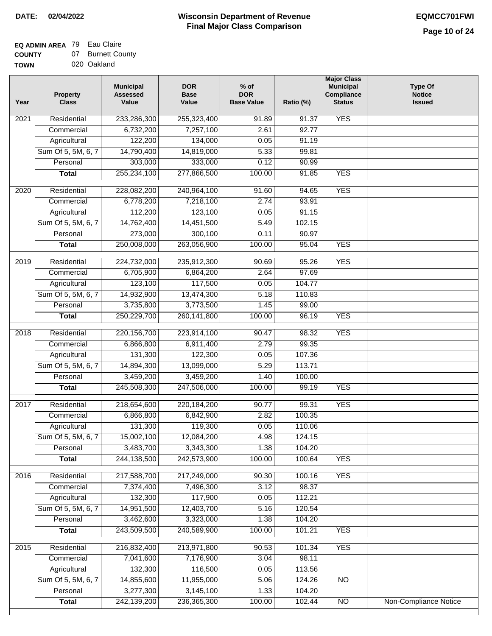#### **Wisconsin Department of Revenue Final Major Class Comparison DATE: 02/04/2022 EQMCC701FWI**

#### **EQ ADMIN AREA** 79 Eau Claire  $\sim$

**COUNTY** Burnett County

| <b>COUNTY</b> | 07 Burnett Cou |
|---------------|----------------|
| <b>TOWN</b>   | 020 Oakland    |

| Year             | <b>Property</b><br><b>Class</b> | <b>Municipal</b><br><b>Assessed</b><br>Value | <b>DOR</b><br><b>Base</b><br>Value | $%$ of<br><b>DOR</b><br><b>Base Value</b> | Ratio (%)         | <b>Major Class</b><br><b>Municipal</b><br>Compliance<br><b>Status</b> | <b>Type Of</b><br><b>Notice</b><br><b>Issued</b> |
|------------------|---------------------------------|----------------------------------------------|------------------------------------|-------------------------------------------|-------------------|-----------------------------------------------------------------------|--------------------------------------------------|
| 2021             | Residential                     | 233,286,300                                  | 255,323,400                        | 91.89                                     | $\frac{1}{91.37}$ | <b>YES</b>                                                            |                                                  |
|                  | Commercial                      | 6,732,200                                    | 7,257,100                          | 2.61                                      | 92.77             |                                                                       |                                                  |
|                  | Agricultural                    | 122,200                                      | 134,000                            | 0.05                                      | 91.19             |                                                                       |                                                  |
|                  | Sum Of 5, 5M, 6, 7              | 14,790,400                                   | 14,819,000                         | 5.33                                      | 99.81             |                                                                       |                                                  |
|                  | Personal                        | 303,000                                      | 333,000                            | 0.12                                      | 90.99             |                                                                       |                                                  |
|                  | <b>Total</b>                    | 255,234,100                                  | 277,866,500                        | 100.00                                    | 91.85             | <b>YES</b>                                                            |                                                  |
| 2020             | Residential                     | 228,082,200                                  | 240,964,100                        | 91.60                                     | 94.65             | <b>YES</b>                                                            |                                                  |
|                  | Commercial                      | 6,778,200                                    | 7,218,100                          | 2.74                                      | 93.91             |                                                                       |                                                  |
|                  | Agricultural                    | 112,200                                      | 123,100                            | 0.05                                      | 91.15             |                                                                       |                                                  |
|                  | Sum Of 5, 5M, 6, 7              | 14,762,400                                   | 14,451,500                         | 5.49                                      | 102.15            |                                                                       |                                                  |
|                  | Personal                        | 273,000                                      | 300,100                            | 0.11                                      | 90.97             |                                                                       |                                                  |
|                  | <b>Total</b>                    | 250,008,000                                  | 263,056,900                        | 100.00                                    | 95.04             | <b>YES</b>                                                            |                                                  |
|                  |                                 |                                              |                                    |                                           |                   |                                                                       |                                                  |
| $\frac{1}{2019}$ | Residential                     | 224,732,000                                  | 235,912,300                        | 90.69                                     | 95.26             | <b>YES</b>                                                            |                                                  |
|                  | Commercial                      | 6,705,900                                    | 6,864,200                          | 2.64                                      | 97.69             |                                                                       |                                                  |
|                  | Agricultural                    | 123,100                                      | 117,500                            | 0.05                                      | 104.77            |                                                                       |                                                  |
|                  | Sum Of 5, 5M, 6, 7              | 14,932,900                                   | 13,474,300                         | 5.18                                      | 110.83            |                                                                       |                                                  |
|                  | Personal                        | 3,735,800                                    | 3,773,500                          | 1.45                                      | 99.00             |                                                                       |                                                  |
|                  | <b>Total</b>                    | 250,229,700                                  | 260,141,800                        | 100.00                                    | 96.19             | <b>YES</b>                                                            |                                                  |
| 2018             | Residential                     | 220, 156, 700                                | 223,914,100                        | 90.47                                     | 98.32             | <b>YES</b>                                                            |                                                  |
|                  | Commercial                      | 6,866,800                                    | 6,911,400                          | 2.79                                      | 99.35             |                                                                       |                                                  |
|                  | Agricultural                    | 131,300                                      | 122,300                            | 0.05                                      | 107.36            |                                                                       |                                                  |
|                  | Sum Of 5, 5M, 6, 7              | 14,894,300                                   | 13,099,000                         | 5.29                                      | 113.71            |                                                                       |                                                  |
|                  | Personal                        | 3,459,200                                    | 3,459,200                          | 1.40                                      | 100.00            |                                                                       |                                                  |
|                  | <b>Total</b>                    | 245,508,300                                  | 247,506,000                        | 100.00                                    | 99.19             | <b>YES</b>                                                            |                                                  |
| 2017             | Residential                     | 218,654,600                                  | 220,184,200                        | 90.77                                     | 99.31             | <b>YES</b>                                                            |                                                  |
|                  | Commercial                      | 6,866,800                                    | 6,842,900                          | 2.82                                      | 100.35            |                                                                       |                                                  |
|                  | Agricultural                    | 131,300                                      | 119,300                            | 0.05                                      | 110.06            |                                                                       |                                                  |
|                  | Sum Of 5, 5M, 6, 7              | 15,002,100                                   | 12,084,200                         | 4.98                                      | 124.15            |                                                                       |                                                  |
|                  | Personal                        | 3,483,700                                    | 3,343,300                          | 1.38                                      | 104.20            |                                                                       |                                                  |
|                  | <b>Total</b>                    | 244,138,500                                  | 242,573,900                        | 100.00                                    | 100.64            | <b>YES</b>                                                            |                                                  |
| 2016             | Residential                     | 217,588,700                                  | 217,249,000                        | 90.30                                     | 100.16            | <b>YES</b>                                                            |                                                  |
|                  | Commercial                      | 7,374,400                                    | 7,496,300                          | 3.12                                      | 98.37             |                                                                       |                                                  |
|                  | Agricultural                    | 132,300                                      | 117,900                            | 0.05                                      | 112.21            |                                                                       |                                                  |
|                  | Sum Of 5, 5M, 6, 7              | 14,951,500                                   | 12,403,700                         | 5.16                                      | 120.54            |                                                                       |                                                  |
|                  | Personal                        | 3,462,600                                    | 3,323,000                          | 1.38                                      | 104.20            |                                                                       |                                                  |
|                  | <b>Total</b>                    | 243,509,500                                  | 240,589,900                        | 100.00                                    | 101.21            | <b>YES</b>                                                            |                                                  |
|                  |                                 |                                              |                                    |                                           |                   |                                                                       |                                                  |
| 2015             | Residential                     | 216,832,400                                  | 213,971,800                        | 90.53                                     | 101.34            | <b>YES</b>                                                            |                                                  |
|                  | Commercial                      | 7,041,600                                    | 7,176,900                          | 3.04                                      | 98.11             |                                                                       |                                                  |
|                  | Agricultural                    | 132,300                                      | 116,500                            | 0.05                                      | 113.56            |                                                                       |                                                  |
|                  | Sum Of 5, 5M, 6, 7              | 14,855,600                                   | 11,955,000                         | 5.06                                      | 124.26            | <b>NO</b>                                                             |                                                  |
|                  | Personal                        | 3,277,300                                    | 3,145,100                          | 1.33                                      | 104.20            |                                                                       |                                                  |
|                  | <b>Total</b>                    | 242,139,200                                  | 236,365,300                        | 100.00                                    | 102.44            | $\overline{NO}$                                                       | Non-Compliance Notice                            |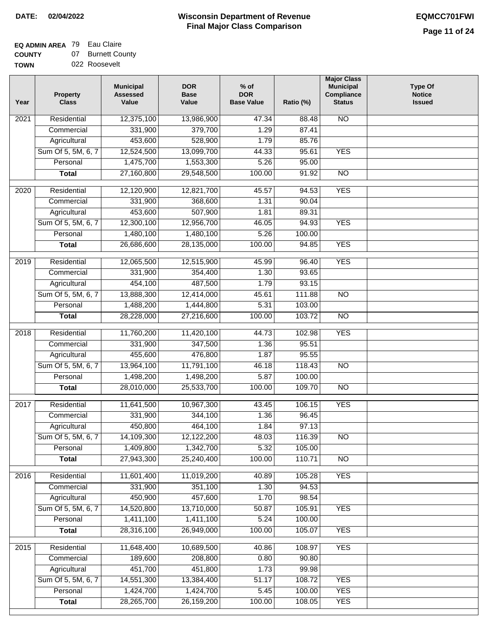## **Wisconsin Department of Revenue DATE: 02/04/2022 EQMCC701FWI Final Major Class Comparison**

**Major Class**

# **EQ ADMIN AREA** 79 Eau Claire

**COUNTY TOWN** 07 Burnett County 022 Roosevelt

> **Personal Total**

 1,424,700 28,265,700

 1,424,700 26,159,200

 5.45 100.00  100.00 108.05 YES YES

| Year              | <b>Property</b><br><b>Class</b> | <b>Municipal</b><br><b>Assessed</b><br>Value | <b>DOR</b><br><b>Base</b><br>Value | $%$ of<br><b>DOR</b><br><b>Base Value</b> | Ratio (%) | major Glass<br><b>Municipal</b><br>Compliance<br><b>Status</b> | <b>Type Of</b><br><b>Notice</b><br><b>Issued</b> |
|-------------------|---------------------------------|----------------------------------------------|------------------------------------|-------------------------------------------|-----------|----------------------------------------------------------------|--------------------------------------------------|
| 2021              | Residential                     | 12,375,100                                   | 13,986,900                         | 47.34                                     | 88.48     | $\overline{N}$                                                 |                                                  |
|                   | Commercial                      | 331,900                                      | 379,700                            | 1.29                                      | 87.41     |                                                                |                                                  |
|                   | Agricultural                    | 453,600                                      | 528,900                            | 1.79                                      | 85.76     |                                                                |                                                  |
|                   | Sum Of 5, 5M, 6, 7              | 12,524,500                                   | 13,099,700                         | 44.33                                     | 95.61     | <b>YES</b>                                                     |                                                  |
|                   | Personal                        | 1,475,700                                    | 1,553,300                          | 5.26                                      | 95.00     |                                                                |                                                  |
|                   | <b>Total</b>                    | 27,160,800                                   | 29,548,500                         | 100.00                                    | 91.92     | $\overline{NO}$                                                |                                                  |
| $\overline{2020}$ | Residential                     | 12,120,900                                   | 12,821,700                         | 45.57                                     | 94.53     | <b>YES</b>                                                     |                                                  |
|                   | Commercial                      | 331,900                                      | 368,600                            | 1.31                                      | 90.04     |                                                                |                                                  |
|                   | Agricultural                    | 453,600                                      | 507,900                            | 1.81                                      | 89.31     |                                                                |                                                  |
|                   | Sum Of 5, 5M, 6, 7              | 12,300,100                                   | 12,956,700                         | 46.05                                     | 94.93     | <b>YES</b>                                                     |                                                  |
|                   | Personal                        | 1,480,100                                    | 1,480,100                          | 5.26                                      | 100.00    |                                                                |                                                  |
|                   | <b>Total</b>                    | 26,686,600                                   | 28,135,000                         | 100.00                                    | 94.85     | <b>YES</b>                                                     |                                                  |
| 2019              | Residential                     | 12,065,500                                   | 12,515,900                         | 45.99                                     | 96.40     | <b>YES</b>                                                     |                                                  |
|                   | Commercial                      | 331,900                                      | 354,400                            | 1.30                                      | 93.65     |                                                                |                                                  |
|                   | Agricultural                    | 454,100                                      | 487,500                            | 1.79                                      | 93.15     |                                                                |                                                  |
|                   | Sum Of 5, 5M, 6, 7              | 13,888,300                                   | 12,414,000                         | 45.61                                     | 111.88    | $\overline{NO}$                                                |                                                  |
|                   | Personal                        | 1,488,200                                    | 1,444,800                          | 5.31                                      | 103.00    |                                                                |                                                  |
|                   | <b>Total</b>                    | 28,228,000                                   | 27,216,600                         | 100.00                                    | 103.72    | $\overline{N}$                                                 |                                                  |
| 2018              | Residential                     | 11,760,200                                   | 11,420,100                         | 44.73                                     | 102.98    | <b>YES</b>                                                     |                                                  |
|                   | Commercial                      | 331,900                                      | 347,500                            | 1.36                                      | 95.51     |                                                                |                                                  |
|                   | Agricultural                    | 455,600                                      | 476,800                            | 1.87                                      | 95.55     |                                                                |                                                  |
|                   | Sum Of 5, 5M, 6, 7              | 13,964,100                                   | 11,791,100                         | 46.18                                     | 118.43    | $\overline{10}$                                                |                                                  |
|                   | Personal                        | 1,498,200                                    | 1,498,200                          | 5.87                                      | 100.00    |                                                                |                                                  |
|                   | <b>Total</b>                    | 28,010,000                                   | 25,533,700                         | 100.00                                    | 109.70    | <b>NO</b>                                                      |                                                  |
| 2017              | Residential                     | 11,641,500                                   | 10,967,300                         | 43.45                                     | 106.15    | <b>YES</b>                                                     |                                                  |
|                   | Commercial                      | 331,900                                      | 344,100                            | 1.36                                      | 96.45     |                                                                |                                                  |
|                   | Agricultural                    | 450,800                                      | 464,100                            | 1.84                                      | 97.13     |                                                                |                                                  |
|                   | Sum Of 5, 5M, 6, 7              | 14,109,300                                   | 12,122,200                         | 48.03                                     | 116.39    | <b>NO</b>                                                      |                                                  |
|                   | Personal                        | 1,409,800                                    | 1,342,700                          | 5.32                                      | 105.00    |                                                                |                                                  |
|                   | <b>Total</b>                    | 27,943,300                                   | 25,240,400                         | 100.00                                    | 110.71    | $\overline{NO}$                                                |                                                  |
| 2016              | Residential                     | 11,601,400                                   | 11,019,200                         | 40.89                                     | 105.28    | <b>YES</b>                                                     |                                                  |
|                   | Commercial                      | 331,900                                      | 351,100                            | 1.30                                      | 94.53     |                                                                |                                                  |
|                   | Agricultural                    | 450,900                                      | 457,600                            | 1.70                                      | 98.54     |                                                                |                                                  |
|                   | Sum Of 5, 5M, 6, 7              | 14,520,800                                   | 13,710,000                         | 50.87                                     | 105.91    | <b>YES</b>                                                     |                                                  |
|                   | Personal                        | 1,411,100                                    | 1,411,100                          | 5.24                                      | 100.00    |                                                                |                                                  |
|                   | <b>Total</b>                    | 28,316,100                                   | 26,949,000                         | 100.00                                    | 105.07    | <b>YES</b>                                                     |                                                  |
| 2015              | Residential                     | 11,648,400                                   | 10,689,500                         | 40.86                                     | 108.97    | <b>YES</b>                                                     |                                                  |
|                   | Commercial                      | 189,600                                      | 208,800                            | 0.80                                      | 90.80     |                                                                |                                                  |
|                   | Agricultural                    | 451,700                                      | 451,800                            | 1.73                                      | 99.98     |                                                                |                                                  |
|                   | Sum Of 5, 5M, 6, 7              | 14,551,300                                   | 13,384,400                         | 51.17                                     | 108.72    | <b>YES</b>                                                     |                                                  |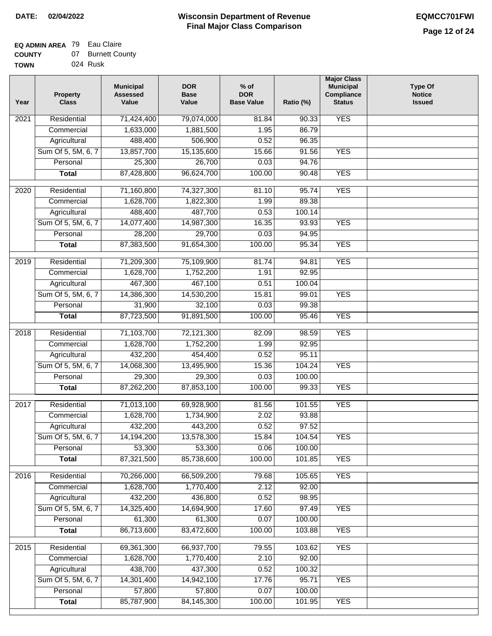#### **EQ ADMIN AREA** 79 Eau Claire **COUNTY** 07 Burnett County

| <b>COUNTY</b> | ,,, | <b>DUITER COL</b> |
|---------------|-----|-------------------|
| <b>TOWN</b>   |     | 024 Rusk          |

| Year | <b>Property</b><br><b>Class</b>    | <b>Municipal</b><br><b>Assessed</b><br>Value | <b>DOR</b><br><b>Base</b><br>Value | $%$ of<br><b>DOR</b><br><b>Base Value</b> | Ratio (%) | <b>Major Class</b><br><b>Municipal</b><br>Compliance<br><b>Status</b> | <b>Type Of</b><br><b>Notice</b><br><b>Issued</b> |
|------|------------------------------------|----------------------------------------------|------------------------------------|-------------------------------------------|-----------|-----------------------------------------------------------------------|--------------------------------------------------|
| 2021 | Residential                        | 71,424,400                                   | 79,074,000                         | 81.84                                     | 90.33     | <b>YES</b>                                                            |                                                  |
|      | Commercial                         | 1,633,000                                    | 1,881,500                          | 1.95                                      | 86.79     |                                                                       |                                                  |
|      | Agricultural                       | 488,400                                      | 506,900                            | 0.52                                      | 96.35     |                                                                       |                                                  |
|      | Sum Of 5, 5M, 6, 7                 | 13,857,700                                   | 15,135,600                         | 15.66                                     | 91.56     | <b>YES</b>                                                            |                                                  |
|      | Personal                           | 25,300                                       | 26,700                             | 0.03                                      | 94.76     |                                                                       |                                                  |
|      | <b>Total</b>                       | 87,428,800                                   | 96,624,700                         | 100.00                                    | 90.48     | <b>YES</b>                                                            |                                                  |
| 2020 | Residential                        | 71,160,800                                   | 74,327,300                         | 81.10                                     | 95.74     | <b>YES</b>                                                            |                                                  |
|      | Commercial                         | 1,628,700                                    | 1,822,300                          | 1.99                                      | 89.38     |                                                                       |                                                  |
|      | Agricultural                       | 488,400                                      | 487,700                            | 0.53                                      | 100.14    |                                                                       |                                                  |
|      | Sum Of 5, 5M, 6, 7                 | 14,077,400                                   | 14,987,300                         | 16.35                                     | 93.93     | <b>YES</b>                                                            |                                                  |
|      | Personal                           | 28,200                                       | 29,700                             | 0.03                                      | 94.95     |                                                                       |                                                  |
|      | <b>Total</b>                       | 87,383,500                                   | 91,654,300                         | 100.00                                    | 95.34     | <b>YES</b>                                                            |                                                  |
|      | Residential                        |                                              |                                    | 81.74                                     | 94.81     | <b>YES</b>                                                            |                                                  |
| 2019 | Commercial                         | 71,209,300<br>1,628,700                      | 75,109,900<br>1,752,200            | 1.91                                      | 92.95     |                                                                       |                                                  |
|      |                                    | 467,300                                      | 467,100                            | 0.51                                      | 100.04    |                                                                       |                                                  |
|      | Agricultural<br>Sum Of 5, 5M, 6, 7 | 14,386,300                                   | 14,530,200                         | 15.81                                     | 99.01     | <b>YES</b>                                                            |                                                  |
|      | Personal                           | 31,900                                       | 32,100                             | 0.03                                      | 99.38     |                                                                       |                                                  |
|      |                                    | 87,723,500                                   | 91,891,500                         | 100.00                                    | 95.46     | <b>YES</b>                                                            |                                                  |
|      | <b>Total</b>                       |                                              |                                    |                                           |           |                                                                       |                                                  |
| 2018 | Residential                        | 71,103,700                                   | 72,121,300                         | 82.09                                     | 98.59     | <b>YES</b>                                                            |                                                  |
|      | Commercial                         | 1,628,700                                    | 1,752,200                          | 1.99                                      | 92.95     |                                                                       |                                                  |
|      | Agricultural                       | 432,200                                      | 454,400                            | 0.52                                      | 95.11     |                                                                       |                                                  |
|      | Sum Of 5, 5M, 6, 7                 | 14,068,300                                   | 13,495,900                         | 15.36                                     | 104.24    | <b>YES</b>                                                            |                                                  |
|      | Personal                           | 29,300                                       | 29,300                             | 0.03                                      | 100.00    |                                                                       |                                                  |
|      | <b>Total</b>                       | 87,262,200                                   | 87,853,100                         | 100.00                                    | 99.33     | <b>YES</b>                                                            |                                                  |
| 2017 | Residential                        | 71,013,100                                   | 69,928,900                         | 81.56                                     | 101.55    | <b>YES</b>                                                            |                                                  |
|      | Commercial                         | 1,628,700                                    | 1,734,900                          | 2.02                                      | 93.88     |                                                                       |                                                  |
|      | Agricultural                       | 432,200                                      | 443,200                            | 0.52                                      | 97.52     |                                                                       |                                                  |
|      | Sum Of 5, 5M, 6, 7                 | 14,194,200                                   | 13,578,300                         | 15.84                                     | 104.54    | <b>YES</b>                                                            |                                                  |
|      | Personal                           | 53,300                                       | 53,300                             | 0.06                                      | 100.00    |                                                                       |                                                  |
|      | <b>Total</b>                       | 87,321,500                                   | 85,738,600                         | 100.00                                    | 101.85    | <b>YES</b>                                                            |                                                  |
| 2016 | Residential                        | 70,266,000                                   | 66,509,200                         | 79.68                                     | 105.65    | <b>YES</b>                                                            |                                                  |
|      |                                    | 1,628,700                                    | 1,770,400                          | 2.12                                      | 92.00     |                                                                       |                                                  |
|      | Commercial                         | 432,200                                      | 436,800                            | 0.52                                      | 98.95     |                                                                       |                                                  |
|      | Agricultural<br>Sum Of 5, 5M, 6, 7 | 14,325,400                                   | 14,694,900                         | 17.60                                     | 97.49     | <b>YES</b>                                                            |                                                  |
|      | Personal                           | 61,300                                       | 61,300                             | 0.07                                      | 100.00    |                                                                       |                                                  |
|      | <b>Total</b>                       | 86,713,600                                   | 83,472,600                         | 100.00                                    | 103.88    | <b>YES</b>                                                            |                                                  |
|      |                                    |                                              |                                    |                                           |           |                                                                       |                                                  |
| 2015 | Residential                        | 69,361,300                                   | 66,937,700                         | 79.55                                     | 103.62    | <b>YES</b>                                                            |                                                  |
|      | Commercial                         | 1,628,700                                    | 1,770,400                          | 2.10                                      | 92.00     |                                                                       |                                                  |
|      | Agricultural                       | 438,700                                      | 437,300                            | 0.52                                      | 100.32    |                                                                       |                                                  |
|      | Sum Of 5, 5M, 6, 7                 | 14,301,400                                   | 14,942,100                         | 17.76                                     | 95.71     | <b>YES</b>                                                            |                                                  |
|      | Personal                           | 57,800                                       | 57,800                             | 0.07                                      | 100.00    |                                                                       |                                                  |
|      | <b>Total</b>                       | 85,787,900                                   | 84, 145, 300                       | 100.00                                    | 101.95    | <b>YES</b>                                                            |                                                  |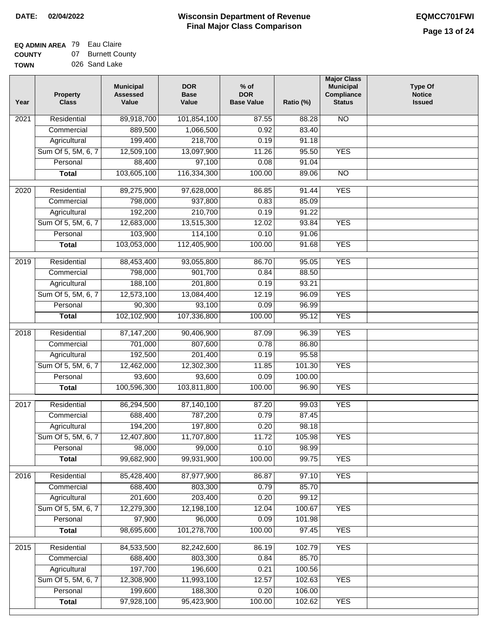#### **EQ ADMIN AREA** 79 Eau Claire **COUNTY** 07 Burnett County

**TOWN** 026 Sand Lake

| <b>NO</b><br>2021<br>Residential<br>89,918,700<br>101,854,100<br>87.55<br>88.28<br>889,500<br>1,066,500<br>0.92<br>83.40<br>Commercial<br>218,700<br>Agricultural<br>199,400<br>0.19<br>91.18<br>Sum Of 5, 5M, 6, 7<br>12,509,100<br>13,097,900<br>11.26<br>95.50<br><b>YES</b><br>88,400<br>97,100<br>Personal<br>0.08<br>91.04<br>103,605,100<br>116,334,300<br>100.00<br>89.06<br>$\overline{NO}$<br><b>Total</b><br><b>YES</b><br>2020<br>Residential<br>89,275,900<br>97,628,000<br>86.85<br>91.44<br>937,800<br>798,000<br>0.83<br>85.09<br>Commercial<br>192,200<br>210,700<br>0.19<br>91.22<br>Agricultural<br>Sum Of 5, 5M, 6, 7<br>12,683,000<br>13,515,300<br>12.02<br>93.84<br><b>YES</b><br>103,900<br>114,100<br>0.10<br>91.06<br>Personal<br>103,053,000<br><b>YES</b><br>112,405,900<br>100.00<br>91.68<br><b>Total</b><br><b>YES</b><br>2019<br>Residential<br>88,453,400<br>93,055,800<br>86.70<br>95.05<br>798,000<br>901,700<br>0.84<br>88.50<br>Commercial<br>188,100<br>201,800<br>0.19<br>93.21<br>Agricultural<br><b>YES</b><br>Sum Of 5, 5M, 6, 7<br>12,573,100<br>13,084,400<br>12.19<br>96.09<br>90,300<br>Personal<br>93,100<br>0.09<br>96.99<br>102,102,900<br>107,336,800<br>100.00<br><b>YES</b><br>95.12<br><b>Total</b><br>Residential<br>87, 147, 200<br>90,406,900<br>96.39<br><b>YES</b><br>2018<br>87.09<br>701,000<br>Commercial<br>807,600<br>0.78<br>86.80<br>192,500<br>201,400<br>95.58<br>Agricultural<br>0.19<br>Sum Of 5, 5M, 6, 7<br>12,462,000<br>12,302,300<br>11.85<br>101.30<br><b>YES</b><br>Personal<br>93,600<br>93,600<br>0.09<br>100.00<br>100,596,300<br>103,811,800<br>100.00<br>96.90<br><b>YES</b><br><b>Total</b><br>2017<br>Residential<br>86,294,500<br>87,140,100<br>99.03<br><b>YES</b><br>87.20<br>688,400<br>787,200<br>0.79<br>87.45<br>Commercial<br>194,200<br>197,800<br>0.20<br>98.18<br>Agricultural<br>12,407,800<br>11,707,800<br>11.72<br>105.98<br>Sum Of 5, 5M, 6, 7<br><b>YES</b><br>0.10<br>Personal<br>98,000<br>99,000<br>98.99<br>99,682,900<br>99,931,900<br>100.00<br>99.75<br><b>YES</b><br><b>Total</b><br><b>YES</b><br>Residential<br>85,428,400<br>87,977,900<br>86.87<br>2016<br>97.10<br>0.79<br>688,400<br>803,300<br>85.70<br>Commercial<br>201,600<br>203,400<br>0.20<br>99.12<br>Agricultural<br>Sum Of 5, 5M, 6, 7<br>12,279,300<br>12,198,100<br>12.04<br><b>YES</b><br>100.67<br>97,900<br>96,000<br>0.09<br>101.98<br>Personal<br>98,695,600<br>100.00<br><b>YES</b><br>101,278,700<br>97.45<br><b>Total</b><br><b>YES</b><br>2015<br>Residential<br>84,533,500<br>82,242,600<br>86.19<br>102.79<br>688,400<br>803,300<br>0.84<br>85.70<br>Commercial<br>197,700<br>196,600<br>0.21<br>100.56<br>Agricultural<br>Sum Of 5, 5M, 6, 7<br>12,308,900<br>11,993,100<br>12.57<br>102.63<br><b>YES</b><br>199,600<br>188,300<br>0.20<br>Personal<br>106.00<br>97,928,100<br>95,423,900<br>100.00<br><b>YES</b><br><b>Total</b><br>102.62 | Year | <b>Property</b><br><b>Class</b> | <b>Municipal</b><br><b>Assessed</b><br>Value | <b>DOR</b><br><b>Base</b><br>Value | $%$ of<br><b>DOR</b><br><b>Base Value</b> | Ratio (%) | <b>Major Class</b><br><b>Municipal</b><br>Compliance<br><b>Status</b> | <b>Type Of</b><br><b>Notice</b><br><b>Issued</b> |
|---------------------------------------------------------------------------------------------------------------------------------------------------------------------------------------------------------------------------------------------------------------------------------------------------------------------------------------------------------------------------------------------------------------------------------------------------------------------------------------------------------------------------------------------------------------------------------------------------------------------------------------------------------------------------------------------------------------------------------------------------------------------------------------------------------------------------------------------------------------------------------------------------------------------------------------------------------------------------------------------------------------------------------------------------------------------------------------------------------------------------------------------------------------------------------------------------------------------------------------------------------------------------------------------------------------------------------------------------------------------------------------------------------------------------------------------------------------------------------------------------------------------------------------------------------------------------------------------------------------------------------------------------------------------------------------------------------------------------------------------------------------------------------------------------------------------------------------------------------------------------------------------------------------------------------------------------------------------------------------------------------------------------------------------------------------------------------------------------------------------------------------------------------------------------------------------------------------------------------------------------------------------------------------------------------------------------------------------------------------------------------------------------------------------------------------------------------------------------------------------------------------------------------------------------------------------------------------------------------------------------------------------------------------------------------------------------------------------------------------------------------------------------------------------------------------------------------------------------------------------------------------------------------------------------------------|------|---------------------------------|----------------------------------------------|------------------------------------|-------------------------------------------|-----------|-----------------------------------------------------------------------|--------------------------------------------------|
|                                                                                                                                                                                                                                                                                                                                                                                                                                                                                                                                                                                                                                                                                                                                                                                                                                                                                                                                                                                                                                                                                                                                                                                                                                                                                                                                                                                                                                                                                                                                                                                                                                                                                                                                                                                                                                                                                                                                                                                                                                                                                                                                                                                                                                                                                                                                                                                                                                                                                                                                                                                                                                                                                                                                                                                                                                                                                                                                       |      |                                 |                                              |                                    |                                           |           |                                                                       |                                                  |
|                                                                                                                                                                                                                                                                                                                                                                                                                                                                                                                                                                                                                                                                                                                                                                                                                                                                                                                                                                                                                                                                                                                                                                                                                                                                                                                                                                                                                                                                                                                                                                                                                                                                                                                                                                                                                                                                                                                                                                                                                                                                                                                                                                                                                                                                                                                                                                                                                                                                                                                                                                                                                                                                                                                                                                                                                                                                                                                                       |      |                                 |                                              |                                    |                                           |           |                                                                       |                                                  |
|                                                                                                                                                                                                                                                                                                                                                                                                                                                                                                                                                                                                                                                                                                                                                                                                                                                                                                                                                                                                                                                                                                                                                                                                                                                                                                                                                                                                                                                                                                                                                                                                                                                                                                                                                                                                                                                                                                                                                                                                                                                                                                                                                                                                                                                                                                                                                                                                                                                                                                                                                                                                                                                                                                                                                                                                                                                                                                                                       |      |                                 |                                              |                                    |                                           |           |                                                                       |                                                  |
|                                                                                                                                                                                                                                                                                                                                                                                                                                                                                                                                                                                                                                                                                                                                                                                                                                                                                                                                                                                                                                                                                                                                                                                                                                                                                                                                                                                                                                                                                                                                                                                                                                                                                                                                                                                                                                                                                                                                                                                                                                                                                                                                                                                                                                                                                                                                                                                                                                                                                                                                                                                                                                                                                                                                                                                                                                                                                                                                       |      |                                 |                                              |                                    |                                           |           |                                                                       |                                                  |
|                                                                                                                                                                                                                                                                                                                                                                                                                                                                                                                                                                                                                                                                                                                                                                                                                                                                                                                                                                                                                                                                                                                                                                                                                                                                                                                                                                                                                                                                                                                                                                                                                                                                                                                                                                                                                                                                                                                                                                                                                                                                                                                                                                                                                                                                                                                                                                                                                                                                                                                                                                                                                                                                                                                                                                                                                                                                                                                                       |      |                                 |                                              |                                    |                                           |           |                                                                       |                                                  |
|                                                                                                                                                                                                                                                                                                                                                                                                                                                                                                                                                                                                                                                                                                                                                                                                                                                                                                                                                                                                                                                                                                                                                                                                                                                                                                                                                                                                                                                                                                                                                                                                                                                                                                                                                                                                                                                                                                                                                                                                                                                                                                                                                                                                                                                                                                                                                                                                                                                                                                                                                                                                                                                                                                                                                                                                                                                                                                                                       |      |                                 |                                              |                                    |                                           |           |                                                                       |                                                  |
|                                                                                                                                                                                                                                                                                                                                                                                                                                                                                                                                                                                                                                                                                                                                                                                                                                                                                                                                                                                                                                                                                                                                                                                                                                                                                                                                                                                                                                                                                                                                                                                                                                                                                                                                                                                                                                                                                                                                                                                                                                                                                                                                                                                                                                                                                                                                                                                                                                                                                                                                                                                                                                                                                                                                                                                                                                                                                                                                       |      |                                 |                                              |                                    |                                           |           |                                                                       |                                                  |
|                                                                                                                                                                                                                                                                                                                                                                                                                                                                                                                                                                                                                                                                                                                                                                                                                                                                                                                                                                                                                                                                                                                                                                                                                                                                                                                                                                                                                                                                                                                                                                                                                                                                                                                                                                                                                                                                                                                                                                                                                                                                                                                                                                                                                                                                                                                                                                                                                                                                                                                                                                                                                                                                                                                                                                                                                                                                                                                                       |      |                                 |                                              |                                    |                                           |           |                                                                       |                                                  |
|                                                                                                                                                                                                                                                                                                                                                                                                                                                                                                                                                                                                                                                                                                                                                                                                                                                                                                                                                                                                                                                                                                                                                                                                                                                                                                                                                                                                                                                                                                                                                                                                                                                                                                                                                                                                                                                                                                                                                                                                                                                                                                                                                                                                                                                                                                                                                                                                                                                                                                                                                                                                                                                                                                                                                                                                                                                                                                                                       |      |                                 |                                              |                                    |                                           |           |                                                                       |                                                  |
|                                                                                                                                                                                                                                                                                                                                                                                                                                                                                                                                                                                                                                                                                                                                                                                                                                                                                                                                                                                                                                                                                                                                                                                                                                                                                                                                                                                                                                                                                                                                                                                                                                                                                                                                                                                                                                                                                                                                                                                                                                                                                                                                                                                                                                                                                                                                                                                                                                                                                                                                                                                                                                                                                                                                                                                                                                                                                                                                       |      |                                 |                                              |                                    |                                           |           |                                                                       |                                                  |
|                                                                                                                                                                                                                                                                                                                                                                                                                                                                                                                                                                                                                                                                                                                                                                                                                                                                                                                                                                                                                                                                                                                                                                                                                                                                                                                                                                                                                                                                                                                                                                                                                                                                                                                                                                                                                                                                                                                                                                                                                                                                                                                                                                                                                                                                                                                                                                                                                                                                                                                                                                                                                                                                                                                                                                                                                                                                                                                                       |      |                                 |                                              |                                    |                                           |           |                                                                       |                                                  |
|                                                                                                                                                                                                                                                                                                                                                                                                                                                                                                                                                                                                                                                                                                                                                                                                                                                                                                                                                                                                                                                                                                                                                                                                                                                                                                                                                                                                                                                                                                                                                                                                                                                                                                                                                                                                                                                                                                                                                                                                                                                                                                                                                                                                                                                                                                                                                                                                                                                                                                                                                                                                                                                                                                                                                                                                                                                                                                                                       |      |                                 |                                              |                                    |                                           |           |                                                                       |                                                  |
|                                                                                                                                                                                                                                                                                                                                                                                                                                                                                                                                                                                                                                                                                                                                                                                                                                                                                                                                                                                                                                                                                                                                                                                                                                                                                                                                                                                                                                                                                                                                                                                                                                                                                                                                                                                                                                                                                                                                                                                                                                                                                                                                                                                                                                                                                                                                                                                                                                                                                                                                                                                                                                                                                                                                                                                                                                                                                                                                       |      |                                 |                                              |                                    |                                           |           |                                                                       |                                                  |
|                                                                                                                                                                                                                                                                                                                                                                                                                                                                                                                                                                                                                                                                                                                                                                                                                                                                                                                                                                                                                                                                                                                                                                                                                                                                                                                                                                                                                                                                                                                                                                                                                                                                                                                                                                                                                                                                                                                                                                                                                                                                                                                                                                                                                                                                                                                                                                                                                                                                                                                                                                                                                                                                                                                                                                                                                                                                                                                                       |      |                                 |                                              |                                    |                                           |           |                                                                       |                                                  |
|                                                                                                                                                                                                                                                                                                                                                                                                                                                                                                                                                                                                                                                                                                                                                                                                                                                                                                                                                                                                                                                                                                                                                                                                                                                                                                                                                                                                                                                                                                                                                                                                                                                                                                                                                                                                                                                                                                                                                                                                                                                                                                                                                                                                                                                                                                                                                                                                                                                                                                                                                                                                                                                                                                                                                                                                                                                                                                                                       |      |                                 |                                              |                                    |                                           |           |                                                                       |                                                  |
|                                                                                                                                                                                                                                                                                                                                                                                                                                                                                                                                                                                                                                                                                                                                                                                                                                                                                                                                                                                                                                                                                                                                                                                                                                                                                                                                                                                                                                                                                                                                                                                                                                                                                                                                                                                                                                                                                                                                                                                                                                                                                                                                                                                                                                                                                                                                                                                                                                                                                                                                                                                                                                                                                                                                                                                                                                                                                                                                       |      |                                 |                                              |                                    |                                           |           |                                                                       |                                                  |
|                                                                                                                                                                                                                                                                                                                                                                                                                                                                                                                                                                                                                                                                                                                                                                                                                                                                                                                                                                                                                                                                                                                                                                                                                                                                                                                                                                                                                                                                                                                                                                                                                                                                                                                                                                                                                                                                                                                                                                                                                                                                                                                                                                                                                                                                                                                                                                                                                                                                                                                                                                                                                                                                                                                                                                                                                                                                                                                                       |      |                                 |                                              |                                    |                                           |           |                                                                       |                                                  |
|                                                                                                                                                                                                                                                                                                                                                                                                                                                                                                                                                                                                                                                                                                                                                                                                                                                                                                                                                                                                                                                                                                                                                                                                                                                                                                                                                                                                                                                                                                                                                                                                                                                                                                                                                                                                                                                                                                                                                                                                                                                                                                                                                                                                                                                                                                                                                                                                                                                                                                                                                                                                                                                                                                                                                                                                                                                                                                                                       |      |                                 |                                              |                                    |                                           |           |                                                                       |                                                  |
|                                                                                                                                                                                                                                                                                                                                                                                                                                                                                                                                                                                                                                                                                                                                                                                                                                                                                                                                                                                                                                                                                                                                                                                                                                                                                                                                                                                                                                                                                                                                                                                                                                                                                                                                                                                                                                                                                                                                                                                                                                                                                                                                                                                                                                                                                                                                                                                                                                                                                                                                                                                                                                                                                                                                                                                                                                                                                                                                       |      |                                 |                                              |                                    |                                           |           |                                                                       |                                                  |
|                                                                                                                                                                                                                                                                                                                                                                                                                                                                                                                                                                                                                                                                                                                                                                                                                                                                                                                                                                                                                                                                                                                                                                                                                                                                                                                                                                                                                                                                                                                                                                                                                                                                                                                                                                                                                                                                                                                                                                                                                                                                                                                                                                                                                                                                                                                                                                                                                                                                                                                                                                                                                                                                                                                                                                                                                                                                                                                                       |      |                                 |                                              |                                    |                                           |           |                                                                       |                                                  |
|                                                                                                                                                                                                                                                                                                                                                                                                                                                                                                                                                                                                                                                                                                                                                                                                                                                                                                                                                                                                                                                                                                                                                                                                                                                                                                                                                                                                                                                                                                                                                                                                                                                                                                                                                                                                                                                                                                                                                                                                                                                                                                                                                                                                                                                                                                                                                                                                                                                                                                                                                                                                                                                                                                                                                                                                                                                                                                                                       |      |                                 |                                              |                                    |                                           |           |                                                                       |                                                  |
|                                                                                                                                                                                                                                                                                                                                                                                                                                                                                                                                                                                                                                                                                                                                                                                                                                                                                                                                                                                                                                                                                                                                                                                                                                                                                                                                                                                                                                                                                                                                                                                                                                                                                                                                                                                                                                                                                                                                                                                                                                                                                                                                                                                                                                                                                                                                                                                                                                                                                                                                                                                                                                                                                                                                                                                                                                                                                                                                       |      |                                 |                                              |                                    |                                           |           |                                                                       |                                                  |
|                                                                                                                                                                                                                                                                                                                                                                                                                                                                                                                                                                                                                                                                                                                                                                                                                                                                                                                                                                                                                                                                                                                                                                                                                                                                                                                                                                                                                                                                                                                                                                                                                                                                                                                                                                                                                                                                                                                                                                                                                                                                                                                                                                                                                                                                                                                                                                                                                                                                                                                                                                                                                                                                                                                                                                                                                                                                                                                                       |      |                                 |                                              |                                    |                                           |           |                                                                       |                                                  |
|                                                                                                                                                                                                                                                                                                                                                                                                                                                                                                                                                                                                                                                                                                                                                                                                                                                                                                                                                                                                                                                                                                                                                                                                                                                                                                                                                                                                                                                                                                                                                                                                                                                                                                                                                                                                                                                                                                                                                                                                                                                                                                                                                                                                                                                                                                                                                                                                                                                                                                                                                                                                                                                                                                                                                                                                                                                                                                                                       |      |                                 |                                              |                                    |                                           |           |                                                                       |                                                  |
|                                                                                                                                                                                                                                                                                                                                                                                                                                                                                                                                                                                                                                                                                                                                                                                                                                                                                                                                                                                                                                                                                                                                                                                                                                                                                                                                                                                                                                                                                                                                                                                                                                                                                                                                                                                                                                                                                                                                                                                                                                                                                                                                                                                                                                                                                                                                                                                                                                                                                                                                                                                                                                                                                                                                                                                                                                                                                                                                       |      |                                 |                                              |                                    |                                           |           |                                                                       |                                                  |
|                                                                                                                                                                                                                                                                                                                                                                                                                                                                                                                                                                                                                                                                                                                                                                                                                                                                                                                                                                                                                                                                                                                                                                                                                                                                                                                                                                                                                                                                                                                                                                                                                                                                                                                                                                                                                                                                                                                                                                                                                                                                                                                                                                                                                                                                                                                                                                                                                                                                                                                                                                                                                                                                                                                                                                                                                                                                                                                                       |      |                                 |                                              |                                    |                                           |           |                                                                       |                                                  |
|                                                                                                                                                                                                                                                                                                                                                                                                                                                                                                                                                                                                                                                                                                                                                                                                                                                                                                                                                                                                                                                                                                                                                                                                                                                                                                                                                                                                                                                                                                                                                                                                                                                                                                                                                                                                                                                                                                                                                                                                                                                                                                                                                                                                                                                                                                                                                                                                                                                                                                                                                                                                                                                                                                                                                                                                                                                                                                                                       |      |                                 |                                              |                                    |                                           |           |                                                                       |                                                  |
|                                                                                                                                                                                                                                                                                                                                                                                                                                                                                                                                                                                                                                                                                                                                                                                                                                                                                                                                                                                                                                                                                                                                                                                                                                                                                                                                                                                                                                                                                                                                                                                                                                                                                                                                                                                                                                                                                                                                                                                                                                                                                                                                                                                                                                                                                                                                                                                                                                                                                                                                                                                                                                                                                                                                                                                                                                                                                                                                       |      |                                 |                                              |                                    |                                           |           |                                                                       |                                                  |
|                                                                                                                                                                                                                                                                                                                                                                                                                                                                                                                                                                                                                                                                                                                                                                                                                                                                                                                                                                                                                                                                                                                                                                                                                                                                                                                                                                                                                                                                                                                                                                                                                                                                                                                                                                                                                                                                                                                                                                                                                                                                                                                                                                                                                                                                                                                                                                                                                                                                                                                                                                                                                                                                                                                                                                                                                                                                                                                                       |      |                                 |                                              |                                    |                                           |           |                                                                       |                                                  |
|                                                                                                                                                                                                                                                                                                                                                                                                                                                                                                                                                                                                                                                                                                                                                                                                                                                                                                                                                                                                                                                                                                                                                                                                                                                                                                                                                                                                                                                                                                                                                                                                                                                                                                                                                                                                                                                                                                                                                                                                                                                                                                                                                                                                                                                                                                                                                                                                                                                                                                                                                                                                                                                                                                                                                                                                                                                                                                                                       |      |                                 |                                              |                                    |                                           |           |                                                                       |                                                  |
|                                                                                                                                                                                                                                                                                                                                                                                                                                                                                                                                                                                                                                                                                                                                                                                                                                                                                                                                                                                                                                                                                                                                                                                                                                                                                                                                                                                                                                                                                                                                                                                                                                                                                                                                                                                                                                                                                                                                                                                                                                                                                                                                                                                                                                                                                                                                                                                                                                                                                                                                                                                                                                                                                                                                                                                                                                                                                                                                       |      |                                 |                                              |                                    |                                           |           |                                                                       |                                                  |
|                                                                                                                                                                                                                                                                                                                                                                                                                                                                                                                                                                                                                                                                                                                                                                                                                                                                                                                                                                                                                                                                                                                                                                                                                                                                                                                                                                                                                                                                                                                                                                                                                                                                                                                                                                                                                                                                                                                                                                                                                                                                                                                                                                                                                                                                                                                                                                                                                                                                                                                                                                                                                                                                                                                                                                                                                                                                                                                                       |      |                                 |                                              |                                    |                                           |           |                                                                       |                                                  |
|                                                                                                                                                                                                                                                                                                                                                                                                                                                                                                                                                                                                                                                                                                                                                                                                                                                                                                                                                                                                                                                                                                                                                                                                                                                                                                                                                                                                                                                                                                                                                                                                                                                                                                                                                                                                                                                                                                                                                                                                                                                                                                                                                                                                                                                                                                                                                                                                                                                                                                                                                                                                                                                                                                                                                                                                                                                                                                                                       |      |                                 |                                              |                                    |                                           |           |                                                                       |                                                  |
|                                                                                                                                                                                                                                                                                                                                                                                                                                                                                                                                                                                                                                                                                                                                                                                                                                                                                                                                                                                                                                                                                                                                                                                                                                                                                                                                                                                                                                                                                                                                                                                                                                                                                                                                                                                                                                                                                                                                                                                                                                                                                                                                                                                                                                                                                                                                                                                                                                                                                                                                                                                                                                                                                                                                                                                                                                                                                                                                       |      |                                 |                                              |                                    |                                           |           |                                                                       |                                                  |
|                                                                                                                                                                                                                                                                                                                                                                                                                                                                                                                                                                                                                                                                                                                                                                                                                                                                                                                                                                                                                                                                                                                                                                                                                                                                                                                                                                                                                                                                                                                                                                                                                                                                                                                                                                                                                                                                                                                                                                                                                                                                                                                                                                                                                                                                                                                                                                                                                                                                                                                                                                                                                                                                                                                                                                                                                                                                                                                                       |      |                                 |                                              |                                    |                                           |           |                                                                       |                                                  |
|                                                                                                                                                                                                                                                                                                                                                                                                                                                                                                                                                                                                                                                                                                                                                                                                                                                                                                                                                                                                                                                                                                                                                                                                                                                                                                                                                                                                                                                                                                                                                                                                                                                                                                                                                                                                                                                                                                                                                                                                                                                                                                                                                                                                                                                                                                                                                                                                                                                                                                                                                                                                                                                                                                                                                                                                                                                                                                                                       |      |                                 |                                              |                                    |                                           |           |                                                                       |                                                  |
|                                                                                                                                                                                                                                                                                                                                                                                                                                                                                                                                                                                                                                                                                                                                                                                                                                                                                                                                                                                                                                                                                                                                                                                                                                                                                                                                                                                                                                                                                                                                                                                                                                                                                                                                                                                                                                                                                                                                                                                                                                                                                                                                                                                                                                                                                                                                                                                                                                                                                                                                                                                                                                                                                                                                                                                                                                                                                                                                       |      |                                 |                                              |                                    |                                           |           |                                                                       |                                                  |
|                                                                                                                                                                                                                                                                                                                                                                                                                                                                                                                                                                                                                                                                                                                                                                                                                                                                                                                                                                                                                                                                                                                                                                                                                                                                                                                                                                                                                                                                                                                                                                                                                                                                                                                                                                                                                                                                                                                                                                                                                                                                                                                                                                                                                                                                                                                                                                                                                                                                                                                                                                                                                                                                                                                                                                                                                                                                                                                                       |      |                                 |                                              |                                    |                                           |           |                                                                       |                                                  |
|                                                                                                                                                                                                                                                                                                                                                                                                                                                                                                                                                                                                                                                                                                                                                                                                                                                                                                                                                                                                                                                                                                                                                                                                                                                                                                                                                                                                                                                                                                                                                                                                                                                                                                                                                                                                                                                                                                                                                                                                                                                                                                                                                                                                                                                                                                                                                                                                                                                                                                                                                                                                                                                                                                                                                                                                                                                                                                                                       |      |                                 |                                              |                                    |                                           |           |                                                                       |                                                  |
|                                                                                                                                                                                                                                                                                                                                                                                                                                                                                                                                                                                                                                                                                                                                                                                                                                                                                                                                                                                                                                                                                                                                                                                                                                                                                                                                                                                                                                                                                                                                                                                                                                                                                                                                                                                                                                                                                                                                                                                                                                                                                                                                                                                                                                                                                                                                                                                                                                                                                                                                                                                                                                                                                                                                                                                                                                                                                                                                       |      |                                 |                                              |                                    |                                           |           |                                                                       |                                                  |
|                                                                                                                                                                                                                                                                                                                                                                                                                                                                                                                                                                                                                                                                                                                                                                                                                                                                                                                                                                                                                                                                                                                                                                                                                                                                                                                                                                                                                                                                                                                                                                                                                                                                                                                                                                                                                                                                                                                                                                                                                                                                                                                                                                                                                                                                                                                                                                                                                                                                                                                                                                                                                                                                                                                                                                                                                                                                                                                                       |      |                                 |                                              |                                    |                                           |           |                                                                       |                                                  |
|                                                                                                                                                                                                                                                                                                                                                                                                                                                                                                                                                                                                                                                                                                                                                                                                                                                                                                                                                                                                                                                                                                                                                                                                                                                                                                                                                                                                                                                                                                                                                                                                                                                                                                                                                                                                                                                                                                                                                                                                                                                                                                                                                                                                                                                                                                                                                                                                                                                                                                                                                                                                                                                                                                                                                                                                                                                                                                                                       |      |                                 |                                              |                                    |                                           |           |                                                                       |                                                  |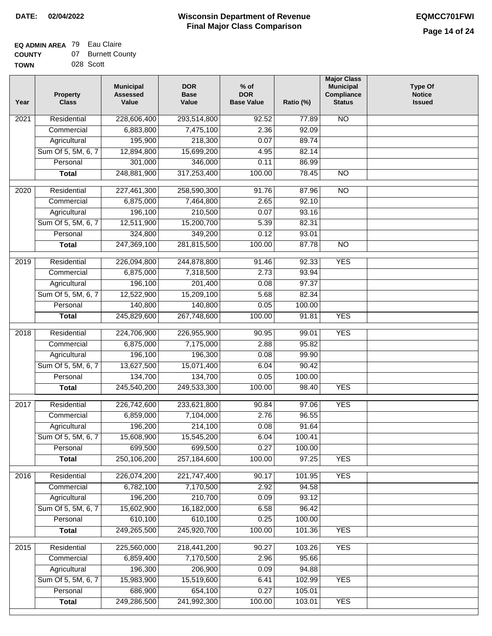#### **EQ ADMIN AREA** 79 Eau Claire **COUNTY** 07 Burnett County

|             | . . | ------    |
|-------------|-----|-----------|
| <b>TOWN</b> |     | 028 Scott |

| <b>NO</b><br>$\overline{202}1$<br>Residential<br>228,606,400<br>293,514,800<br>92.52<br>77.89<br>6,883,800<br>2.36<br>92.09<br>Commercial<br>7,475,100<br>195,900<br>Agricultural<br>218,300<br>0.07<br>89.74<br>Sum Of 5, 5M, 6, 7<br>12,894,800<br>15,699,200<br>82.14<br>4.95<br>301,000<br>346,000<br>0.11<br>86.99<br>Personal<br>248,881,900<br>317,253,400<br>78.45<br>$\overline{NO}$<br><b>Total</b><br>100.00<br>$\overline{NO}$<br>2020<br>Residential<br>227,461,300<br>258,590,300<br>91.76<br>87.96<br>6,875,000<br>7,464,800<br>2.65<br>92.10<br>Commercial<br>196,100<br>210,500<br>0.07<br>93.16<br>Agricultural<br>Sum Of 5, 5M, 6, 7<br>12,511,900<br>15,200,700<br>5.39<br>82.31<br>324,800<br>349,200<br>0.12<br>93.01<br>Personal<br>247,369,100<br>281,815,500<br>100.00<br>87.78<br>$\overline{NO}$<br><b>Total</b><br><b>YES</b><br>2019<br>Residential<br>226,094,800<br>244,878,800<br>91.46<br>92.33<br>6,875,000<br>2.73<br>93.94<br>Commercial<br>7,318,500<br>196,100<br>201,400<br>0.08<br>97.37<br>Agricultural<br>Sum Of 5, 5M, 6, 7<br>12,522,900<br>15,209,100<br>5.68<br>82.34<br>140,800<br>Personal<br>140,800<br>0.05<br>100.00<br>100.00<br><b>YES</b><br>245,829,600<br>267,748,600<br>91.81<br><b>Total</b><br>Residential<br>224,706,900<br><b>YES</b><br>2018<br>226,955,900<br>90.95<br>99.01<br>6,875,000<br>Commercial<br>7,175,000<br>2.88<br>95.82<br>196,100<br>196,300<br>99.90<br>Agricultural<br>0.08<br>13,627,500<br>Sum Of 5, 5M, 6, 7<br>15,071,400<br>6.04<br>90.42<br>Personal<br>134,700<br>134,700<br>0.05<br>100.00<br>245,540,200<br>249,533,300<br>100.00<br>98.40<br><b>YES</b><br><b>Total</b> |  |
|-------------------------------------------------------------------------------------------------------------------------------------------------------------------------------------------------------------------------------------------------------------------------------------------------------------------------------------------------------------------------------------------------------------------------------------------------------------------------------------------------------------------------------------------------------------------------------------------------------------------------------------------------------------------------------------------------------------------------------------------------------------------------------------------------------------------------------------------------------------------------------------------------------------------------------------------------------------------------------------------------------------------------------------------------------------------------------------------------------------------------------------------------------------------------------------------------------------------------------------------------------------------------------------------------------------------------------------------------------------------------------------------------------------------------------------------------------------------------------------------------------------------------------------------------------------------------------------------------------------------------------------------------------------------|--|
|                                                                                                                                                                                                                                                                                                                                                                                                                                                                                                                                                                                                                                                                                                                                                                                                                                                                                                                                                                                                                                                                                                                                                                                                                                                                                                                                                                                                                                                                                                                                                                                                                                                                   |  |
|                                                                                                                                                                                                                                                                                                                                                                                                                                                                                                                                                                                                                                                                                                                                                                                                                                                                                                                                                                                                                                                                                                                                                                                                                                                                                                                                                                                                                                                                                                                                                                                                                                                                   |  |
|                                                                                                                                                                                                                                                                                                                                                                                                                                                                                                                                                                                                                                                                                                                                                                                                                                                                                                                                                                                                                                                                                                                                                                                                                                                                                                                                                                                                                                                                                                                                                                                                                                                                   |  |
|                                                                                                                                                                                                                                                                                                                                                                                                                                                                                                                                                                                                                                                                                                                                                                                                                                                                                                                                                                                                                                                                                                                                                                                                                                                                                                                                                                                                                                                                                                                                                                                                                                                                   |  |
|                                                                                                                                                                                                                                                                                                                                                                                                                                                                                                                                                                                                                                                                                                                                                                                                                                                                                                                                                                                                                                                                                                                                                                                                                                                                                                                                                                                                                                                                                                                                                                                                                                                                   |  |
|                                                                                                                                                                                                                                                                                                                                                                                                                                                                                                                                                                                                                                                                                                                                                                                                                                                                                                                                                                                                                                                                                                                                                                                                                                                                                                                                                                                                                                                                                                                                                                                                                                                                   |  |
|                                                                                                                                                                                                                                                                                                                                                                                                                                                                                                                                                                                                                                                                                                                                                                                                                                                                                                                                                                                                                                                                                                                                                                                                                                                                                                                                                                                                                                                                                                                                                                                                                                                                   |  |
|                                                                                                                                                                                                                                                                                                                                                                                                                                                                                                                                                                                                                                                                                                                                                                                                                                                                                                                                                                                                                                                                                                                                                                                                                                                                                                                                                                                                                                                                                                                                                                                                                                                                   |  |
|                                                                                                                                                                                                                                                                                                                                                                                                                                                                                                                                                                                                                                                                                                                                                                                                                                                                                                                                                                                                                                                                                                                                                                                                                                                                                                                                                                                                                                                                                                                                                                                                                                                                   |  |
|                                                                                                                                                                                                                                                                                                                                                                                                                                                                                                                                                                                                                                                                                                                                                                                                                                                                                                                                                                                                                                                                                                                                                                                                                                                                                                                                                                                                                                                                                                                                                                                                                                                                   |  |
|                                                                                                                                                                                                                                                                                                                                                                                                                                                                                                                                                                                                                                                                                                                                                                                                                                                                                                                                                                                                                                                                                                                                                                                                                                                                                                                                                                                                                                                                                                                                                                                                                                                                   |  |
|                                                                                                                                                                                                                                                                                                                                                                                                                                                                                                                                                                                                                                                                                                                                                                                                                                                                                                                                                                                                                                                                                                                                                                                                                                                                                                                                                                                                                                                                                                                                                                                                                                                                   |  |
|                                                                                                                                                                                                                                                                                                                                                                                                                                                                                                                                                                                                                                                                                                                                                                                                                                                                                                                                                                                                                                                                                                                                                                                                                                                                                                                                                                                                                                                                                                                                                                                                                                                                   |  |
|                                                                                                                                                                                                                                                                                                                                                                                                                                                                                                                                                                                                                                                                                                                                                                                                                                                                                                                                                                                                                                                                                                                                                                                                                                                                                                                                                                                                                                                                                                                                                                                                                                                                   |  |
|                                                                                                                                                                                                                                                                                                                                                                                                                                                                                                                                                                                                                                                                                                                                                                                                                                                                                                                                                                                                                                                                                                                                                                                                                                                                                                                                                                                                                                                                                                                                                                                                                                                                   |  |
|                                                                                                                                                                                                                                                                                                                                                                                                                                                                                                                                                                                                                                                                                                                                                                                                                                                                                                                                                                                                                                                                                                                                                                                                                                                                                                                                                                                                                                                                                                                                                                                                                                                                   |  |
|                                                                                                                                                                                                                                                                                                                                                                                                                                                                                                                                                                                                                                                                                                                                                                                                                                                                                                                                                                                                                                                                                                                                                                                                                                                                                                                                                                                                                                                                                                                                                                                                                                                                   |  |
|                                                                                                                                                                                                                                                                                                                                                                                                                                                                                                                                                                                                                                                                                                                                                                                                                                                                                                                                                                                                                                                                                                                                                                                                                                                                                                                                                                                                                                                                                                                                                                                                                                                                   |  |
|                                                                                                                                                                                                                                                                                                                                                                                                                                                                                                                                                                                                                                                                                                                                                                                                                                                                                                                                                                                                                                                                                                                                                                                                                                                                                                                                                                                                                                                                                                                                                                                                                                                                   |  |
|                                                                                                                                                                                                                                                                                                                                                                                                                                                                                                                                                                                                                                                                                                                                                                                                                                                                                                                                                                                                                                                                                                                                                                                                                                                                                                                                                                                                                                                                                                                                                                                                                                                                   |  |
|                                                                                                                                                                                                                                                                                                                                                                                                                                                                                                                                                                                                                                                                                                                                                                                                                                                                                                                                                                                                                                                                                                                                                                                                                                                                                                                                                                                                                                                                                                                                                                                                                                                                   |  |
|                                                                                                                                                                                                                                                                                                                                                                                                                                                                                                                                                                                                                                                                                                                                                                                                                                                                                                                                                                                                                                                                                                                                                                                                                                                                                                                                                                                                                                                                                                                                                                                                                                                                   |  |
|                                                                                                                                                                                                                                                                                                                                                                                                                                                                                                                                                                                                                                                                                                                                                                                                                                                                                                                                                                                                                                                                                                                                                                                                                                                                                                                                                                                                                                                                                                                                                                                                                                                                   |  |
|                                                                                                                                                                                                                                                                                                                                                                                                                                                                                                                                                                                                                                                                                                                                                                                                                                                                                                                                                                                                                                                                                                                                                                                                                                                                                                                                                                                                                                                                                                                                                                                                                                                                   |  |
| Residential<br>226,742,600<br>233,621,800<br><b>YES</b><br>2017<br>90.84<br>97.06                                                                                                                                                                                                                                                                                                                                                                                                                                                                                                                                                                                                                                                                                                                                                                                                                                                                                                                                                                                                                                                                                                                                                                                                                                                                                                                                                                                                                                                                                                                                                                                 |  |
| 6,859,000<br>2.76<br>96.55<br>Commercial<br>7,104,000                                                                                                                                                                                                                                                                                                                                                                                                                                                                                                                                                                                                                                                                                                                                                                                                                                                                                                                                                                                                                                                                                                                                                                                                                                                                                                                                                                                                                                                                                                                                                                                                             |  |
| 196,200<br>214,100<br>0.08<br>91.64<br>Agricultural                                                                                                                                                                                                                                                                                                                                                                                                                                                                                                                                                                                                                                                                                                                                                                                                                                                                                                                                                                                                                                                                                                                                                                                                                                                                                                                                                                                                                                                                                                                                                                                                               |  |
| 15,608,900<br>15,545,200<br>Sum Of 5, 5M, 6, 7<br>6.04<br>100.41                                                                                                                                                                                                                                                                                                                                                                                                                                                                                                                                                                                                                                                                                                                                                                                                                                                                                                                                                                                                                                                                                                                                                                                                                                                                                                                                                                                                                                                                                                                                                                                                  |  |
| 699,500<br>0.27<br>699,500<br>100.00<br>Personal                                                                                                                                                                                                                                                                                                                                                                                                                                                                                                                                                                                                                                                                                                                                                                                                                                                                                                                                                                                                                                                                                                                                                                                                                                                                                                                                                                                                                                                                                                                                                                                                                  |  |
| 250,106,200<br>257,184,600<br>100.00<br>97.25<br><b>YES</b><br><b>Total</b>                                                                                                                                                                                                                                                                                                                                                                                                                                                                                                                                                                                                                                                                                                                                                                                                                                                                                                                                                                                                                                                                                                                                                                                                                                                                                                                                                                                                                                                                                                                                                                                       |  |
| <b>YES</b><br>Residential<br>226,074,200<br>221,747,400<br>2016<br>90.17<br>101.95                                                                                                                                                                                                                                                                                                                                                                                                                                                                                                                                                                                                                                                                                                                                                                                                                                                                                                                                                                                                                                                                                                                                                                                                                                                                                                                                                                                                                                                                                                                                                                                |  |
| 6,782,100<br>7,170,500<br>2.92<br>94.58<br>Commercial                                                                                                                                                                                                                                                                                                                                                                                                                                                                                                                                                                                                                                                                                                                                                                                                                                                                                                                                                                                                                                                                                                                                                                                                                                                                                                                                                                                                                                                                                                                                                                                                             |  |
| 196,200<br>210,700<br>0.09<br>93.12<br>Agricultural                                                                                                                                                                                                                                                                                                                                                                                                                                                                                                                                                                                                                                                                                                                                                                                                                                                                                                                                                                                                                                                                                                                                                                                                                                                                                                                                                                                                                                                                                                                                                                                                               |  |
| Sum Of 5, 5M, 6, 7<br>15,602,900<br>16,182,000<br>6.58<br>96.42                                                                                                                                                                                                                                                                                                                                                                                                                                                                                                                                                                                                                                                                                                                                                                                                                                                                                                                                                                                                                                                                                                                                                                                                                                                                                                                                                                                                                                                                                                                                                                                                   |  |
| 610,100<br>610,100<br>0.25<br>100.00<br>Personal                                                                                                                                                                                                                                                                                                                                                                                                                                                                                                                                                                                                                                                                                                                                                                                                                                                                                                                                                                                                                                                                                                                                                                                                                                                                                                                                                                                                                                                                                                                                                                                                                  |  |
| 249,265,500<br>100.00<br>245,920,700<br>101.36<br><b>YES</b><br><b>Total</b>                                                                                                                                                                                                                                                                                                                                                                                                                                                                                                                                                                                                                                                                                                                                                                                                                                                                                                                                                                                                                                                                                                                                                                                                                                                                                                                                                                                                                                                                                                                                                                                      |  |
| <b>YES</b><br>Residential<br>225,560,000<br>218,441,200<br>90.27<br>103.26<br>2015                                                                                                                                                                                                                                                                                                                                                                                                                                                                                                                                                                                                                                                                                                                                                                                                                                                                                                                                                                                                                                                                                                                                                                                                                                                                                                                                                                                                                                                                                                                                                                                |  |
| 6,859,400<br>7,170,500<br>2.96<br>95.66<br>Commercial                                                                                                                                                                                                                                                                                                                                                                                                                                                                                                                                                                                                                                                                                                                                                                                                                                                                                                                                                                                                                                                                                                                                                                                                                                                                                                                                                                                                                                                                                                                                                                                                             |  |
| 196,300<br>206,900<br>0.09<br>94.88<br>Agricultural                                                                                                                                                                                                                                                                                                                                                                                                                                                                                                                                                                                                                                                                                                                                                                                                                                                                                                                                                                                                                                                                                                                                                                                                                                                                                                                                                                                                                                                                                                                                                                                                               |  |
| Sum Of 5, 5M, 6, 7<br>15,983,900<br>15,519,600<br>102.99<br><b>YES</b><br>6.41                                                                                                                                                                                                                                                                                                                                                                                                                                                                                                                                                                                                                                                                                                                                                                                                                                                                                                                                                                                                                                                                                                                                                                                                                                                                                                                                                                                                                                                                                                                                                                                    |  |
| 686,900<br>654,100<br>Personal<br>0.27<br>105.01                                                                                                                                                                                                                                                                                                                                                                                                                                                                                                                                                                                                                                                                                                                                                                                                                                                                                                                                                                                                                                                                                                                                                                                                                                                                                                                                                                                                                                                                                                                                                                                                                  |  |
| 249,286,500<br>241,992,300<br><b>Total</b><br>100.00<br>103.01<br><b>YES</b>                                                                                                                                                                                                                                                                                                                                                                                                                                                                                                                                                                                                                                                                                                                                                                                                                                                                                                                                                                                                                                                                                                                                                                                                                                                                                                                                                                                                                                                                                                                                                                                      |  |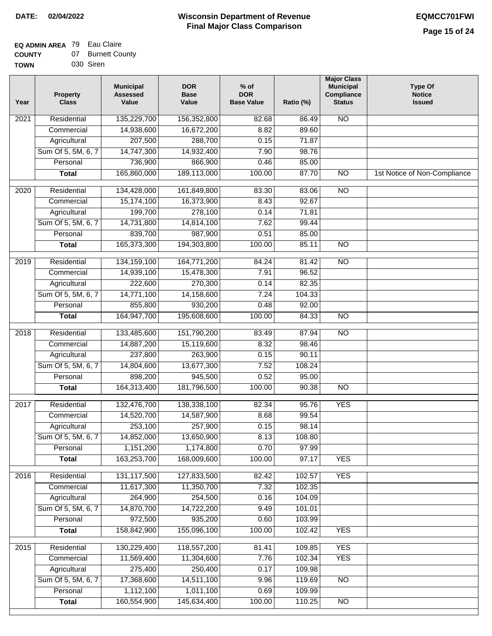#### **EQ ADMIN AREA** 79 Eau Claire **COUNTY** 07 Burnett County

| <b>UUUN I</b> | <b>DUILIGU OU</b> |
|---------------|-------------------|
| <b>TOWN</b>   | 030 Siren         |

| Year | <b>Property</b><br><b>Class</b> | <b>Municipal</b><br><b>Assessed</b><br>Value | <b>DOR</b><br><b>Base</b><br>Value | $%$ of<br><b>DOR</b><br><b>Base Value</b> | Ratio (%) | <b>Major Class</b><br><b>Municipal</b><br>Compliance<br><b>Status</b> | <b>Type Of</b><br><b>Notice</b><br><b>Issued</b> |
|------|---------------------------------|----------------------------------------------|------------------------------------|-------------------------------------------|-----------|-----------------------------------------------------------------------|--------------------------------------------------|
| 2021 | Residential                     | 135,229,700                                  | 156,352,800                        | 82.68                                     | 86.49     | N <sub>O</sub>                                                        |                                                  |
|      | Commercial                      | 14,938,600                                   | 16,672,200                         | 8.82                                      | 89.60     |                                                                       |                                                  |
|      | Agricultural                    | 207,500                                      | 288,700                            | 0.15                                      | 71.87     |                                                                       |                                                  |
|      | Sum Of 5, 5M, 6, 7              | 14,747,300                                   | 14,932,400                         | 7.90                                      | 98.76     |                                                                       |                                                  |
|      | Personal                        | 736,900                                      | 866,900                            | 0.46                                      | 85.00     |                                                                       |                                                  |
|      | <b>Total</b>                    | 165,860,000                                  | 189,113,000                        | 100.00                                    | 87.70     | $\overline{NO}$                                                       | 1st Notice of Non-Compliance                     |
| 2020 | Residential                     | 134,428,000                                  | 161,849,800                        | 83.30                                     | 83.06     | $\overline{3}$                                                        |                                                  |
|      | Commercial                      | 15,174,100                                   | 16,373,900                         | 8.43                                      | 92.67     |                                                                       |                                                  |
|      | Agricultural                    | 199,700                                      | 278,100                            | 0.14                                      | 71.81     |                                                                       |                                                  |
|      | Sum Of 5, 5M, 6, 7              | 14,731,800                                   | 14,814,100                         | 7.62                                      | 99.44     |                                                                       |                                                  |
|      | Personal                        | 839,700                                      | 987,900                            | 0.51                                      | 85.00     |                                                                       |                                                  |
|      | <b>Total</b>                    | 165,373,300                                  | 194,303,800                        | 100.00                                    | 85.11     | $\overline{NO}$                                                       |                                                  |
|      |                                 |                                              |                                    |                                           |           |                                                                       |                                                  |
| 2019 | Residential                     | 134, 159, 100                                | 164,771,200                        | 84.24                                     | 81.42     | $\overline{10}$                                                       |                                                  |
|      | Commercial                      | 14,939,100                                   | 15,478,300                         | 7.91                                      | 96.52     |                                                                       |                                                  |
|      | Agricultural                    | 222,600                                      | 270,300                            | 0.14                                      | 82.35     |                                                                       |                                                  |
|      | Sum Of 5, 5M, 6, 7              | 14,771,100                                   | 14,158,600                         | 7.24                                      | 104.33    |                                                                       |                                                  |
|      | Personal                        | 855,800                                      | 930,200                            | 0.48                                      | 92.00     |                                                                       |                                                  |
|      | <b>Total</b>                    | 164,947,700                                  | 195,608,600                        | 100.00                                    | 84.33     | <b>NO</b>                                                             |                                                  |
| 2018 | Residential                     | 133,485,600                                  | 151,790,200                        | 83.49                                     | 87.94     | <b>NO</b>                                                             |                                                  |
|      | Commercial                      | 14,887,200                                   | 15,119,600                         | 8.32                                      | 98.46     |                                                                       |                                                  |
|      | Agricultural                    | 237,800                                      | 263,900                            | 0.15                                      | 90.11     |                                                                       |                                                  |
|      | Sum Of 5, 5M, 6, 7              | 14,804,600                                   | 13,677,300                         | 7.52                                      | 108.24    |                                                                       |                                                  |
|      | Personal                        | 898,200                                      | 945,500                            | 0.52                                      | 95.00     |                                                                       |                                                  |
|      | <b>Total</b>                    | 164,313,400                                  | 181,796,500                        | 100.00                                    | 90.38     | $\overline{10}$                                                       |                                                  |
| 2017 | Residential                     | 132,476,700                                  | 138,338,100                        | 82.34                                     | 95.76     | <b>YES</b>                                                            |                                                  |
|      | Commercial                      | 14,520,700                                   | 14,587,900                         | 8.68                                      | 99.54     |                                                                       |                                                  |
|      | Agricultural                    | 253,100                                      | 257,900                            | 0.15                                      | 98.14     |                                                                       |                                                  |
|      | Sum Of 5, 5M, 6, 7              | 14,852,000                                   | 13,650,900                         | 8.13                                      | 108.80    |                                                                       |                                                  |
|      | Personal                        | 1,151,200                                    | 1,174,800                          | 0.70                                      | 97.99     |                                                                       |                                                  |
|      | <b>Total</b>                    | 163,253,700                                  | 168,009,600                        | 100.00                                    | 97.17     | <b>YES</b>                                                            |                                                  |
| 2016 | Residential                     | 131,117,500                                  | 127,833,500                        | 82.42                                     | 102.57    | <b>YES</b>                                                            |                                                  |
|      | Commercial                      | 11,617,300                                   | 11,350,700                         | 7.32                                      | 102.35    |                                                                       |                                                  |
|      | Agricultural                    | 264,900                                      | 254,500                            | 0.16                                      | 104.09    |                                                                       |                                                  |
|      | Sum Of 5, 5M, 6, 7              | 14,870,700                                   | 14,722,200                         | 9.49                                      | 101.01    |                                                                       |                                                  |
|      | Personal                        | 972,500                                      | 935,200                            | 0.60                                      | 103.99    |                                                                       |                                                  |
|      | <b>Total</b>                    | 158,842,900                                  | 155,096,100                        | 100.00                                    | 102.42    | <b>YES</b>                                                            |                                                  |
| 2015 | Residential                     | 130,229,400                                  | 118,557,200                        | 81.41                                     | 109.85    | <b>YES</b>                                                            |                                                  |
|      | Commercial                      | 11,569,400                                   | 11,304,600                         | 7.76                                      | 102.34    | <b>YES</b>                                                            |                                                  |
|      | Agricultural                    | 275,400                                      | 250,400                            | 0.17                                      | 109.98    |                                                                       |                                                  |
|      | Sum Of 5, 5M, 6, 7              | 17,368,600                                   | 14,511,100                         | 9.96                                      | 119.69    | <b>NO</b>                                                             |                                                  |
|      | Personal                        | 1,112,100                                    | 1,011,100                          | 0.69                                      | 109.99    |                                                                       |                                                  |
|      | <b>Total</b>                    | 160,554,900                                  | 145,634,400                        | 100.00                                    | 110.25    | N <sub>O</sub>                                                        |                                                  |
|      |                                 |                                              |                                    |                                           |           |                                                                       |                                                  |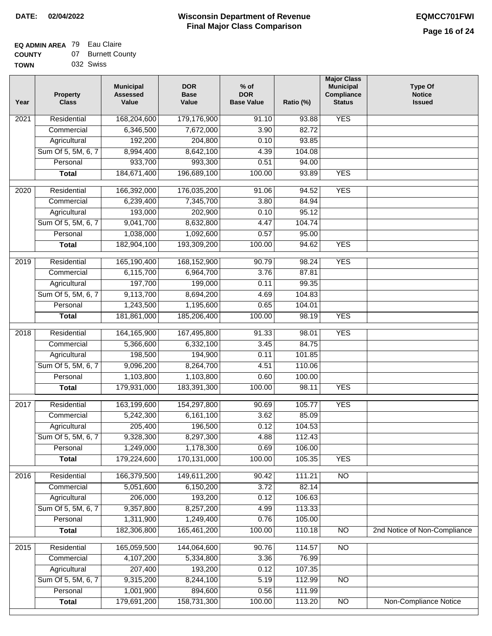### **EQ ADMIN AREA** 79 Eau Claire **COUNTY**

| <b>COUNTY</b> | 07. | <b>Burnett County</b> |
|---------------|-----|-----------------------|
| <b>TOWN</b>   |     | 032 Swiss             |

| Year             | <b>Property</b><br><b>Class</b> | <b>Municipal</b><br><b>Assessed</b><br>Value | <b>DOR</b><br><b>Base</b><br>Value | $%$ of<br><b>DOR</b><br><b>Base Value</b> | Ratio (%) | <b>Major Class</b><br><b>Municipal</b><br>Compliance<br><b>Status</b> | <b>Type Of</b><br><b>Notice</b><br><b>Issued</b> |
|------------------|---------------------------------|----------------------------------------------|------------------------------------|-------------------------------------------|-----------|-----------------------------------------------------------------------|--------------------------------------------------|
| 2021             | Residential                     | 168,204,600                                  | 179,176,900                        | 91.10                                     | 93.88     | <b>YES</b>                                                            |                                                  |
|                  | Commercial                      | 6,346,500                                    | 7,672,000                          | 3.90                                      | 82.72     |                                                                       |                                                  |
|                  | Agricultural                    | 192,200                                      | 204,800                            | 0.10                                      | 93.85     |                                                                       |                                                  |
|                  | Sum Of 5, 5M, 6, 7              | 8,994,400                                    | 8,642,100                          | 4.39                                      | 104.08    |                                                                       |                                                  |
|                  | Personal                        | 933,700                                      | 993,300                            | 0.51                                      | 94.00     |                                                                       |                                                  |
|                  | <b>Total</b>                    | 184,671,400                                  | 196,689,100                        | 100.00                                    | 93.89     | <b>YES</b>                                                            |                                                  |
| 2020             | Residential                     | 166,392,000                                  | 176,035,200                        | 91.06                                     | 94.52     | <b>YES</b>                                                            |                                                  |
|                  | Commercial                      | 6,239,400                                    | 7,345,700                          | 3.80                                      | 84.94     |                                                                       |                                                  |
|                  | Agricultural                    | 193,000                                      | 202,900                            | 0.10                                      | 95.12     |                                                                       |                                                  |
|                  | Sum Of 5, 5M, 6, 7              | 9,041,700                                    | 8,632,800                          | 4.47                                      | 104.74    |                                                                       |                                                  |
|                  | Personal                        | 1,038,000                                    | 1,092,600                          | 0.57                                      | 95.00     |                                                                       |                                                  |
|                  | <b>Total</b>                    | 182,904,100                                  | 193,309,200                        | 100.00                                    | 94.62     | <b>YES</b>                                                            |                                                  |
| $\frac{1}{2019}$ | Residential                     | 165,190,400                                  | 168,152,900                        | 90.79                                     | 98.24     | <b>YES</b>                                                            |                                                  |
|                  | Commercial                      | 6,115,700                                    | 6,964,700                          | 3.76                                      | 87.81     |                                                                       |                                                  |
|                  | Agricultural                    | 197,700                                      | 199,000                            | 0.11                                      | 99.35     |                                                                       |                                                  |
|                  | Sum Of 5, 5M, 6, 7              | 9,113,700                                    | 8,694,200                          | 4.69                                      | 104.83    |                                                                       |                                                  |
|                  | Personal                        | 1,243,500                                    | 1,195,600                          | 0.65                                      | 104.01    |                                                                       |                                                  |
|                  | <b>Total</b>                    | 181,861,000                                  | 185,206,400                        | 100.00                                    | 98.19     | <b>YES</b>                                                            |                                                  |
|                  |                                 |                                              |                                    |                                           |           |                                                                       |                                                  |
| 2018             | Residential                     | 164, 165, 900                                | 167,495,800                        | 91.33                                     | 98.01     | <b>YES</b>                                                            |                                                  |
|                  | Commercial                      | 5,366,600                                    | 6,332,100                          | 3.45                                      | 84.75     |                                                                       |                                                  |
|                  | Agricultural                    | 198,500                                      | 194,900                            | 0.11                                      | 101.85    |                                                                       |                                                  |
|                  | Sum Of 5, 5M, 6, 7              | 9,096,200                                    | 8,264,700                          | 4.51                                      | 110.06    |                                                                       |                                                  |
|                  | Personal                        | 1,103,800                                    | 1,103,800                          | 0.60                                      | 100.00    |                                                                       |                                                  |
|                  | <b>Total</b>                    | 179,931,000                                  | 183,391,300                        | 100.00                                    | 98.11     | <b>YES</b>                                                            |                                                  |
| 2017             | Residential                     | 163,199,600                                  | 154,297,800                        | 90.69                                     | 105.77    | <b>YES</b>                                                            |                                                  |
|                  | Commercial                      | 5,242,300                                    | 6,161,100                          | 3.62                                      | 85.09     |                                                                       |                                                  |
|                  | Agricultural                    | 205,400                                      | 196,500                            | 0.12                                      | 104.53    |                                                                       |                                                  |
|                  | Sum Of 5, 5M, 6, 7              | 9,328,300                                    | 8,297,300                          | 4.88                                      | 112.43    |                                                                       |                                                  |
|                  | Personal                        | 1,249,000                                    | 1,178,300                          | 0.69                                      | 106.00    |                                                                       |                                                  |
|                  | <b>Total</b>                    | 179,224,600                                  | 170,131,000                        | 100.00                                    | 105.35    | <b>YES</b>                                                            |                                                  |
| 2016             | Residential                     | 166,379,500                                  | 149,611,200                        | 90.42                                     | 111.21    | N <sub>O</sub>                                                        |                                                  |
|                  | Commercial                      | 5,051,600                                    | 6,150,200                          | 3.72                                      | 82.14     |                                                                       |                                                  |
|                  | Agricultural                    | 206,000                                      | 193,200                            | 0.12                                      | 106.63    |                                                                       |                                                  |
|                  | Sum Of 5, 5M, 6, 7              | 9,357,800                                    | 8,257,200                          | 4.99                                      | 113.33    |                                                                       |                                                  |
|                  | Personal                        | 1,311,900                                    | 1,249,400                          | 0.76                                      | 105.00    |                                                                       |                                                  |
|                  | <b>Total</b>                    | 182,306,800                                  | 165,461,200                        | 100.00                                    | 110.18    | N <sub>O</sub>                                                        | 2nd Notice of Non-Compliance                     |
| 2015             | Residential                     | 165,059,500                                  | 144,064,600                        | 90.76                                     | 114.57    | N <sub>O</sub>                                                        |                                                  |
|                  | Commercial                      | 4,107,200                                    | 5,334,800                          | 3.36                                      | 76.99     |                                                                       |                                                  |
|                  | Agricultural                    | 207,400                                      | 193,200                            | 0.12                                      | 107.35    |                                                                       |                                                  |
|                  | Sum Of 5, 5M, 6, 7              | 9,315,200                                    | 8,244,100                          | 5.19                                      | 112.99    | $\overline{NO}$                                                       |                                                  |
|                  | Personal                        | 1,001,900                                    | 894,600                            | 0.56                                      | 111.99    |                                                                       |                                                  |
|                  | <b>Total</b>                    | 179,691,200                                  | 158,731,300                        | 100.00                                    | 113.20    | $\overline{NO}$                                                       | <b>Non-Compliance Notice</b>                     |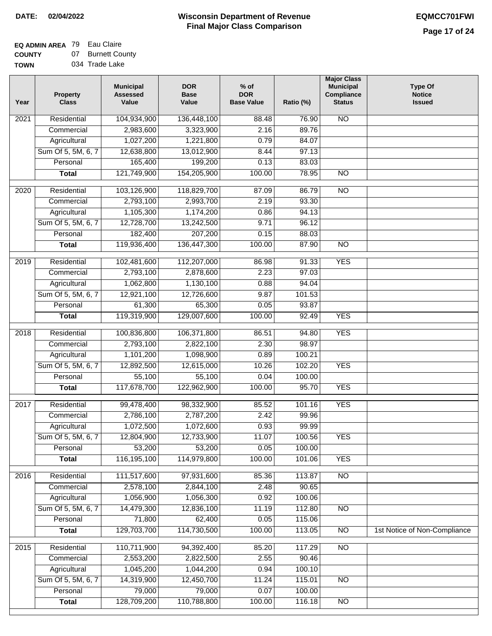#### **EQ ADMIN AREA** 79 Eau Claire **COUNTY** 07 Burnett County

**TOWN** 034 Trade Lake

| Year              | <b>Property</b><br><b>Class</b> | <b>Municipal</b><br><b>Assessed</b><br>Value | <b>DOR</b><br><b>Base</b><br>Value | $%$ of<br><b>DOR</b><br><b>Base Value</b> | Ratio (%) | <b>Major Class</b><br><b>Municipal</b><br>Compliance<br><b>Status</b> | <b>Type Of</b><br><b>Notice</b><br><b>Issued</b> |
|-------------------|---------------------------------|----------------------------------------------|------------------------------------|-------------------------------------------|-----------|-----------------------------------------------------------------------|--------------------------------------------------|
| 2021              | Residential                     | 104,934,900                                  | 136,448,100                        | 88.48                                     | 76.90     | N <sub>O</sub>                                                        |                                                  |
|                   | Commercial                      | 2,983,600                                    | 3,323,900                          | 2.16                                      | 89.76     |                                                                       |                                                  |
|                   | Agricultural                    | 1,027,200                                    | 1,221,800                          | 0.79                                      | 84.07     |                                                                       |                                                  |
|                   | Sum Of 5, 5M, 6, 7              | 12,638,800                                   | 13,012,900                         | 8.44                                      | 97.13     |                                                                       |                                                  |
|                   | Personal                        | 165,400                                      | 199,200                            | 0.13                                      | 83.03     |                                                                       |                                                  |
|                   | <b>Total</b>                    | 121,749,900                                  | 154,205,900                        | 100.00                                    | 78.95     | N <sub>O</sub>                                                        |                                                  |
| 2020              | Residential                     | 103,126,900                                  | 118,829,700                        | 87.09                                     | 86.79     | $\overline{NO}$                                                       |                                                  |
|                   | Commercial                      | 2,793,100                                    | 2,993,700                          | 2.19                                      | 93.30     |                                                                       |                                                  |
|                   | Agricultural                    | 1,105,300                                    | 1,174,200                          | 0.86                                      | 94.13     |                                                                       |                                                  |
|                   | Sum Of 5, 5M, 6, 7              | 12,728,700                                   | 13,242,500                         | 9.71                                      | 96.12     |                                                                       |                                                  |
|                   | Personal                        | 182,400                                      | 207,200                            | 0.15                                      | 88.03     |                                                                       |                                                  |
|                   | <b>Total</b>                    | 119,936,400                                  | 136,447,300                        | 100.00                                    | 87.90     | $\overline{NO}$                                                       |                                                  |
|                   |                                 |                                              |                                    |                                           |           |                                                                       |                                                  |
| 2019              | Residential                     | 102,481,600                                  | 112,207,000                        | 86.98                                     | 91.33     | <b>YES</b>                                                            |                                                  |
|                   | Commercial                      | 2,793,100                                    | 2,878,600                          | 2.23                                      | 97.03     |                                                                       |                                                  |
|                   | Agricultural                    | 1,062,800                                    | 1,130,100                          | 0.88                                      | 94.04     |                                                                       |                                                  |
|                   | Sum Of 5, 5M, 6, 7              | 12,921,100                                   | 12,726,600                         | 9.87                                      | 101.53    |                                                                       |                                                  |
|                   | Personal                        | 61,300                                       | 65,300                             | 0.05                                      | 93.87     |                                                                       |                                                  |
|                   | <b>Total</b>                    | 119,319,900                                  | 129,007,600                        | 100.00                                    | 92.49     | <b>YES</b>                                                            |                                                  |
| $\overline{2018}$ | Residential                     | 100,836,800                                  | 106,371,800                        | 86.51                                     | 94.80     | <b>YES</b>                                                            |                                                  |
|                   | Commercial                      | 2,793,100                                    | 2,822,100                          | 2.30                                      | 98.97     |                                                                       |                                                  |
|                   | Agricultural                    | 1,101,200                                    | 1,098,900                          | 0.89                                      | 100.21    |                                                                       |                                                  |
|                   | Sum Of 5, 5M, 6, 7              | 12,892,500                                   | 12,615,000                         | 10.26                                     | 102.20    | <b>YES</b>                                                            |                                                  |
|                   | Personal                        | 55,100                                       | 55,100                             | 0.04                                      | 100.00    |                                                                       |                                                  |
|                   | <b>Total</b>                    | 117,678,700                                  | 122,962,900                        | 100.00                                    | 95.70     | <b>YES</b>                                                            |                                                  |
| 2017              | Residential                     | 99,478,400                                   | 98,332,900                         | 85.52                                     | 101.16    | <b>YES</b>                                                            |                                                  |
|                   | Commercial                      | 2,786,100                                    | 2,787,200                          | 2.42                                      | 99.96     |                                                                       |                                                  |
|                   | Agricultural                    | 1,072,500                                    | 1,072,600                          | 0.93                                      | 99.99     |                                                                       |                                                  |
|                   | Sum Of 5, 5M, 6, 7              | 12,804,900                                   | 12,733,900                         | 11.07                                     | 100.56    | YES                                                                   |                                                  |
|                   | Personal                        | 53,200                                       | 53,200                             | 0.05                                      | 100.00    |                                                                       |                                                  |
|                   | <b>Total</b>                    | 116,195,100                                  | 114,979,800                        | 100.00                                    | 101.06    | <b>YES</b>                                                            |                                                  |
|                   | Residential                     |                                              |                                    |                                           |           |                                                                       |                                                  |
| 2016              |                                 | 111,517,600                                  | 97,931,600                         | 85.36                                     | 113.87    | N <sub>O</sub>                                                        |                                                  |
|                   | Commercial                      | 2,578,100                                    | 2,844,100                          | 2.48                                      | 90.65     |                                                                       |                                                  |
|                   | Agricultural                    | 1,056,900                                    | 1,056,300                          | 0.92                                      | 100.06    |                                                                       |                                                  |
|                   | Sum Of 5, 5M, 6, 7              | 14,479,300                                   | 12,836,100                         | 11.19                                     | 112.80    | $\overline{NO}$                                                       |                                                  |
|                   | Personal                        | 71,800                                       | 62,400                             | 0.05                                      | 115.06    |                                                                       |                                                  |
|                   | <b>Total</b>                    | 129,703,700                                  | 114,730,500                        | 100.00                                    | 113.05    | $\overline{NO}$                                                       | 1st Notice of Non-Compliance                     |
| 2015              | Residential                     | 110,711,900                                  | 94,392,400                         | 85.20                                     | 117.29    | N <sub>O</sub>                                                        |                                                  |
|                   | Commercial                      | 2,553,200                                    | 2,822,500                          | 2.55                                      | 90.46     |                                                                       |                                                  |
|                   | Agricultural                    | 1,045,200                                    | 1,044,200                          | 0.94                                      | 100.10    |                                                                       |                                                  |
|                   | Sum Of 5, 5M, 6, 7              | 14,319,900                                   | 12,450,700                         | 11.24                                     | 115.01    | $\overline{NO}$                                                       |                                                  |
|                   | Personal                        | 79,000                                       | 79,000                             | 0.07                                      | 100.00    |                                                                       |                                                  |
|                   | <b>Total</b>                    | 128,709,200                                  | 110,788,800                        | 100.00                                    | 116.18    | $\overline{NO}$                                                       |                                                  |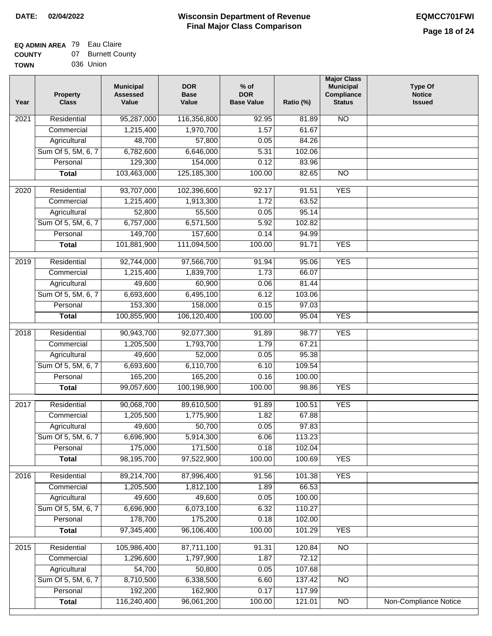#### **Wisconsin Department of Revenue Final Major Class Comparison DATE: 02/04/2022 EQMCC701FWI**

#### **EQ ADMIN AREA** 79 Eau Claire **COUNTY** 07 Burnett County

| -------     | --- | _ _ _ _ _ _ _ _ |  |
|-------------|-----|-----------------|--|
| <b>TOWN</b> |     | 036 Union       |  |

| Year | <b>Property</b><br><b>Class</b> | <b>Municipal</b><br><b>Assessed</b><br>Value | <b>DOR</b><br><b>Base</b><br>Value | $%$ of<br><b>DOR</b><br><b>Base Value</b> | Ratio (%) | <b>Major Class</b><br><b>Municipal</b><br>Compliance<br><b>Status</b> | <b>Type Of</b><br><b>Notice</b><br><b>Issued</b> |
|------|---------------------------------|----------------------------------------------|------------------------------------|-------------------------------------------|-----------|-----------------------------------------------------------------------|--------------------------------------------------|
| 2021 | Residential                     | 95,287,000                                   | 116,356,800                        | 92.95                                     | 81.89     | <b>NO</b>                                                             |                                                  |
|      | Commercial                      | 1,215,400                                    | 1,970,700                          | 1.57                                      | 61.67     |                                                                       |                                                  |
|      | Agricultural                    | 48,700                                       | 57,800                             | 0.05                                      | 84.26     |                                                                       |                                                  |
|      | Sum Of 5, 5M, 6, 7              | 6,782,600                                    | 6,646,000                          | 5.31                                      | 102.06    |                                                                       |                                                  |
|      | Personal                        | 129,300                                      | 154,000                            | 0.12                                      | 83.96     |                                                                       |                                                  |
|      | <b>Total</b>                    | 103,463,000                                  | 125, 185, 300                      | 100.00                                    | 82.65     | $\overline{NO}$                                                       |                                                  |
| 2020 | Residential                     | 93,707,000                                   | 102,396,600                        | 92.17                                     | 91.51     | <b>YES</b>                                                            |                                                  |
|      | Commercial                      | 1,215,400                                    | 1,913,300                          | 1.72                                      | 63.52     |                                                                       |                                                  |
|      | Agricultural                    | 52,800                                       | 55,500                             | 0.05                                      | 95.14     |                                                                       |                                                  |
|      | Sum Of 5, 5M, 6, 7              | 6,757,000                                    | 6,571,500                          | 5.92                                      | 102.82    |                                                                       |                                                  |
|      | Personal                        | 149,700                                      | 157,600                            | 0.14                                      | 94.99     |                                                                       |                                                  |
|      | <b>Total</b>                    | 101,881,900                                  | 111,094,500                        | 100.00                                    | 91.71     | <b>YES</b>                                                            |                                                  |
|      |                                 |                                              |                                    |                                           |           |                                                                       |                                                  |
| 2019 | Residential                     | 92,744,000                                   | 97,566,700                         | 91.94                                     | 95.06     | <b>YES</b>                                                            |                                                  |
|      | Commercial                      | 1,215,400                                    | 1,839,700                          | 1.73                                      | 66.07     |                                                                       |                                                  |
|      | Agricultural                    | 49,600                                       | 60,900                             | 0.06                                      | 81.44     |                                                                       |                                                  |
|      | Sum Of 5, 5M, 6, 7              | 6,693,600                                    | 6,495,100                          | 6.12                                      | 103.06    |                                                                       |                                                  |
|      | Personal                        | 153,300                                      | 158,000                            | 0.15                                      | 97.03     |                                                                       |                                                  |
|      | <b>Total</b>                    | 100,855,900                                  | 106,120,400                        | 100.00                                    | 95.04     | <b>YES</b>                                                            |                                                  |
| 2018 | Residential                     | 90,943,700                                   | 92,077,300                         | 91.89                                     | 98.77     | <b>YES</b>                                                            |                                                  |
|      | Commercial                      | 1,205,500                                    | 1,793,700                          | 1.79                                      | 67.21     |                                                                       |                                                  |
|      | Agricultural                    | 49,600                                       | 52,000                             | 0.05                                      | 95.38     |                                                                       |                                                  |
|      | Sum Of 5, 5M, 6, 7              | 6,693,600                                    | 6,110,700                          | 6.10                                      | 109.54    |                                                                       |                                                  |
|      | Personal                        | 165,200                                      | 165,200                            | 0.16                                      | 100.00    |                                                                       |                                                  |
|      | <b>Total</b>                    | 99,057,600                                   | 100,198,900                        | 100.00                                    | 98.86     | <b>YES</b>                                                            |                                                  |
| 2017 | Residential                     | 90,068,700                                   | 89,610,500                         | 91.89                                     | 100.51    | <b>YES</b>                                                            |                                                  |
|      | Commercial                      | 1,205,500                                    | 1,775,900                          | 1.82                                      | 67.88     |                                                                       |                                                  |
|      | Agricultural                    | 49,600                                       | 50,700                             | 0.05                                      | 97.83     |                                                                       |                                                  |
|      | Sum Of 5, 5M, 6, 7              | 6,696,900                                    | 5,914,300                          | 6.06                                      | 113.23    |                                                                       |                                                  |
|      | Personal                        | 175,000                                      | 171,500                            | 0.18                                      | 102.04    |                                                                       |                                                  |
|      | <b>Total</b>                    | 98,195,700                                   | 97,522,900                         | 100.00                                    | 100.69    | <b>YES</b>                                                            |                                                  |
| 2016 | Residential                     | 89,214,700                                   | 87,996,400                         | 91.56                                     | 101.38    | <b>YES</b>                                                            |                                                  |
|      | Commercial                      | 1,205,500                                    | 1,812,100                          | 1.89                                      | 66.53     |                                                                       |                                                  |
|      | Agricultural                    | 49,600                                       | 49,600                             | 0.05                                      | 100.00    |                                                                       |                                                  |
|      | Sum Of 5, 5M, 6, 7              | 6,696,900                                    | 6,073,100                          | 6.32                                      | 110.27    |                                                                       |                                                  |
|      | Personal                        | 178,700                                      | 175,200                            | 0.18                                      | 102.00    |                                                                       |                                                  |
|      | <b>Total</b>                    | 97,345,400                                   | 96,106,400                         | 100.00                                    | 101.29    | <b>YES</b>                                                            |                                                  |
|      |                                 |                                              |                                    |                                           |           |                                                                       |                                                  |
| 2015 | Residential                     | 105,986,400                                  | 87,711,100                         | 91.31                                     | 120.84    | N <sub>O</sub>                                                        |                                                  |
|      | Commercial                      | 1,296,600                                    | 1,797,900                          | 1.87                                      | 72.12     |                                                                       |                                                  |
|      | Agricultural                    | 54,700                                       | 50,800                             | 0.05                                      | 107.68    |                                                                       |                                                  |
|      | Sum Of 5, 5M, 6, 7              | 8,710,500                                    | 6,338,500                          | 6.60                                      | 137.42    | <b>NO</b>                                                             |                                                  |
|      | Personal                        | 192,200                                      | 162,900                            | 0.17                                      | 117.99    |                                                                       |                                                  |
|      | <b>Total</b>                    | 116,240,400                                  | 96,061,200                         | 100.00                                    | 121.01    | $\overline{NO}$                                                       | Non-Compliance Notice                            |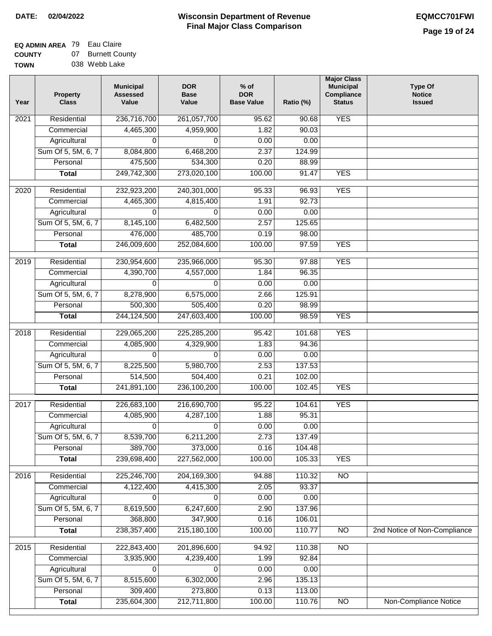#### **EQ ADMIN AREA** 79 Eau Claire **COUNTY** 07 Burnett County

| ------      |  |               |
|-------------|--|---------------|
| <b>TOWN</b> |  | 038 Webb Lake |

| Year              | <b>Property</b><br><b>Class</b> | <b>Municipal</b><br><b>Assessed</b><br>Value | <b>DOR</b><br><b>Base</b><br>Value | $%$ of<br><b>DOR</b><br><b>Base Value</b> | Ratio (%) | <b>Major Class</b><br><b>Municipal</b><br>Compliance<br><b>Status</b> | <b>Type Of</b><br><b>Notice</b><br><b>Issued</b> |
|-------------------|---------------------------------|----------------------------------------------|------------------------------------|-------------------------------------------|-----------|-----------------------------------------------------------------------|--------------------------------------------------|
| 2021              | Residential                     | 236,716,700                                  | 261,057,700                        | 95.62                                     | 90.68     | <b>YES</b>                                                            |                                                  |
|                   | Commercial                      | 4,465,300                                    | 4,959,900                          | 1.82                                      | 90.03     |                                                                       |                                                  |
|                   | Agricultural                    | 0                                            | 0                                  | 0.00                                      | 0.00      |                                                                       |                                                  |
|                   | Sum Of 5, 5M, 6, 7              | 8,084,800                                    | 6,468,200                          | 2.37                                      | 124.99    |                                                                       |                                                  |
|                   | Personal                        | 475,500                                      | 534,300                            | 0.20                                      | 88.99     |                                                                       |                                                  |
|                   | <b>Total</b>                    | 249,742,300                                  | 273,020,100                        | 100.00                                    | 91.47     | <b>YES</b>                                                            |                                                  |
| 2020              | Residential                     | 232,923,200                                  | 240,301,000                        | 95.33                                     | 96.93     | <b>YES</b>                                                            |                                                  |
|                   | Commercial                      | 4,465,300                                    | 4,815,400                          | 1.91                                      | 92.73     |                                                                       |                                                  |
|                   | Agricultural                    | $\Omega$                                     | $\Omega$                           | 0.00                                      | 0.00      |                                                                       |                                                  |
|                   | Sum Of 5, 5M, 6, 7              | 8,145,100                                    | 6,482,500                          | 2.57                                      | 125.65    |                                                                       |                                                  |
|                   | Personal                        | 476,000                                      | 485,700                            | 0.19                                      | 98.00     |                                                                       |                                                  |
|                   | <b>Total</b>                    | 246,009,600                                  | 252,084,600                        | 100.00                                    | 97.59     | <b>YES</b>                                                            |                                                  |
| 2019              | Residential                     | 230,954,600                                  | 235,966,000                        | 95.30                                     | 97.88     | <b>YES</b>                                                            |                                                  |
|                   | Commercial                      | 4,390,700                                    | 4,557,000                          | 1.84                                      | 96.35     |                                                                       |                                                  |
|                   | Agricultural                    | 0                                            | 0                                  | 0.00                                      | 0.00      |                                                                       |                                                  |
|                   | Sum Of 5, 5M, 6, 7              | 8,278,900                                    | 6,575,000                          | 2.66                                      | 125.91    |                                                                       |                                                  |
|                   | Personal                        | 500,300                                      | 505,400                            | 0.20                                      | 98.99     |                                                                       |                                                  |
|                   | <b>Total</b>                    | 244,124,500                                  | 247,603,400                        | 100.00                                    | 98.59     | <b>YES</b>                                                            |                                                  |
| $\overline{2018}$ | Residential                     | 229,065,200                                  | 225,285,200                        | 95.42                                     | 101.68    | <b>YES</b>                                                            |                                                  |
|                   | Commercial                      | 4,085,900                                    | 4,329,900                          | 1.83                                      | 94.36     |                                                                       |                                                  |
|                   | Agricultural                    | $\Omega$                                     | $\Omega$                           | 0.00                                      | 0.00      |                                                                       |                                                  |
|                   | Sum Of 5, 5M, 6, 7              | 8,225,500                                    | 5,980,700                          | 2.53                                      | 137.53    |                                                                       |                                                  |
|                   | Personal                        | 514,500                                      | 504,400                            | 0.21                                      | 102.00    |                                                                       |                                                  |
|                   | <b>Total</b>                    | 241,891,100                                  | 236,100,200                        | 100.00                                    | 102.45    | <b>YES</b>                                                            |                                                  |
| 2017              | Residential                     | 226,683,100                                  | 216,690,700                        | 95.22                                     | 104.61    | <b>YES</b>                                                            |                                                  |
|                   | Commercial                      | 4,085,900                                    | 4,287,100                          | 1.88                                      | 95.31     |                                                                       |                                                  |
|                   | Agricultural                    | 0                                            | 0                                  | 0.00                                      | 0.00      |                                                                       |                                                  |
|                   | Sum Of 5, 5M, 6, 7              | 8,539,700                                    | 6,211,200                          | 2.73                                      | 137.49    |                                                                       |                                                  |
|                   | Personal                        | 389,700                                      | 373,000                            | 0.16                                      | 104.48    |                                                                       |                                                  |
|                   | <b>Total</b>                    | 239,698,400                                  | 227,562,000                        | 100.00                                    | 105.33    | <b>YES</b>                                                            |                                                  |
|                   |                                 |                                              |                                    |                                           |           |                                                                       |                                                  |
| 2016              | Residential                     | 225,246,700                                  | 204, 169, 300                      | 94.88                                     | 110.32    | $\overline{NO}$                                                       |                                                  |
|                   | Commercial                      | 4,122,400                                    | 4,415,300                          | 2.05                                      | 93.37     |                                                                       |                                                  |
|                   | Agricultural                    | 0                                            | 0                                  | 0.00                                      | 0.00      |                                                                       |                                                  |
|                   | Sum Of 5, 5M, 6, 7              | 8,619,500                                    | 6,247,600                          | 2.90                                      | 137.96    |                                                                       |                                                  |
|                   | Personal                        | 368,800                                      | 347,900                            | 0.16                                      | 106.01    |                                                                       |                                                  |
|                   | <b>Total</b>                    | 238, 357, 400                                | 215,180,100                        | 100.00                                    | 110.77    | N <sub>O</sub>                                                        | 2nd Notice of Non-Compliance                     |
| 2015              | Residential                     | 222,843,400                                  | 201,896,600                        | 94.92                                     | 110.38    | N <sub>O</sub>                                                        |                                                  |
|                   | Commercial                      | 3,935,900                                    | 4,239,400                          | 1.99                                      | 92.84     |                                                                       |                                                  |
|                   | Agricultural                    | 0                                            | 0                                  | 0.00                                      | 0.00      |                                                                       |                                                  |
|                   | Sum Of 5, 5M, 6, 7              | 8,515,600                                    | 6,302,000                          | 2.96                                      | 135.13    |                                                                       |                                                  |
|                   | Personal                        | 309,400                                      | 273,800                            | 0.13                                      | 113.00    |                                                                       |                                                  |
|                   | <b>Total</b>                    | 235,604,300                                  | 212,711,800                        | 100.00                                    | 110.76    | $\overline{NO}$                                                       | Non-Compliance Notice                            |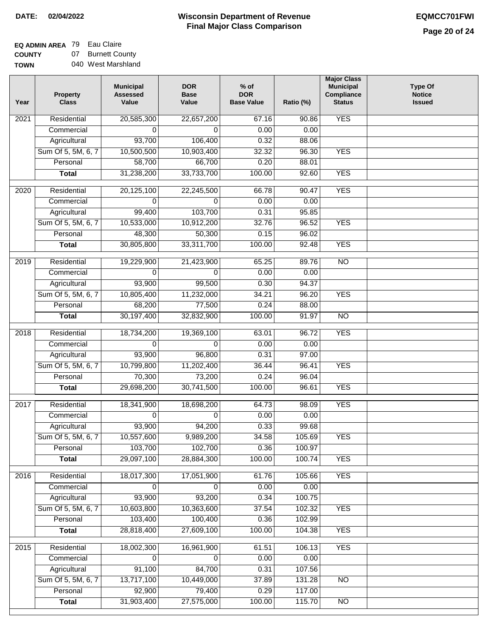### **EQ ADMIN AREA** 79 Eau Claire **COUNTY**

**TOWN** 07 Burnett County 040 West Marshland

| Year              | <b>Property</b><br><b>Class</b>    | <b>Municipal</b><br><b>Assessed</b><br>Value | <b>DOR</b><br><b>Base</b><br>Value | $%$ of<br><b>DOR</b><br><b>Base Value</b> | Ratio (%)     | <b>Major Class</b><br><b>Municipal</b><br>Compliance<br><b>Status</b> | <b>Type Of</b><br><b>Notice</b><br><b>Issued</b> |
|-------------------|------------------------------------|----------------------------------------------|------------------------------------|-------------------------------------------|---------------|-----------------------------------------------------------------------|--------------------------------------------------|
| $\overline{202}1$ | Residential                        | 20,585,300                                   | 22,657,200                         | 67.16                                     | 90.86         | <b>YES</b>                                                            |                                                  |
|                   | Commercial                         | 0                                            | 0                                  | 0.00                                      | 0.00          |                                                                       |                                                  |
|                   | Agricultural                       | 93,700                                       | 106,400                            | 0.32                                      | 88.06         |                                                                       |                                                  |
|                   | Sum Of 5, 5M, 6, 7                 | 10,500,500                                   | 10,903,400                         | 32.32                                     | 96.30         | <b>YES</b>                                                            |                                                  |
|                   | Personal                           | 58,700                                       | 66,700                             | 0.20                                      | 88.01         |                                                                       |                                                  |
|                   | <b>Total</b>                       | 31,238,200                                   | 33,733,700                         | 100.00                                    | 92.60         | <b>YES</b>                                                            |                                                  |
| 2020              | Residential                        | 20,125,100                                   | 22,245,500                         | 66.78                                     | 90.47         | <b>YES</b>                                                            |                                                  |
|                   | Commercial                         | 0                                            | 0                                  | 0.00                                      | 0.00          |                                                                       |                                                  |
|                   | Agricultural                       | 99,400                                       | 103,700                            | 0.31                                      | 95.85         |                                                                       |                                                  |
|                   | Sum Of 5, 5M, 6, 7                 | 10,533,000                                   | 10,912,200                         | 32.76                                     | 96.52         | <b>YES</b>                                                            |                                                  |
|                   | Personal                           | 48,300                                       | 50,300                             | 0.15                                      | 96.02         |                                                                       |                                                  |
|                   | <b>Total</b>                       | 30,805,800                                   | 33,311,700                         | 100.00                                    | 92.48         | <b>YES</b>                                                            |                                                  |
| 2019              | Residential                        | 19,229,900                                   | 21,423,900                         | 65.25                                     | 89.76         | $\overline{3}$                                                        |                                                  |
|                   | Commercial                         | 0                                            | $\Omega$                           | 0.00                                      | 0.00          |                                                                       |                                                  |
|                   | Agricultural                       | 93,900                                       | 99,500                             | 0.30                                      | 94.37         |                                                                       |                                                  |
|                   | Sum Of 5, 5M, 6, 7                 | 10,805,400                                   | 11,232,000                         | 34.21                                     | 96.20         | <b>YES</b>                                                            |                                                  |
|                   | Personal                           | 68,200                                       | 77,500                             | 0.24                                      | 88.00         |                                                                       |                                                  |
|                   | <b>Total</b>                       | 30,197,400                                   | 32,832,900                         | 100.00                                    | 91.97         | $\overline{NO}$                                                       |                                                  |
|                   |                                    |                                              |                                    |                                           |               |                                                                       |                                                  |
| 2018              | Residential                        | 18,734,200                                   | 19,369,100                         | 63.01                                     | 96.72         | <b>YES</b>                                                            |                                                  |
|                   | Commercial                         | $\Omega$                                     | $\mathbf 0$                        | 0.00<br>0.31                              | 0.00<br>97.00 |                                                                       |                                                  |
|                   | Agricultural<br>Sum Of 5, 5M, 6, 7 | 93,900<br>10,799,800                         | 96,800<br>11,202,400               | 36.44                                     | 96.41         | <b>YES</b>                                                            |                                                  |
|                   | Personal                           | 70,300                                       | 73,200                             | 0.24                                      | 96.04         |                                                                       |                                                  |
|                   | <b>Total</b>                       | 29,698,200                                   | 30,741,500                         | 100.00                                    | 96.61         | <b>YES</b>                                                            |                                                  |
|                   |                                    |                                              |                                    |                                           |               |                                                                       |                                                  |
| 2017              | Residential                        | 18,341,900                                   | 18,698,200                         | 64.73                                     | 98.09         | <b>YES</b>                                                            |                                                  |
|                   | Commercial                         | $\Omega$                                     | 0                                  | 0.00                                      | 0.00          |                                                                       |                                                  |
|                   | Agricultural                       | 93,900                                       | 94,200                             | 0.33                                      | 99.68         |                                                                       |                                                  |
|                   | Sum Of 5, 5M, 6, 7                 | 10,557,600                                   | 9,989,200                          | 34.58                                     | 105.69        | <b>YES</b>                                                            |                                                  |
|                   | Personal                           | 103,700                                      | 102,700                            | 0.36                                      | 100.97        |                                                                       |                                                  |
|                   | <b>Total</b>                       | 29,097,100                                   | 28,884,300                         | 100.00                                    | 100.74        | <b>YES</b>                                                            |                                                  |
| 2016              | Residential                        | 18,017,300                                   | 17,051,900                         | 61.76                                     | 105.66        | <b>YES</b>                                                            |                                                  |
|                   | Commercial                         | 0                                            | 0                                  | 0.00                                      | 0.00          |                                                                       |                                                  |
|                   | Agricultural                       | 93,900                                       | 93,200                             | 0.34                                      | 100.75        |                                                                       |                                                  |
|                   | Sum Of 5, 5M, 6, 7                 | 10,603,800                                   | 10,363,600                         | 37.54                                     | 102.32        | <b>YES</b>                                                            |                                                  |
|                   | Personal                           | 103,400                                      | 100,400                            | 0.36                                      | 102.99        |                                                                       |                                                  |
|                   | <b>Total</b>                       | 28,818,400                                   | 27,609,100                         | 100.00                                    | 104.38        | <b>YES</b>                                                            |                                                  |
| 2015              | Residential                        | 18,002,300                                   | 16,961,900                         | 61.51                                     | 106.13        | <b>YES</b>                                                            |                                                  |
|                   | Commercial                         | 0                                            | 0                                  | 0.00                                      | 0.00          |                                                                       |                                                  |
|                   | Agricultural                       | 91,100                                       | 84,700                             | 0.31                                      | 107.56        |                                                                       |                                                  |
|                   | Sum Of 5, 5M, 6, 7                 | 13,717,100                                   | 10,449,000                         | 37.89                                     | 131.28        | N <sub>O</sub>                                                        |                                                  |
|                   | Personal                           | 92,900                                       | 79,400                             | 0.29                                      | 117.00        |                                                                       |                                                  |
|                   | <b>Total</b>                       | 31,903,400                                   | 27,575,000                         | 100.00                                    | 115.70        | N <sub>O</sub>                                                        |                                                  |
|                   |                                    |                                              |                                    |                                           |               |                                                                       |                                                  |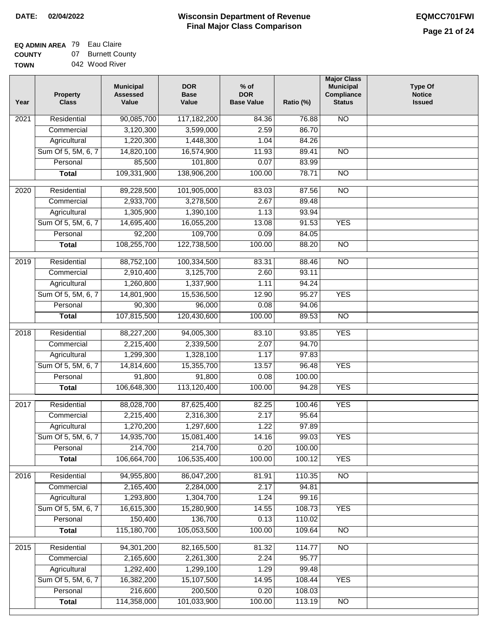### **EQ ADMIN AREA** 79 Eau Claire **COUNTY**

**TOWN** 07 Burnett County 042 Wood River

| 90,085,700<br>N <sub>O</sub><br>Residential<br>117,182,200<br>2021<br>84.36<br>76.88<br>3,120,300<br>3,599,000<br>2.59<br>86.70<br>Commercial<br>1,220,300<br>1,448,300<br>84.26<br>Agricultural<br>1.04<br>Sum Of 5, 5M, 6, 7<br>14,820,100<br>16,574,900<br>11.93<br>89.41<br>$\overline{NO}$<br>85,500<br>101,800<br>0.07<br>Personal<br>83.99<br>109,331,900<br>78.71<br>138,906,200<br>100.00<br>$\overline{NO}$<br><b>Total</b><br>Residential<br>89,228,500<br>83.03<br>87.56<br>$\overline{NO}$<br>2020<br>101,905,000<br>Commercial<br>2,933,700<br>3,278,500<br>2.67<br>89.48<br>1,305,900<br>1,390,100<br>93.94<br>Agricultural<br>1.13<br>Sum Of 5, 5M, 6, 7<br><b>YES</b><br>14,695,400<br>16,055,200<br>13.08<br>91.53<br>92,200<br>109,700<br>Personal<br>0.09<br>84.05<br>108,255,700<br>122,738,500<br>100.00<br>88.20<br>$\overline{NO}$<br><b>Total</b><br>Residential<br>88,752,100<br>100,334,500<br>83.31<br>88.46<br><b>NO</b><br>2019<br>Commercial<br>2,910,400<br>3,125,700<br>2.60<br>93.11<br>Agricultural<br>1,260,800<br>1,337,900<br>1.11<br>94.24<br>Sum Of 5, 5M, 6, 7<br>14,801,900<br>15,536,500<br>95.27<br><b>YES</b><br>12.90<br>Personal<br>90,300<br>96,000<br>0.08<br>94.06<br>107,815,500<br>120,430,600<br>100.00<br>89.53<br>$\overline{NO}$<br><b>Total</b><br><b>YES</b><br>94,005,300<br>Residential<br>88,227,200<br>83.10<br>93.85<br>2018<br>94.70<br>Commercial<br>2,215,400<br>2,339,500<br>2.07<br>Agricultural<br>1,299,300<br>1,328,100<br>1.17<br>97.83<br>Sum Of 5, 5M, 6, 7<br><b>YES</b><br>14,814,600<br>15,355,700<br>13.57<br>96.48<br>Personal<br>91,800<br>91,800<br>0.08<br>100.00<br>106,648,300<br>113,120,400<br>100.00<br>94.28<br><b>YES</b><br><b>Total</b><br><b>YES</b><br>2017<br>Residential<br>88,028,700<br>87,625,400<br>82.25<br>100.46<br>2,215,400<br>2,316,300<br>2.17<br>95.64<br>Commercial<br>1,270,200<br>1,297,600<br>1.22<br>97.89<br>Agricultural<br>Sum Of 5, 5M, 6, 7<br>14,935,700<br>15,081,400<br>14.16<br>99.03<br>YES<br>214,700<br>214,700<br>0.20<br>100.00<br>Personal<br>106,664,700<br>106,535,400<br><b>YES</b><br>100.00<br><b>Total</b><br>100.12<br>Residential<br>94,955,800<br>86,047,200<br>81.91<br>110.35<br>N <sub>O</sub><br>2016<br>2,165,400<br>2,284,000<br>2.17<br>94.81<br>Commercial<br>1,304,700<br>1,293,800<br>1.24<br>99.16<br>Agricultural<br>16,615,300<br>Sum Of 5, 5M, 6, 7<br>15,280,900<br>14.55<br>108.73<br><b>YES</b><br>150,400<br>136,700<br>Personal<br>0.13<br>110.02<br>115,180,700<br>105,053,500<br>100.00<br><b>Total</b><br>109.64<br>N <sub>O</sub><br>Residential<br>94,301,200<br>82,165,500<br>N <sub>O</sub><br>2015<br>81.32<br>114.77<br>Commercial<br>2,165,600<br>2,261,300<br>2.24<br>95.77<br>Agricultural<br>1,292,400<br>1,299,100<br>1.29<br>99.48<br>Sum Of 5, 5M, 6, 7<br>16,382,200<br>15,107,500<br>14.95<br>108.44<br><b>YES</b><br>Personal<br>216,600<br>200,500<br>0.20<br>108.03 | Year | <b>Property</b><br><b>Class</b> | <b>Municipal</b><br><b>Assessed</b><br>Value | <b>DOR</b><br><b>Base</b><br>Value | $%$ of<br><b>DOR</b><br><b>Base Value</b> | Ratio (%) | <b>Major Class</b><br><b>Municipal</b><br>Compliance<br><b>Status</b> | <b>Type Of</b><br><b>Notice</b><br><b>Issued</b> |
|-----------------------------------------------------------------------------------------------------------------------------------------------------------------------------------------------------------------------------------------------------------------------------------------------------------------------------------------------------------------------------------------------------------------------------------------------------------------------------------------------------------------------------------------------------------------------------------------------------------------------------------------------------------------------------------------------------------------------------------------------------------------------------------------------------------------------------------------------------------------------------------------------------------------------------------------------------------------------------------------------------------------------------------------------------------------------------------------------------------------------------------------------------------------------------------------------------------------------------------------------------------------------------------------------------------------------------------------------------------------------------------------------------------------------------------------------------------------------------------------------------------------------------------------------------------------------------------------------------------------------------------------------------------------------------------------------------------------------------------------------------------------------------------------------------------------------------------------------------------------------------------------------------------------------------------------------------------------------------------------------------------------------------------------------------------------------------------------------------------------------------------------------------------------------------------------------------------------------------------------------------------------------------------------------------------------------------------------------------------------------------------------------------------------------------------------------------------------------------------------------------------------------------------------------------------------------------------------------------------------------------------------------------------------------------------------------------------------------------------------------------------------------------------------------------------------------------------------------------------------------------------------------------------------------------------------------------|------|---------------------------------|----------------------------------------------|------------------------------------|-------------------------------------------|-----------|-----------------------------------------------------------------------|--------------------------------------------------|
|                                                                                                                                                                                                                                                                                                                                                                                                                                                                                                                                                                                                                                                                                                                                                                                                                                                                                                                                                                                                                                                                                                                                                                                                                                                                                                                                                                                                                                                                                                                                                                                                                                                                                                                                                                                                                                                                                                                                                                                                                                                                                                                                                                                                                                                                                                                                                                                                                                                                                                                                                                                                                                                                                                                                                                                                                                                                                                                                                     |      |                                 |                                              |                                    |                                           |           |                                                                       |                                                  |
|                                                                                                                                                                                                                                                                                                                                                                                                                                                                                                                                                                                                                                                                                                                                                                                                                                                                                                                                                                                                                                                                                                                                                                                                                                                                                                                                                                                                                                                                                                                                                                                                                                                                                                                                                                                                                                                                                                                                                                                                                                                                                                                                                                                                                                                                                                                                                                                                                                                                                                                                                                                                                                                                                                                                                                                                                                                                                                                                                     |      |                                 |                                              |                                    |                                           |           |                                                                       |                                                  |
|                                                                                                                                                                                                                                                                                                                                                                                                                                                                                                                                                                                                                                                                                                                                                                                                                                                                                                                                                                                                                                                                                                                                                                                                                                                                                                                                                                                                                                                                                                                                                                                                                                                                                                                                                                                                                                                                                                                                                                                                                                                                                                                                                                                                                                                                                                                                                                                                                                                                                                                                                                                                                                                                                                                                                                                                                                                                                                                                                     |      |                                 |                                              |                                    |                                           |           |                                                                       |                                                  |
|                                                                                                                                                                                                                                                                                                                                                                                                                                                                                                                                                                                                                                                                                                                                                                                                                                                                                                                                                                                                                                                                                                                                                                                                                                                                                                                                                                                                                                                                                                                                                                                                                                                                                                                                                                                                                                                                                                                                                                                                                                                                                                                                                                                                                                                                                                                                                                                                                                                                                                                                                                                                                                                                                                                                                                                                                                                                                                                                                     |      |                                 |                                              |                                    |                                           |           |                                                                       |                                                  |
|                                                                                                                                                                                                                                                                                                                                                                                                                                                                                                                                                                                                                                                                                                                                                                                                                                                                                                                                                                                                                                                                                                                                                                                                                                                                                                                                                                                                                                                                                                                                                                                                                                                                                                                                                                                                                                                                                                                                                                                                                                                                                                                                                                                                                                                                                                                                                                                                                                                                                                                                                                                                                                                                                                                                                                                                                                                                                                                                                     |      |                                 |                                              |                                    |                                           |           |                                                                       |                                                  |
|                                                                                                                                                                                                                                                                                                                                                                                                                                                                                                                                                                                                                                                                                                                                                                                                                                                                                                                                                                                                                                                                                                                                                                                                                                                                                                                                                                                                                                                                                                                                                                                                                                                                                                                                                                                                                                                                                                                                                                                                                                                                                                                                                                                                                                                                                                                                                                                                                                                                                                                                                                                                                                                                                                                                                                                                                                                                                                                                                     |      |                                 |                                              |                                    |                                           |           |                                                                       |                                                  |
|                                                                                                                                                                                                                                                                                                                                                                                                                                                                                                                                                                                                                                                                                                                                                                                                                                                                                                                                                                                                                                                                                                                                                                                                                                                                                                                                                                                                                                                                                                                                                                                                                                                                                                                                                                                                                                                                                                                                                                                                                                                                                                                                                                                                                                                                                                                                                                                                                                                                                                                                                                                                                                                                                                                                                                                                                                                                                                                                                     |      |                                 |                                              |                                    |                                           |           |                                                                       |                                                  |
|                                                                                                                                                                                                                                                                                                                                                                                                                                                                                                                                                                                                                                                                                                                                                                                                                                                                                                                                                                                                                                                                                                                                                                                                                                                                                                                                                                                                                                                                                                                                                                                                                                                                                                                                                                                                                                                                                                                                                                                                                                                                                                                                                                                                                                                                                                                                                                                                                                                                                                                                                                                                                                                                                                                                                                                                                                                                                                                                                     |      |                                 |                                              |                                    |                                           |           |                                                                       |                                                  |
|                                                                                                                                                                                                                                                                                                                                                                                                                                                                                                                                                                                                                                                                                                                                                                                                                                                                                                                                                                                                                                                                                                                                                                                                                                                                                                                                                                                                                                                                                                                                                                                                                                                                                                                                                                                                                                                                                                                                                                                                                                                                                                                                                                                                                                                                                                                                                                                                                                                                                                                                                                                                                                                                                                                                                                                                                                                                                                                                                     |      |                                 |                                              |                                    |                                           |           |                                                                       |                                                  |
|                                                                                                                                                                                                                                                                                                                                                                                                                                                                                                                                                                                                                                                                                                                                                                                                                                                                                                                                                                                                                                                                                                                                                                                                                                                                                                                                                                                                                                                                                                                                                                                                                                                                                                                                                                                                                                                                                                                                                                                                                                                                                                                                                                                                                                                                                                                                                                                                                                                                                                                                                                                                                                                                                                                                                                                                                                                                                                                                                     |      |                                 |                                              |                                    |                                           |           |                                                                       |                                                  |
|                                                                                                                                                                                                                                                                                                                                                                                                                                                                                                                                                                                                                                                                                                                                                                                                                                                                                                                                                                                                                                                                                                                                                                                                                                                                                                                                                                                                                                                                                                                                                                                                                                                                                                                                                                                                                                                                                                                                                                                                                                                                                                                                                                                                                                                                                                                                                                                                                                                                                                                                                                                                                                                                                                                                                                                                                                                                                                                                                     |      |                                 |                                              |                                    |                                           |           |                                                                       |                                                  |
|                                                                                                                                                                                                                                                                                                                                                                                                                                                                                                                                                                                                                                                                                                                                                                                                                                                                                                                                                                                                                                                                                                                                                                                                                                                                                                                                                                                                                                                                                                                                                                                                                                                                                                                                                                                                                                                                                                                                                                                                                                                                                                                                                                                                                                                                                                                                                                                                                                                                                                                                                                                                                                                                                                                                                                                                                                                                                                                                                     |      |                                 |                                              |                                    |                                           |           |                                                                       |                                                  |
|                                                                                                                                                                                                                                                                                                                                                                                                                                                                                                                                                                                                                                                                                                                                                                                                                                                                                                                                                                                                                                                                                                                                                                                                                                                                                                                                                                                                                                                                                                                                                                                                                                                                                                                                                                                                                                                                                                                                                                                                                                                                                                                                                                                                                                                                                                                                                                                                                                                                                                                                                                                                                                                                                                                                                                                                                                                                                                                                                     |      |                                 |                                              |                                    |                                           |           |                                                                       |                                                  |
|                                                                                                                                                                                                                                                                                                                                                                                                                                                                                                                                                                                                                                                                                                                                                                                                                                                                                                                                                                                                                                                                                                                                                                                                                                                                                                                                                                                                                                                                                                                                                                                                                                                                                                                                                                                                                                                                                                                                                                                                                                                                                                                                                                                                                                                                                                                                                                                                                                                                                                                                                                                                                                                                                                                                                                                                                                                                                                                                                     |      |                                 |                                              |                                    |                                           |           |                                                                       |                                                  |
|                                                                                                                                                                                                                                                                                                                                                                                                                                                                                                                                                                                                                                                                                                                                                                                                                                                                                                                                                                                                                                                                                                                                                                                                                                                                                                                                                                                                                                                                                                                                                                                                                                                                                                                                                                                                                                                                                                                                                                                                                                                                                                                                                                                                                                                                                                                                                                                                                                                                                                                                                                                                                                                                                                                                                                                                                                                                                                                                                     |      |                                 |                                              |                                    |                                           |           |                                                                       |                                                  |
|                                                                                                                                                                                                                                                                                                                                                                                                                                                                                                                                                                                                                                                                                                                                                                                                                                                                                                                                                                                                                                                                                                                                                                                                                                                                                                                                                                                                                                                                                                                                                                                                                                                                                                                                                                                                                                                                                                                                                                                                                                                                                                                                                                                                                                                                                                                                                                                                                                                                                                                                                                                                                                                                                                                                                                                                                                                                                                                                                     |      |                                 |                                              |                                    |                                           |           |                                                                       |                                                  |
|                                                                                                                                                                                                                                                                                                                                                                                                                                                                                                                                                                                                                                                                                                                                                                                                                                                                                                                                                                                                                                                                                                                                                                                                                                                                                                                                                                                                                                                                                                                                                                                                                                                                                                                                                                                                                                                                                                                                                                                                                                                                                                                                                                                                                                                                                                                                                                                                                                                                                                                                                                                                                                                                                                                                                                                                                                                                                                                                                     |      |                                 |                                              |                                    |                                           |           |                                                                       |                                                  |
|                                                                                                                                                                                                                                                                                                                                                                                                                                                                                                                                                                                                                                                                                                                                                                                                                                                                                                                                                                                                                                                                                                                                                                                                                                                                                                                                                                                                                                                                                                                                                                                                                                                                                                                                                                                                                                                                                                                                                                                                                                                                                                                                                                                                                                                                                                                                                                                                                                                                                                                                                                                                                                                                                                                                                                                                                                                                                                                                                     |      |                                 |                                              |                                    |                                           |           |                                                                       |                                                  |
|                                                                                                                                                                                                                                                                                                                                                                                                                                                                                                                                                                                                                                                                                                                                                                                                                                                                                                                                                                                                                                                                                                                                                                                                                                                                                                                                                                                                                                                                                                                                                                                                                                                                                                                                                                                                                                                                                                                                                                                                                                                                                                                                                                                                                                                                                                                                                                                                                                                                                                                                                                                                                                                                                                                                                                                                                                                                                                                                                     |      |                                 |                                              |                                    |                                           |           |                                                                       |                                                  |
|                                                                                                                                                                                                                                                                                                                                                                                                                                                                                                                                                                                                                                                                                                                                                                                                                                                                                                                                                                                                                                                                                                                                                                                                                                                                                                                                                                                                                                                                                                                                                                                                                                                                                                                                                                                                                                                                                                                                                                                                                                                                                                                                                                                                                                                                                                                                                                                                                                                                                                                                                                                                                                                                                                                                                                                                                                                                                                                                                     |      |                                 |                                              |                                    |                                           |           |                                                                       |                                                  |
|                                                                                                                                                                                                                                                                                                                                                                                                                                                                                                                                                                                                                                                                                                                                                                                                                                                                                                                                                                                                                                                                                                                                                                                                                                                                                                                                                                                                                                                                                                                                                                                                                                                                                                                                                                                                                                                                                                                                                                                                                                                                                                                                                                                                                                                                                                                                                                                                                                                                                                                                                                                                                                                                                                                                                                                                                                                                                                                                                     |      |                                 |                                              |                                    |                                           |           |                                                                       |                                                  |
|                                                                                                                                                                                                                                                                                                                                                                                                                                                                                                                                                                                                                                                                                                                                                                                                                                                                                                                                                                                                                                                                                                                                                                                                                                                                                                                                                                                                                                                                                                                                                                                                                                                                                                                                                                                                                                                                                                                                                                                                                                                                                                                                                                                                                                                                                                                                                                                                                                                                                                                                                                                                                                                                                                                                                                                                                                                                                                                                                     |      |                                 |                                              |                                    |                                           |           |                                                                       |                                                  |
|                                                                                                                                                                                                                                                                                                                                                                                                                                                                                                                                                                                                                                                                                                                                                                                                                                                                                                                                                                                                                                                                                                                                                                                                                                                                                                                                                                                                                                                                                                                                                                                                                                                                                                                                                                                                                                                                                                                                                                                                                                                                                                                                                                                                                                                                                                                                                                                                                                                                                                                                                                                                                                                                                                                                                                                                                                                                                                                                                     |      |                                 |                                              |                                    |                                           |           |                                                                       |                                                  |
|                                                                                                                                                                                                                                                                                                                                                                                                                                                                                                                                                                                                                                                                                                                                                                                                                                                                                                                                                                                                                                                                                                                                                                                                                                                                                                                                                                                                                                                                                                                                                                                                                                                                                                                                                                                                                                                                                                                                                                                                                                                                                                                                                                                                                                                                                                                                                                                                                                                                                                                                                                                                                                                                                                                                                                                                                                                                                                                                                     |      |                                 |                                              |                                    |                                           |           |                                                                       |                                                  |
|                                                                                                                                                                                                                                                                                                                                                                                                                                                                                                                                                                                                                                                                                                                                                                                                                                                                                                                                                                                                                                                                                                                                                                                                                                                                                                                                                                                                                                                                                                                                                                                                                                                                                                                                                                                                                                                                                                                                                                                                                                                                                                                                                                                                                                                                                                                                                                                                                                                                                                                                                                                                                                                                                                                                                                                                                                                                                                                                                     |      |                                 |                                              |                                    |                                           |           |                                                                       |                                                  |
|                                                                                                                                                                                                                                                                                                                                                                                                                                                                                                                                                                                                                                                                                                                                                                                                                                                                                                                                                                                                                                                                                                                                                                                                                                                                                                                                                                                                                                                                                                                                                                                                                                                                                                                                                                                                                                                                                                                                                                                                                                                                                                                                                                                                                                                                                                                                                                                                                                                                                                                                                                                                                                                                                                                                                                                                                                                                                                                                                     |      |                                 |                                              |                                    |                                           |           |                                                                       |                                                  |
|                                                                                                                                                                                                                                                                                                                                                                                                                                                                                                                                                                                                                                                                                                                                                                                                                                                                                                                                                                                                                                                                                                                                                                                                                                                                                                                                                                                                                                                                                                                                                                                                                                                                                                                                                                                                                                                                                                                                                                                                                                                                                                                                                                                                                                                                                                                                                                                                                                                                                                                                                                                                                                                                                                                                                                                                                                                                                                                                                     |      |                                 |                                              |                                    |                                           |           |                                                                       |                                                  |
|                                                                                                                                                                                                                                                                                                                                                                                                                                                                                                                                                                                                                                                                                                                                                                                                                                                                                                                                                                                                                                                                                                                                                                                                                                                                                                                                                                                                                                                                                                                                                                                                                                                                                                                                                                                                                                                                                                                                                                                                                                                                                                                                                                                                                                                                                                                                                                                                                                                                                                                                                                                                                                                                                                                                                                                                                                                                                                                                                     |      |                                 |                                              |                                    |                                           |           |                                                                       |                                                  |
|                                                                                                                                                                                                                                                                                                                                                                                                                                                                                                                                                                                                                                                                                                                                                                                                                                                                                                                                                                                                                                                                                                                                                                                                                                                                                                                                                                                                                                                                                                                                                                                                                                                                                                                                                                                                                                                                                                                                                                                                                                                                                                                                                                                                                                                                                                                                                                                                                                                                                                                                                                                                                                                                                                                                                                                                                                                                                                                                                     |      |                                 |                                              |                                    |                                           |           |                                                                       |                                                  |
|                                                                                                                                                                                                                                                                                                                                                                                                                                                                                                                                                                                                                                                                                                                                                                                                                                                                                                                                                                                                                                                                                                                                                                                                                                                                                                                                                                                                                                                                                                                                                                                                                                                                                                                                                                                                                                                                                                                                                                                                                                                                                                                                                                                                                                                                                                                                                                                                                                                                                                                                                                                                                                                                                                                                                                                                                                                                                                                                                     |      |                                 |                                              |                                    |                                           |           |                                                                       |                                                  |
|                                                                                                                                                                                                                                                                                                                                                                                                                                                                                                                                                                                                                                                                                                                                                                                                                                                                                                                                                                                                                                                                                                                                                                                                                                                                                                                                                                                                                                                                                                                                                                                                                                                                                                                                                                                                                                                                                                                                                                                                                                                                                                                                                                                                                                                                                                                                                                                                                                                                                                                                                                                                                                                                                                                                                                                                                                                                                                                                                     |      |                                 |                                              |                                    |                                           |           |                                                                       |                                                  |
|                                                                                                                                                                                                                                                                                                                                                                                                                                                                                                                                                                                                                                                                                                                                                                                                                                                                                                                                                                                                                                                                                                                                                                                                                                                                                                                                                                                                                                                                                                                                                                                                                                                                                                                                                                                                                                                                                                                                                                                                                                                                                                                                                                                                                                                                                                                                                                                                                                                                                                                                                                                                                                                                                                                                                                                                                                                                                                                                                     |      |                                 |                                              |                                    |                                           |           |                                                                       |                                                  |
|                                                                                                                                                                                                                                                                                                                                                                                                                                                                                                                                                                                                                                                                                                                                                                                                                                                                                                                                                                                                                                                                                                                                                                                                                                                                                                                                                                                                                                                                                                                                                                                                                                                                                                                                                                                                                                                                                                                                                                                                                                                                                                                                                                                                                                                                                                                                                                                                                                                                                                                                                                                                                                                                                                                                                                                                                                                                                                                                                     |      |                                 |                                              |                                    |                                           |           |                                                                       |                                                  |
|                                                                                                                                                                                                                                                                                                                                                                                                                                                                                                                                                                                                                                                                                                                                                                                                                                                                                                                                                                                                                                                                                                                                                                                                                                                                                                                                                                                                                                                                                                                                                                                                                                                                                                                                                                                                                                                                                                                                                                                                                                                                                                                                                                                                                                                                                                                                                                                                                                                                                                                                                                                                                                                                                                                                                                                                                                                                                                                                                     |      |                                 |                                              |                                    |                                           |           |                                                                       |                                                  |
|                                                                                                                                                                                                                                                                                                                                                                                                                                                                                                                                                                                                                                                                                                                                                                                                                                                                                                                                                                                                                                                                                                                                                                                                                                                                                                                                                                                                                                                                                                                                                                                                                                                                                                                                                                                                                                                                                                                                                                                                                                                                                                                                                                                                                                                                                                                                                                                                                                                                                                                                                                                                                                                                                                                                                                                                                                                                                                                                                     |      |                                 |                                              |                                    |                                           |           |                                                                       |                                                  |
|                                                                                                                                                                                                                                                                                                                                                                                                                                                                                                                                                                                                                                                                                                                                                                                                                                                                                                                                                                                                                                                                                                                                                                                                                                                                                                                                                                                                                                                                                                                                                                                                                                                                                                                                                                                                                                                                                                                                                                                                                                                                                                                                                                                                                                                                                                                                                                                                                                                                                                                                                                                                                                                                                                                                                                                                                                                                                                                                                     |      |                                 |                                              |                                    |                                           |           |                                                                       |                                                  |
|                                                                                                                                                                                                                                                                                                                                                                                                                                                                                                                                                                                                                                                                                                                                                                                                                                                                                                                                                                                                                                                                                                                                                                                                                                                                                                                                                                                                                                                                                                                                                                                                                                                                                                                                                                                                                                                                                                                                                                                                                                                                                                                                                                                                                                                                                                                                                                                                                                                                                                                                                                                                                                                                                                                                                                                                                                                                                                                                                     |      |                                 |                                              |                                    |                                           |           |                                                                       |                                                  |
|                                                                                                                                                                                                                                                                                                                                                                                                                                                                                                                                                                                                                                                                                                                                                                                                                                                                                                                                                                                                                                                                                                                                                                                                                                                                                                                                                                                                                                                                                                                                                                                                                                                                                                                                                                                                                                                                                                                                                                                                                                                                                                                                                                                                                                                                                                                                                                                                                                                                                                                                                                                                                                                                                                                                                                                                                                                                                                                                                     |      |                                 |                                              |                                    |                                           |           |                                                                       |                                                  |
|                                                                                                                                                                                                                                                                                                                                                                                                                                                                                                                                                                                                                                                                                                                                                                                                                                                                                                                                                                                                                                                                                                                                                                                                                                                                                                                                                                                                                                                                                                                                                                                                                                                                                                                                                                                                                                                                                                                                                                                                                                                                                                                                                                                                                                                                                                                                                                                                                                                                                                                                                                                                                                                                                                                                                                                                                                                                                                                                                     |      |                                 |                                              |                                    |                                           |           |                                                                       |                                                  |
|                                                                                                                                                                                                                                                                                                                                                                                                                                                                                                                                                                                                                                                                                                                                                                                                                                                                                                                                                                                                                                                                                                                                                                                                                                                                                                                                                                                                                                                                                                                                                                                                                                                                                                                                                                                                                                                                                                                                                                                                                                                                                                                                                                                                                                                                                                                                                                                                                                                                                                                                                                                                                                                                                                                                                                                                                                                                                                                                                     |      |                                 |                                              |                                    |                                           |           |                                                                       |                                                  |
|                                                                                                                                                                                                                                                                                                                                                                                                                                                                                                                                                                                                                                                                                                                                                                                                                                                                                                                                                                                                                                                                                                                                                                                                                                                                                                                                                                                                                                                                                                                                                                                                                                                                                                                                                                                                                                                                                                                                                                                                                                                                                                                                                                                                                                                                                                                                                                                                                                                                                                                                                                                                                                                                                                                                                                                                                                                                                                                                                     |      |                                 |                                              |                                    |                                           |           |                                                                       |                                                  |
|                                                                                                                                                                                                                                                                                                                                                                                                                                                                                                                                                                                                                                                                                                                                                                                                                                                                                                                                                                                                                                                                                                                                                                                                                                                                                                                                                                                                                                                                                                                                                                                                                                                                                                                                                                                                                                                                                                                                                                                                                                                                                                                                                                                                                                                                                                                                                                                                                                                                                                                                                                                                                                                                                                                                                                                                                                                                                                                                                     |      |                                 |                                              |                                    |                                           |           |                                                                       |                                                  |
|                                                                                                                                                                                                                                                                                                                                                                                                                                                                                                                                                                                                                                                                                                                                                                                                                                                                                                                                                                                                                                                                                                                                                                                                                                                                                                                                                                                                                                                                                                                                                                                                                                                                                                                                                                                                                                                                                                                                                                                                                                                                                                                                                                                                                                                                                                                                                                                                                                                                                                                                                                                                                                                                                                                                                                                                                                                                                                                                                     |      |                                 |                                              |                                    |                                           |           |                                                                       |                                                  |
|                                                                                                                                                                                                                                                                                                                                                                                                                                                                                                                                                                                                                                                                                                                                                                                                                                                                                                                                                                                                                                                                                                                                                                                                                                                                                                                                                                                                                                                                                                                                                                                                                                                                                                                                                                                                                                                                                                                                                                                                                                                                                                                                                                                                                                                                                                                                                                                                                                                                                                                                                                                                                                                                                                                                                                                                                                                                                                                                                     |      | <b>Total</b>                    | 114,358,000                                  | 101,033,900                        | 100.00                                    | 113.19    | $\overline{NO}$                                                       |                                                  |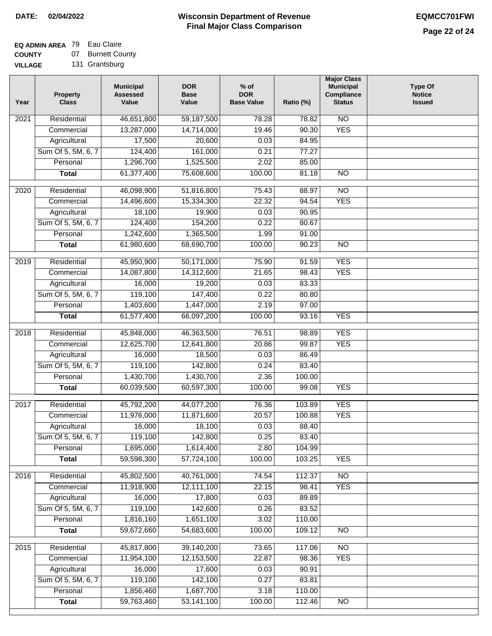# **EQ ADMIN AREA** 79 Eau Claire

**COUNTY VILLAGE** 07 Burnett County

|  | 131 Grantsburg |
|--|----------------|
|--|----------------|

| Year | <b>Property</b><br><b>Class</b> | <b>Municipal</b><br><b>Assessed</b><br>Value | <b>DOR</b><br><b>Base</b><br>Value | $%$ of<br><b>DOR</b><br><b>Base Value</b> | Ratio (%) | <b>Major Class</b><br><b>Municipal</b><br>Compliance<br><b>Status</b> | <b>Type Of</b><br><b>Notice</b><br><b>Issued</b> |
|------|---------------------------------|----------------------------------------------|------------------------------------|-------------------------------------------|-----------|-----------------------------------------------------------------------|--------------------------------------------------|
| 2021 | Residential                     | 46,651,800                                   | 59,187,500                         | 78.28                                     | 78.82     | N <sub>O</sub>                                                        |                                                  |
|      | Commercial                      | 13,287,000                                   | 14,714,000                         | 19.46                                     | 90.30     | <b>YES</b>                                                            |                                                  |
|      | Agricultural                    | 17,500                                       | 20,600                             | 0.03                                      | 84.95     |                                                                       |                                                  |
|      | Sum Of 5, 5M, 6, 7              | 124,400                                      | 161,000                            | 0.21                                      | 77.27     |                                                                       |                                                  |
|      | Personal                        | 1,296,700                                    | 1,525,500                          | 2.02                                      | 85.00     |                                                                       |                                                  |
|      | <b>Total</b>                    | 61,377,400                                   | 75,608,600                         | 100.00                                    | 81.18     | N <sub>O</sub>                                                        |                                                  |
| 2020 | Residential                     | 46,098,900                                   | 51,816,800                         | 75.43                                     | 88.97     | $\overline{10}$                                                       |                                                  |
|      | Commercial                      | 14,496,600                                   | 15,334,300                         | 22.32                                     | 94.54     | <b>YES</b>                                                            |                                                  |
|      | Agricultural                    | 18,100                                       | 19,900                             | 0.03                                      | 90.95     |                                                                       |                                                  |
|      | Sum Of 5, 5M, 6, 7              | 124,400                                      | 154,200                            | 0.22                                      | 80.67     |                                                                       |                                                  |
|      | Personal                        | 1,242,600                                    | 1,365,500                          | 1.99                                      | 91.00     |                                                                       |                                                  |
|      | <b>Total</b>                    | 61,980,600                                   | 68,690,700                         | 100.00                                    | 90.23     | $\overline{NO}$                                                       |                                                  |
|      |                                 |                                              |                                    |                                           |           |                                                                       |                                                  |
| 2019 | Residential                     | 45,950,900                                   | 50,171,000                         | 75.90                                     | 91.59     | <b>YES</b>                                                            |                                                  |
|      | Commercial                      | 14,087,800                                   | 14,312,600                         | 21.65                                     | 98.43     | <b>YES</b>                                                            |                                                  |
|      | Agricultural                    | 16,000                                       | 19,200                             | 0.03                                      | 83.33     |                                                                       |                                                  |
|      | Sum Of 5, 5M, 6, 7              | 119,100                                      | 147,400                            | 0.22                                      | 80.80     |                                                                       |                                                  |
|      | Personal                        | 1,403,600                                    | 1,447,000                          | 2.19                                      | 97.00     |                                                                       |                                                  |
|      | <b>Total</b>                    | 61,577,400                                   | 66,097,200                         | 100.00                                    | 93.16     | <b>YES</b>                                                            |                                                  |
| 2018 | Residential                     | 45,848,000                                   | 46,363,500                         | 76.51                                     | 98.89     | <b>YES</b>                                                            |                                                  |
|      | Commercial                      | 12,625,700                                   | 12,641,800                         | 20.86                                     | 99.87     | <b>YES</b>                                                            |                                                  |
|      | Agricultural                    | 16,000                                       | 18,500                             | 0.03                                      | 86.49     |                                                                       |                                                  |
|      | Sum Of 5, 5M, 6, 7              | 119,100                                      | 142,800                            | 0.24                                      | 83.40     |                                                                       |                                                  |
|      | Personal                        | 1,430,700                                    | 1,430,700                          | 2.36                                      | 100.00    |                                                                       |                                                  |
|      | <b>Total</b>                    | 60,039,500                                   | 60,597,300                         | 100.00                                    | 99.08     | <b>YES</b>                                                            |                                                  |
| 2017 | Residential                     | 45,792,200                                   | 44,077,200                         | 76.36                                     | 103.89    | <b>YES</b>                                                            |                                                  |
|      | Commercial                      | 11,976,000                                   | 11,871,600                         | 20.57                                     | 100.88    | <b>YES</b>                                                            |                                                  |
|      | Agricultural                    | 16,000                                       | 18,100                             | 0.03                                      | 88.40     |                                                                       |                                                  |
|      | Sum Of 5, 5M, 6, 7              | 119,100                                      | 142,800                            | 0.25                                      | 83.40     |                                                                       |                                                  |
|      | Personal                        | 1,695,000                                    | 1,614,400                          | 2.80                                      | 104.99    |                                                                       |                                                  |
|      | <b>Total</b>                    | 59,598,300                                   | 57,724,100                         | 100.00                                    | 103.25    | <b>YES</b>                                                            |                                                  |
| 2016 | Residential                     | 45,802,500                                   | 40,761,000                         | 74.54                                     | 112.37    | $\overline{NO}$                                                       |                                                  |
|      | Commercial                      | 11,918,900                                   | 12,111,100                         | 22.15                                     | 98.41     | <b>YES</b>                                                            |                                                  |
|      | Agricultural                    | 16,000                                       | 17,800                             | 0.03                                      | 89.89     |                                                                       |                                                  |
|      | Sum Of 5, 5M, 6, 7              | 119,100                                      | 142,600                            | 0.26                                      | 83.52     |                                                                       |                                                  |
|      | Personal                        | 1,816,160                                    | 1,651,100                          | 3.02                                      | 110.00    |                                                                       |                                                  |
|      |                                 | 59,672,660                                   | 54,683,600                         | 100.00                                    |           |                                                                       |                                                  |
|      | <b>Total</b>                    |                                              |                                    |                                           | 109.12    | <b>NO</b>                                                             |                                                  |
| 2015 | Residential                     | 45,817,800                                   | 39,140,200                         | 73.65                                     | 117.06    | <b>NO</b>                                                             |                                                  |
|      | Commercial                      | 11,954,100                                   | 12,153,500                         | 22.87                                     | 98.36     | <b>YES</b>                                                            |                                                  |
|      | Agricultural                    | 16,000                                       | 17,600                             | 0.03                                      | 90.91     |                                                                       |                                                  |
|      | Sum Of 5, 5M, 6, 7              | 119,100                                      | 142,100                            | 0.27                                      | 83.81     |                                                                       |                                                  |
|      | Personal                        | 1,856,460                                    | 1,687,700                          | 3.18                                      | 110.00    |                                                                       |                                                  |
|      | <b>Total</b>                    | 59,763,460                                   | 53,141,100                         | 100.00                                    | 112.46    | $\overline{NO}$                                                       |                                                  |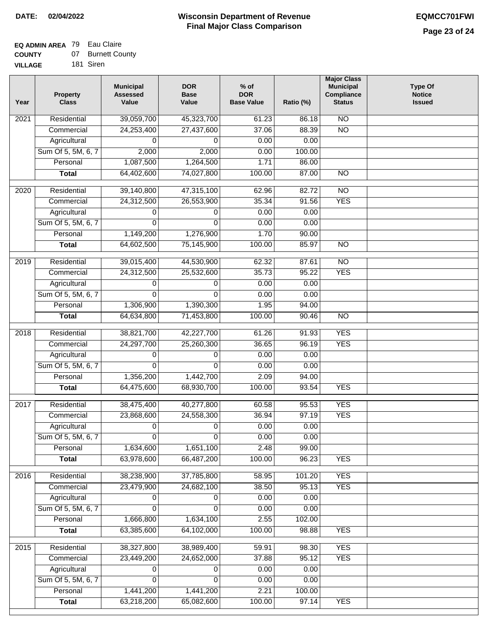#### **EQ ADMIN AREA** 79 Eau Claire **COUNTY** 07 Burnett County

| <b>COUNTY</b>  | ,,, | <b>DUITER COU</b> |
|----------------|-----|-------------------|
| <b>VILLAGE</b> |     | 181 Siren         |

| Year | Property<br><b>Class</b> | <b>Municipal</b><br><b>Assessed</b><br>Value | <b>DOR</b><br><b>Base</b><br>Value | $%$ of<br><b>DOR</b><br><b>Base Value</b> | Ratio (%) | <b>Major Class</b><br><b>Municipal</b><br>Compliance<br><b>Status</b> | <b>Type Of</b><br><b>Notice</b><br><b>Issued</b> |
|------|--------------------------|----------------------------------------------|------------------------------------|-------------------------------------------|-----------|-----------------------------------------------------------------------|--------------------------------------------------|
| 2021 | Residential              | 39,059,700                                   | 45,323,700                         | 61.23                                     | 86.18     | $\overline{NO}$                                                       |                                                  |
|      | Commercial               | 24,253,400                                   | 27,437,600                         | 37.06                                     | 88.39     | $\overline{NO}$                                                       |                                                  |
|      | Agricultural             | 0                                            | 0                                  | 0.00                                      | 0.00      |                                                                       |                                                  |
|      | Sum Of 5, 5M, 6, 7       | 2,000                                        | 2,000                              | 0.00                                      | 100.00    |                                                                       |                                                  |
|      | Personal                 | 1,087,500                                    | 1,264,500                          | 1.71                                      | 86.00     |                                                                       |                                                  |
|      | <b>Total</b>             | 64,402,600                                   | 74,027,800                         | 100.00                                    | 87.00     | $\overline{NO}$                                                       |                                                  |
| 2020 | Residential              | 39,140,800                                   | 47,315,100                         | 62.96                                     | 82.72     | $\overline{NO}$                                                       |                                                  |
|      | Commercial               | 24,312,500                                   | 26,553,900                         | 35.34                                     | 91.56     | <b>YES</b>                                                            |                                                  |
|      | Agricultural             | 0                                            | 0                                  | 0.00                                      | 0.00      |                                                                       |                                                  |
|      | Sum Of 5, 5M, 6, 7       | 0                                            | $\Omega$                           | 0.00                                      | 0.00      |                                                                       |                                                  |
|      | Personal                 | 1,149,200                                    | 1,276,900                          | 1.70                                      | 90.00     |                                                                       |                                                  |
|      | <b>Total</b>             | 64,602,500                                   | 75,145,900                         | 100.00                                    | 85.97     | $\overline{NO}$                                                       |                                                  |
|      |                          |                                              |                                    |                                           |           |                                                                       |                                                  |
| 2019 | Residential              | 39,015,400                                   | 44,530,900                         | 62.32                                     | 87.61     | $\overline{NO}$                                                       |                                                  |
|      | Commercial               | 24,312,500                                   | 25,532,600                         | 35.73                                     | 95.22     | <b>YES</b>                                                            |                                                  |
|      | Agricultural             | 0                                            | 0                                  | 0.00                                      | 0.00      |                                                                       |                                                  |
|      | Sum Of 5, 5M, 6, 7       | $\overline{0}$                               | $\Omega$                           | 0.00                                      | 0.00      |                                                                       |                                                  |
|      | Personal                 | 1,306,900                                    | 1,390,300                          | 1.95                                      | 94.00     |                                                                       |                                                  |
|      | <b>Total</b>             | 64,634,800                                   | 71,453,800                         | 100.00                                    | 90.46     | $\overline{NO}$                                                       |                                                  |
| 2018 | Residential              | 38,821,700                                   | 42,227,700                         | 61.26                                     | 91.93     | <b>YES</b>                                                            |                                                  |
|      | Commercial               | 24,297,700                                   | 25,260,300                         | 36.65                                     | 96.19     | <b>YES</b>                                                            |                                                  |
|      | Agricultural             | 0                                            | 0                                  | 0.00                                      | 0.00      |                                                                       |                                                  |
|      | Sum Of 5, 5M, 6, 7       | $\Omega$                                     | $\Omega$                           | 0.00                                      | 0.00      |                                                                       |                                                  |
|      | Personal                 | 1,356,200                                    | 1,442,700                          | 2.09                                      | 94.00     |                                                                       |                                                  |
|      | <b>Total</b>             | 64,475,600                                   | 68,930,700                         | 100.00                                    | 93.54     | <b>YES</b>                                                            |                                                  |
| 2017 | Residential              | 38,475,400                                   | 40,277,800                         | 60.58                                     | 95.53     | <b>YES</b>                                                            |                                                  |
|      | Commercial               | 23,868,600                                   | 24,558,300                         | 36.94                                     | 97.19     | <b>YES</b>                                                            |                                                  |
|      | Agricultural             | 0                                            | 0                                  | 0.00                                      | 0.00      |                                                                       |                                                  |
|      | Sum Of 5, 5M, 6, 7       | 0                                            | 0                                  | 0.00                                      | 0.00      |                                                                       |                                                  |
|      | Personal                 | 1,634,600                                    | 1,651,100                          | 2.48                                      | 99.00     |                                                                       |                                                  |
|      | <b>Total</b>             | 63,978,600                                   | 66,487,200                         | 100.00                                    | 96.23     | <b>YES</b>                                                            |                                                  |
| 2016 | Residential              | 38,238,900                                   | 37,785,800                         | 58.95                                     | 101.20    | <b>YES</b>                                                            |                                                  |
|      | Commercial               | 23,479,900                                   | 24,682,100                         | 38.50                                     | 95.13     | <b>YES</b>                                                            |                                                  |
|      | Agricultural             | 0                                            | 0                                  | 0.00                                      | 0.00      |                                                                       |                                                  |
|      | Sum Of 5, 5M, 6, 7       | 0                                            | 0                                  | 0.00                                      | 0.00      |                                                                       |                                                  |
|      | Personal                 | 1,666,800                                    | 1,634,100                          | 2.55                                      | 102.00    |                                                                       |                                                  |
|      | <b>Total</b>             | 63,385,600                                   | 64,102,000                         | 100.00                                    | 98.88     | <b>YES</b>                                                            |                                                  |
| 2015 | Residential              | 38,327,800                                   | 38,989,400                         | 59.91                                     | 98.30     | <b>YES</b>                                                            |                                                  |
|      | Commercial               | 23,449,200                                   | 24,652,000                         | 37.88                                     | 95.12     | <b>YES</b>                                                            |                                                  |
|      | Agricultural             | 0                                            | 0                                  | 0.00                                      | 0.00      |                                                                       |                                                  |
|      | Sum Of 5, 5M, 6, 7       | 0                                            | 0                                  | 0.00                                      | 0.00      |                                                                       |                                                  |
|      | Personal                 | 1,441,200                                    | 1,441,200                          | 2.21                                      | 100.00    |                                                                       |                                                  |
|      | <b>Total</b>             | 63,218,200                                   | 65,082,600                         | 100.00                                    | 97.14     | <b>YES</b>                                                            |                                                  |
|      |                          |                                              |                                    |                                           |           |                                                                       |                                                  |